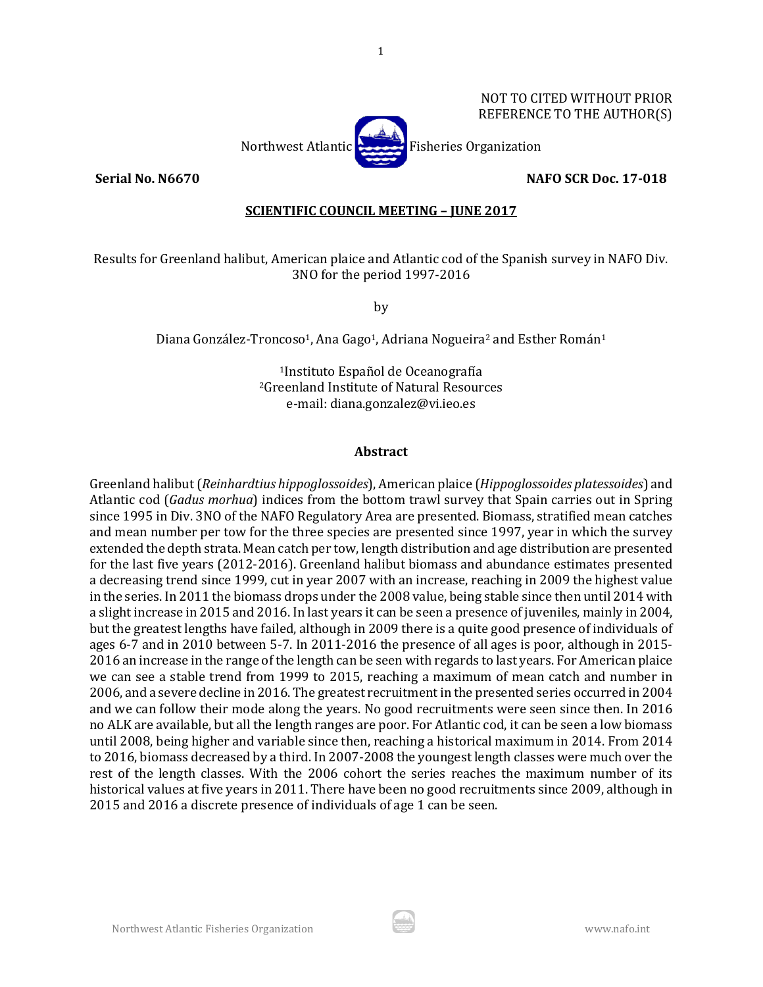

#### **Serial No. N6670 NAFO SCR Doc. 17-018**

## **SCIENTIFIC COUNCIL MEETING – JUNE 2017**

1

Results for Greenland halibut, American plaice and Atlantic cod of the Spanish survey in NAFO Div. 3NO for the period 1997-2016

by

Diana González-Troncoso<sup>1</sup>, Ana Gago<sup>1</sup>, Adriana Nogueira<sup>2</sup> and Esther Román<sup>1</sup>

1Instituto Español de Oceanografía 2Greenland Institute of Natural Resources e-mail: diana.gonzalez@vi.ieo.es

#### **Abstract**

Greenland halibut (*Reinhardtius hippoglossoides*), American plaice (*Hippoglossoides platessoides*) and Atlantic cod (*Gadus morhua*) indices from the bottom trawl survey that Spain carries out in Spring since 1995 in Div. 3NO of the NAFO Regulatory Area are presented. Biomass, stratified mean catches and mean number per tow for the three species are presented since 1997, year in which the survey extended the depth strata. Mean catch per tow, length distribution and age distribution are presented for the last five years (2012-2016). Greenland halibut biomass and abundance estimates presented a decreasing trend since 1999, cut in year 2007 with an increase, reaching in 2009 the highest value in the series. In 2011 the biomass drops under the 2008 value, being stable since then until 2014 with a slight increase in 2015 and 2016. In last years it can be seen a presence of juveniles, mainly in 2004, but the greatest lengths have failed, although in 2009 there is a quite good presence of individuals of ages 6-7 and in 2010 between 5-7. In 2011-2016 the presence of all ages is poor, although in 2015- 2016 an increase in the range of the length can be seen with regards to last years. For American plaice we can see a stable trend from 1999 to 2015, reaching a maximum of mean catch and number in 2006, and a severe decline in 2016. The greatest recruitment in the presented series occurred in 2004 and we can follow their mode along the years. No good recruitments were seen since then. In 2016 no ALK are available, but all the length ranges are poor. For Atlantic cod, it can be seen a low biomass until 2008, being higher and variable since then, reaching a historical maximum in 2014. From 2014 to 2016, biomass decreased by a third. In 2007-2008 the youngest length classes were much over the rest of the length classes. With the 2006 cohort the series reaches the maximum number of its historical values at five years in 2011. There have been no good recruitments since 2009, although in 2015 and 2016 a discrete presence of individuals of age 1 can be seen.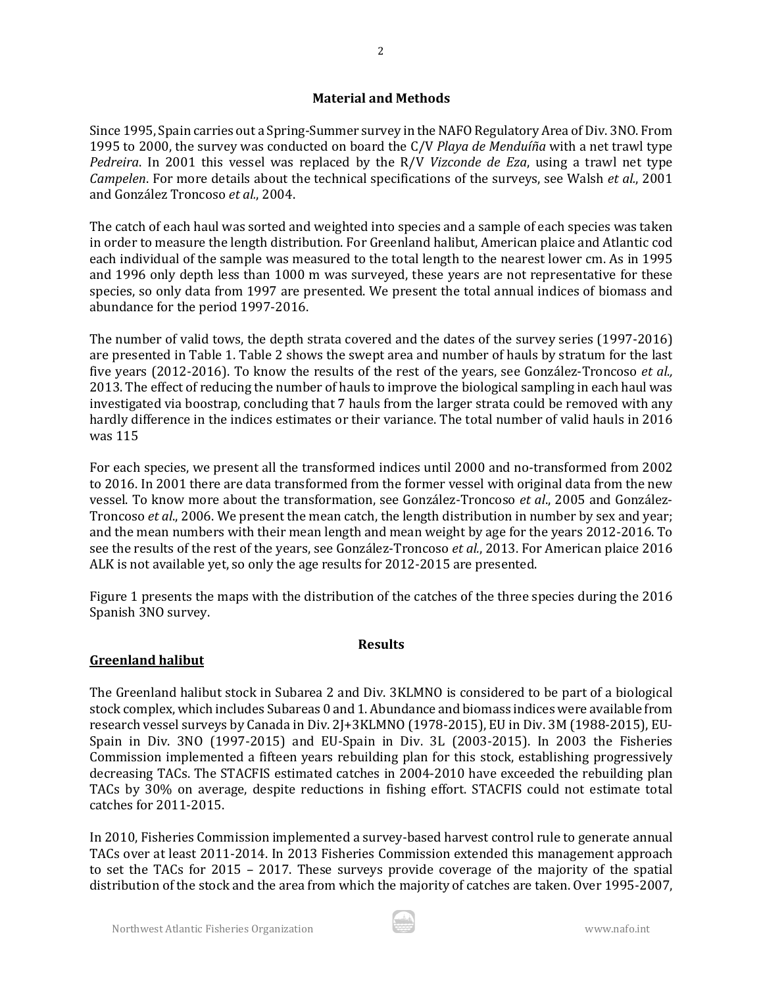## **Material and Methods**

Since 1995, Spain carries out a Spring-Summer survey in the NAFO Regulatory Area of Div. 3NO. From 1995 to 2000, the survey was conducted on board the C/V *Playa de Menduíña* with a net trawl type *Pedreira*. In 2001 this vessel was replaced by the R/V *Vizconde de Eza*, using a trawl net type *Campelen*. For more details about the technical specifications of the surveys, see Walsh *et al.*, 2001 and González Troncoso *et al.*, 2004.

The catch of each haul was sorted and weighted into species and a sample of each species was taken in order to measure the length distribution. For Greenland halibut, American plaice and Atlantic cod each individual of the sample was measured to the total length to the nearest lower cm. As in 1995 and 1996 only depth less than 1000 m was surveyed, these years are not representative for these species, so only data from 1997 are presented. We present the total annual indices of biomass and abundance for the period 1997-2016.

The number of valid tows, the depth strata covered and the dates of the survey series (1997-2016) are presented in Table 1. Table 2 shows the swept area and number of hauls by stratum for the last five years (2012-2016). To know the results of the rest of the years, see González-Troncoso *et al.,* 2013. The effect of reducing the number of hauls to improve the biological sampling in each haul was investigated via boostrap, concluding that 7 hauls from the larger strata could be removed with any hardly difference in the indices estimates or their variance. The total number of valid hauls in 2016 was 115

For each species, we present all the transformed indices until 2000 and no-transformed from 2002 to 2016. In 2001 there are data transformed from the former vessel with original data from the new vessel. To know more about the transformation, see González-Troncoso *et al*., 2005 and González-Troncoso *et al*., 2006. We present the mean catch, the length distribution in number by sex and year; and the mean numbers with their mean length and mean weight by age for the years 2012-2016. To see the results of the rest of the years, see González-Troncoso *et al.*, 2013. For American plaice 2016 ALK is not available yet, so only the age results for 2012-2015 are presented.

Figure 1 presents the maps with the distribution of the catches of the three species during the 2016 Spanish 3NO survey.

#### **Results**

## **Greenland halibut**

The Greenland halibut stock in Subarea 2 and Div. 3KLMNO is considered to be part of a biological stock complex, which includes Subareas 0 and 1. Abundance and biomass indices were available from research vessel surveys by Canada in Div. 2J+3KLMNO (1978-2015), EU in Div. 3M (1988-2015), EU-Spain in Div. 3NO (1997-2015) and EU-Spain in Div. 3L (2003-2015). In 2003 the Fisheries Commission implemented a fifteen years rebuilding plan for this stock, establishing progressively decreasing TACs. The STACFIS estimated catches in 2004-2010 have exceeded the rebuilding plan TACs by 30% on average, despite reductions in fishing effort. STACFIS could not estimate total catches for 2011-2015.

In 2010, Fisheries Commission implemented a survey-based harvest control rule to generate annual TACs over at least 2011-2014. In 2013 Fisheries Commission extended this management approach to set the TACs for 2015 – 2017. These surveys provide coverage of the majority of the spatial distribution of the stock and the area from which the majority of catches are taken. Over 1995-2007,

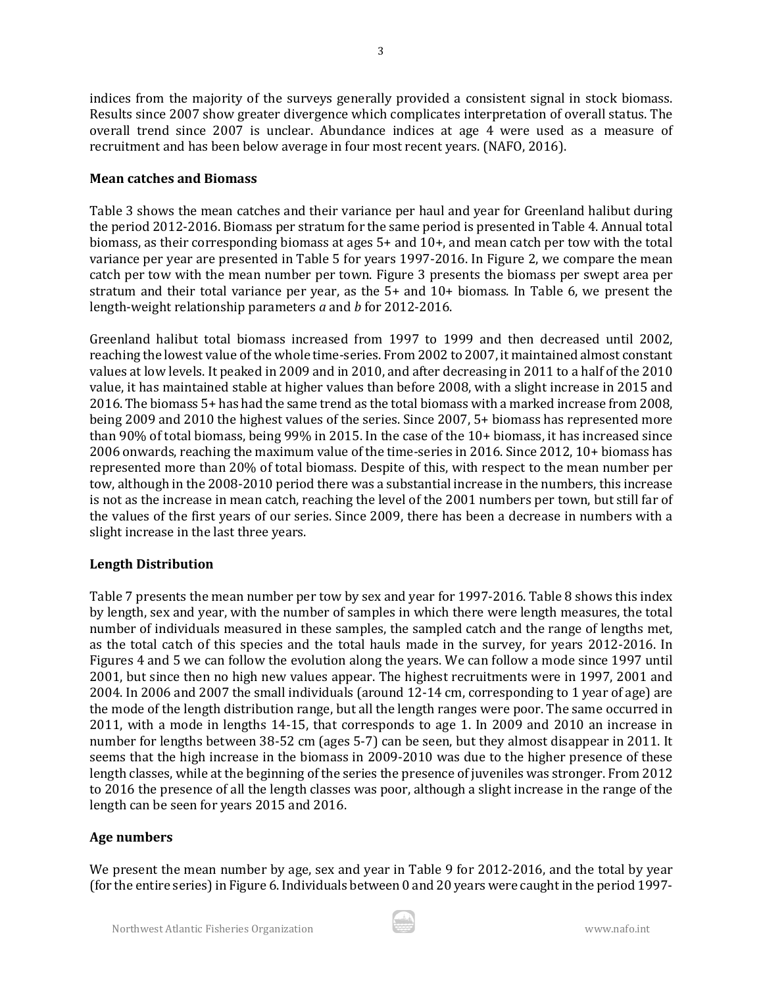indices from the majority of the surveys generally provided a consistent signal in stock biomass. Results since 2007 show greater divergence which complicates interpretation of overall status. The overall trend since 2007 is unclear. Abundance indices at age 4 were used as a measure of

Table 3 shows the mean catches and their variance per haul and year for Greenland halibut during the period 2012-2016. Biomass per stratum for the same period is presented in Table 4. Annual total biomass, as their corresponding biomass at ages 5+ and 10+, and mean catch per tow with the total variance per year are presented in Table 5 for years 1997-2016. In Figure 2, we compare the mean catch per tow with the mean number per town. Figure 3 presents the biomass per swept area per stratum and their total variance per year, as the 5+ and 10+ biomass. In Table 6, we present the length-weight relationship parameters *a* and *b* for 2012-2016.

Greenland halibut total biomass increased from 1997 to 1999 and then decreased until 2002, reaching the lowest value of the whole time-series. From 2002 to 2007, it maintained almost constant values at low levels. It peaked in 2009 and in 2010, and after decreasing in 2011 to a half of the 2010 value, it has maintained stable at higher values than before 2008, with a slight increase in 2015 and 2016. The biomass 5+ has had the same trend as the total biomass with a marked increase from 2008, being 2009 and 2010 the highest values of the series. Since 2007, 5+ biomass has represented more than 90% of total biomass, being 99% in 2015. In the case of the 10+ biomass, it has increased since 2006 onwards, reaching the maximum value of the time-series in 2016. Since 2012, 10+ biomass has represented more than 20% of total biomass. Despite of this, with respect to the mean number per tow, although in the 2008-2010 period there was a substantial increase in the numbers, this increase is not as the increase in mean catch, reaching the level of the 2001 numbers per town, but still far of the values of the first years of our series. Since 2009, there has been a decrease in numbers with a slight increase in the last three years.

## **Length Distribution**

Table 7 presents the mean number per tow by sex and year for 1997-2016. Table 8 shows this index by length, sex and year, with the number of samples in which there were length measures, the total number of individuals measured in these samples, the sampled catch and the range of lengths met, as the total catch of this species and the total hauls made in the survey, for years 2012-2016. In Figures 4 and 5 we can follow the evolution along the years. We can follow a mode since 1997 until 2001, but since then no high new values appear. The highest recruitments were in 1997, 2001 and 2004. In 2006 and 2007 the small individuals (around 12-14 cm, corresponding to 1 year of age) are the mode of the length distribution range, but all the length ranges were poor. The same occurred in 2011, with a mode in lengths 14-15, that corresponds to age 1. In 2009 and 2010 an increase in number for lengths between 38-52 cm (ages 5-7) can be seen, but they almost disappear in 2011. It seems that the high increase in the biomass in 2009-2010 was due to the higher presence of these length classes, while at the beginning of the series the presence of juveniles was stronger. From 2012 to 2016 the presence of all the length classes was poor, although a slight increase in the range of the length can be seen for years 2015 and 2016.

#### **Age numbers**

We present the mean number by age, sex and year in Table 9 for 2012-2016, and the total by year (for the entire series) in Figure 6. Individuals between 0 and 20 years were caught in the period 1997-

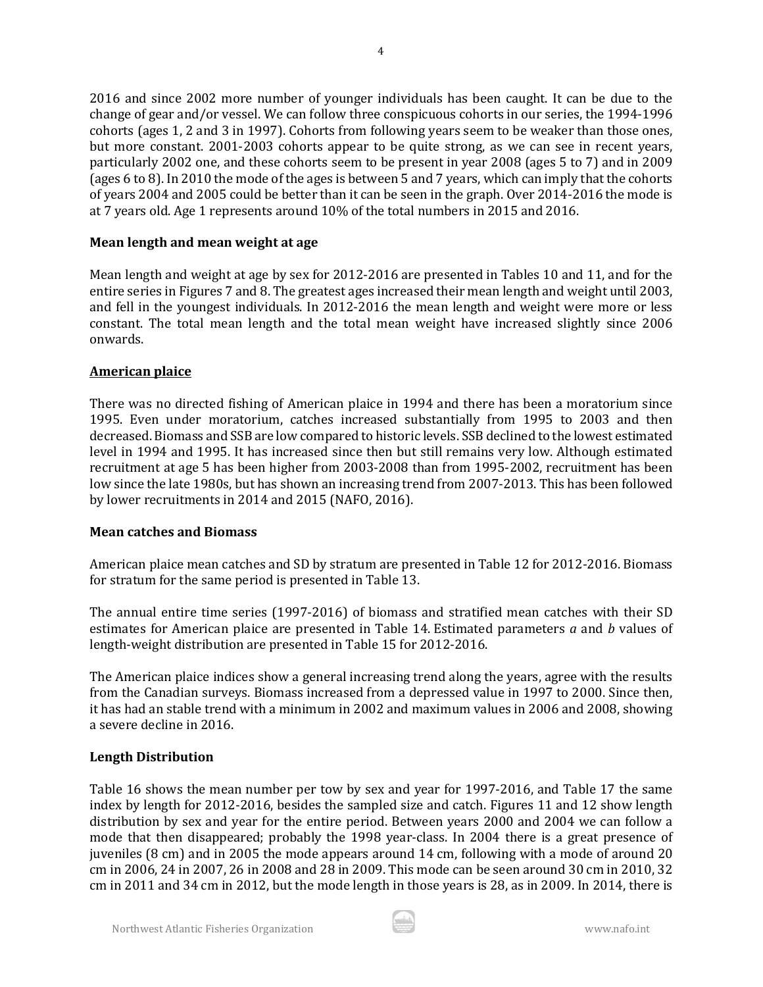2016 and since 2002 more number of younger individuals has been caught. It can be due to the change of gear and/or vessel. We can follow three conspicuous cohorts in our series, the 1994-1996 cohorts (ages 1, 2 and 3 in 1997). Cohorts from following years seem to be weaker than those ones, but more constant. 2001-2003 cohorts appear to be quite strong, as we can see in recent years, particularly 2002 one, and these cohorts seem to be present in year 2008 (ages 5 to 7) and in 2009 (ages 6 to 8). In 2010 the mode of the ages is between 5 and 7 years, which can imply that the cohorts of years 2004 and 2005 could be better than it can be seen in the graph. Over 2014-2016 the mode is at 7 years old. Age 1 represents around 10% of the total numbers in 2015 and 2016.

## **Mean length and mean weight at age**

Mean length and weight at age by sex for 2012-2016 are presented in Tables 10 and 11, and for the entire series in Figures 7 and 8. The greatest ages increased their mean length and weight until 2003, and fell in the youngest individuals. In 2012-2016 the mean length and weight were more or less constant. The total mean length and the total mean weight have increased slightly since 2006 onwards.

#### **American plaice**

There was no directed fishing of American plaice in 1994 and there has been a moratorium since 1995. Even under moratorium, catches increased substantially from 1995 to 2003 and then decreased. Biomass and SSB are low compared to historic levels. SSB declined to the lowest estimated level in 1994 and 1995. It has increased since then but still remains very low. Although estimated recruitment at age 5 has been higher from 2003-2008 than from 1995-2002, recruitment has been low since the late 1980s, but has shown an increasing trend from 2007-2013. This has been followed by lower recruitments in 2014 and 2015 (NAFO, 2016).

#### **Mean catches and Biomass**

American plaice mean catches and SD by stratum are presented in Table 12 for 2012-2016. Biomass for stratum for the same period is presented in Table 13.

The annual entire time series (1997-2016) of biomass and stratified mean catches with their SD estimates for American plaice are presented in Table 14. Estimated parameters *a* and *b* values of length-weight distribution are presented in Table 15 for 2012-2016.

The American plaice indices show a general increasing trend along the years, agree with the results from the Canadian surveys. Biomass increased from a depressed value in 1997 to 2000. Since then, it has had an stable trend with a minimum in 2002 and maximum values in 2006 and 2008, showing a severe decline in 2016.

## **Length Distribution**

Table 16 shows the mean number per tow by sex and year for 1997-2016, and Table 17 the same index by length for 2012-2016, besides the sampled size and catch. Figures 11 and 12 show length distribution by sex and year for the entire period. Between years 2000 and 2004 we can follow a mode that then disappeared; probably the 1998 year-class. In 2004 there is a great presence of juveniles (8 cm) and in 2005 the mode appears around 14 cm, following with a mode of around 20 cm in 2006, 24 in 2007, 26 in 2008 and 28 in 2009. This mode can be seen around 30 cm in 2010, 32 cm in 2011 and 34 cm in 2012, but the mode length in those years is 28, as in 2009. In 2014, there is

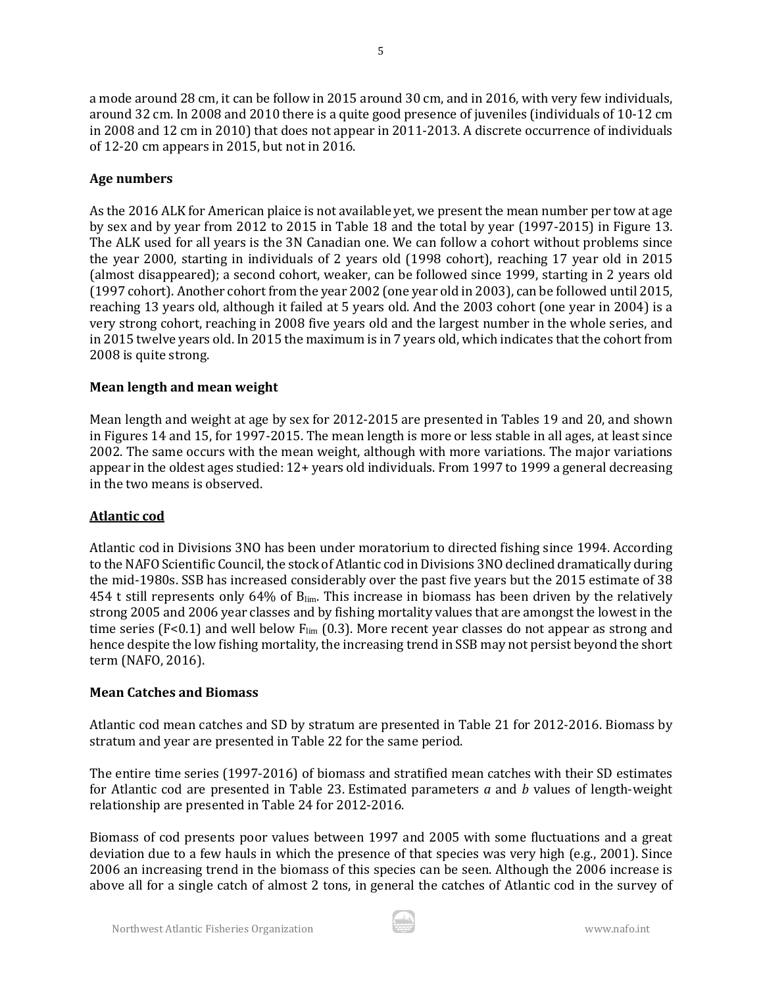a mode around 28 cm, it can be follow in 2015 around 30 cm, and in 2016, with very few individuals, around 32 cm. In 2008 and 2010 there is a quite good presence of juveniles (individuals of 10-12 cm in 2008 and 12 cm in 2010) that does not appear in 2011-2013. A discrete occurrence of individuals of 12-20 cm appears in 2015, but not in 2016.

# **Age numbers**

As the 2016 ALK for American plaice is not available yet, we present the mean number per tow at age by sex and by year from 2012 to 2015 in Table 18 and the total by year (1997-2015) in Figure 13. The ALK used for all years is the 3N Canadian one. We can follow a cohort without problems since the year 2000, starting in individuals of 2 years old (1998 cohort), reaching 17 year old in 2015 (almost disappeared); a second cohort, weaker, can be followed since 1999, starting in 2 years old (1997 cohort). Another cohort from the year 2002 (one year old in 2003), can be followed until 2015, reaching 13 years old, although it failed at 5 years old. And the 2003 cohort (one year in 2004) is a very strong cohort, reaching in 2008 five years old and the largest number in the whole series, and in 2015 twelve years old. In 2015 the maximum is in 7 years old, which indicates that the cohort from 2008 is quite strong.

# **Mean length and mean weight**

Mean length and weight at age by sex for 2012-2015 are presented in Tables 19 and 20, and shown in Figures 14 and 15, for 1997-2015. The mean length is more or less stable in all ages, at least since 2002. The same occurs with the mean weight, although with more variations. The major variations appear in the oldest ages studied: 12+ years old individuals. From 1997 to 1999 a general decreasing in the two means is observed.

# **Atlantic cod**

Atlantic cod in Divisions 3NO has been under moratorium to directed fishing since 1994. According to the NAFO Scientific Council, the stock of Atlantic cod in Divisions 3NO declined dramatically during the mid-1980s. SSB has increased considerably over the past five years but the 2015 estimate of 38 454 t still represents only 64% of B<sub>lim</sub>. This increase in biomass has been driven by the relatively strong 2005 and 2006 year classes and by fishing mortality values that are amongst the lowest in the time series (F<0.1) and well below  $F_{lim}$  (0.3). More recent year classes do not appear as strong and hence despite the low fishing mortality, the increasing trend in SSB may not persist beyond the short term (NAFO, 2016).

# **Mean Catches and Biomass**

Atlantic cod mean catches and SD by stratum are presented in Table 21 for 2012-2016. Biomass by stratum and year are presented in Table 22 for the same period.

The entire time series (1997-2016) of biomass and stratified mean catches with their SD estimates for Atlantic cod are presented in Table 23. Estimated parameters *a* and *b* values of length-weight relationship are presented in Table 24 for 2012-2016.

Biomass of cod presents poor values between 1997 and 2005 with some fluctuations and a great deviation due to a few hauls in which the presence of that species was very high (e.g., 2001). Since 2006 an increasing trend in the biomass of this species can be seen. Although the 2006 increase is above all for a single catch of almost 2 tons, in general the catches of Atlantic cod in the survey of

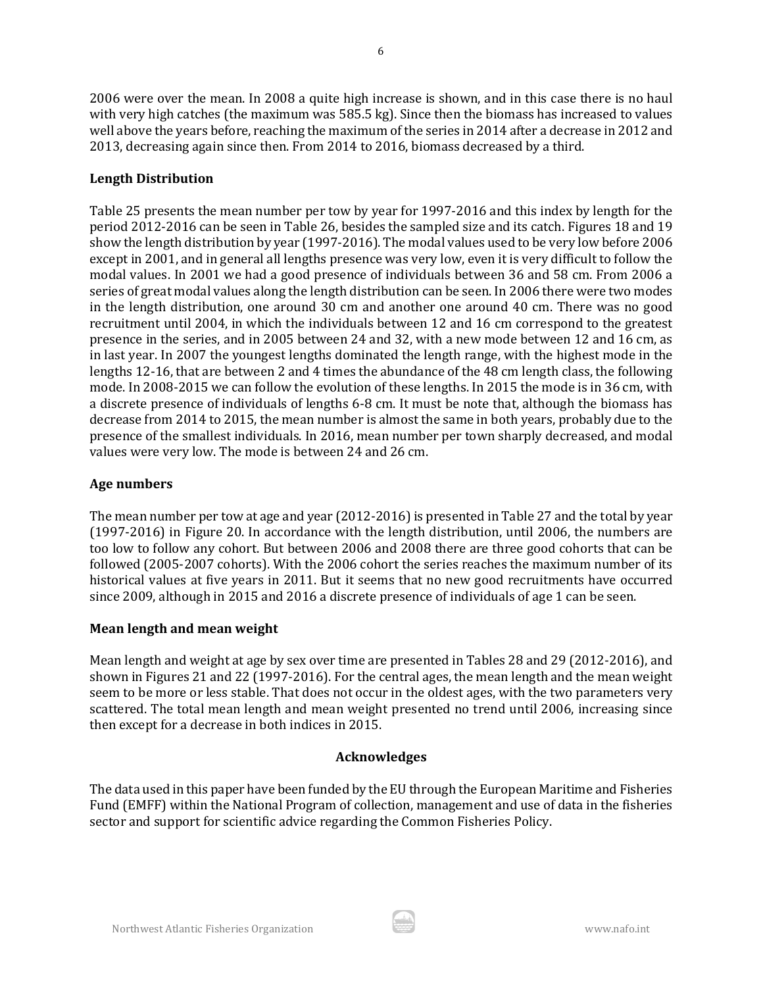2006 were over the mean. In 2008 a quite high increase is shown, and in this case there is no haul with very high catches (the maximum was 585.5 kg). Since then the biomass has increased to values well above the years before, reaching the maximum of the series in 2014 after a decrease in 2012 and 2013, decreasing again since then. From 2014 to 2016, biomass decreased by a third.

# **Length Distribution**

Table 25 presents the mean number per tow by year for 1997-2016 and this index by length for the period 2012-2016 can be seen in Table 26, besides the sampled size and its catch. Figures 18 and 19 show the length distribution by year (1997-2016). The modal values used to be very low before 2006 except in 2001, and in general all lengths presence was very low, even it is very difficult to follow the modal values. In 2001 we had a good presence of individuals between 36 and 58 cm. From 2006 a series of great modal values along the length distribution can be seen. In 2006 there were two modes in the length distribution, one around 30 cm and another one around 40 cm. There was no good recruitment until 2004, in which the individuals between 12 and 16 cm correspond to the greatest presence in the series, and in 2005 between 24 and 32, with a new mode between 12 and 16 cm, as in last year. In 2007 the youngest lengths dominated the length range, with the highest mode in the lengths 12-16, that are between 2 and 4 times the abundance of the 48 cm length class, the following mode. In 2008-2015 we can follow the evolution of these lengths. In 2015 the mode is in 36 cm, with a discrete presence of individuals of lengths 6-8 cm. It must be note that, although the biomass has decrease from 2014 to 2015, the mean number is almost the same in both years, probably due to the presence of the smallest individuals. In 2016, mean number per town sharply decreased, and modal values were very low. The mode is between 24 and 26 cm.

# **Age numbers**

The mean number per tow at age and year (2012-2016) is presented in Table 27 and the total by year (1997-2016) in Figure 20. In accordance with the length distribution, until 2006, the numbers are too low to follow any cohort. But between 2006 and 2008 there are three good cohorts that can be followed (2005-2007 cohorts). With the 2006 cohort the series reaches the maximum number of its historical values at five years in 2011. But it seems that no new good recruitments have occurred since 2009, although in 2015 and 2016 a discrete presence of individuals of age 1 can be seen.

# **Mean length and mean weight**

Mean length and weight at age by sex over time are presented in Tables 28 and 29 (2012-2016), and shown in Figures 21 and 22 (1997-2016). For the central ages, the mean length and the mean weight seem to be more or less stable. That does not occur in the oldest ages, with the two parameters very scattered. The total mean length and mean weight presented no trend until 2006, increasing since then except for a decrease in both indices in 2015.

# **Acknowledges**

The data used in this paper have been funded by the EU through the European Maritime and Fisheries Fund (EMFF) within the National Program of collection, management and use of data in the fisheries sector and support for scientific advice regarding the Common Fisheries Policy.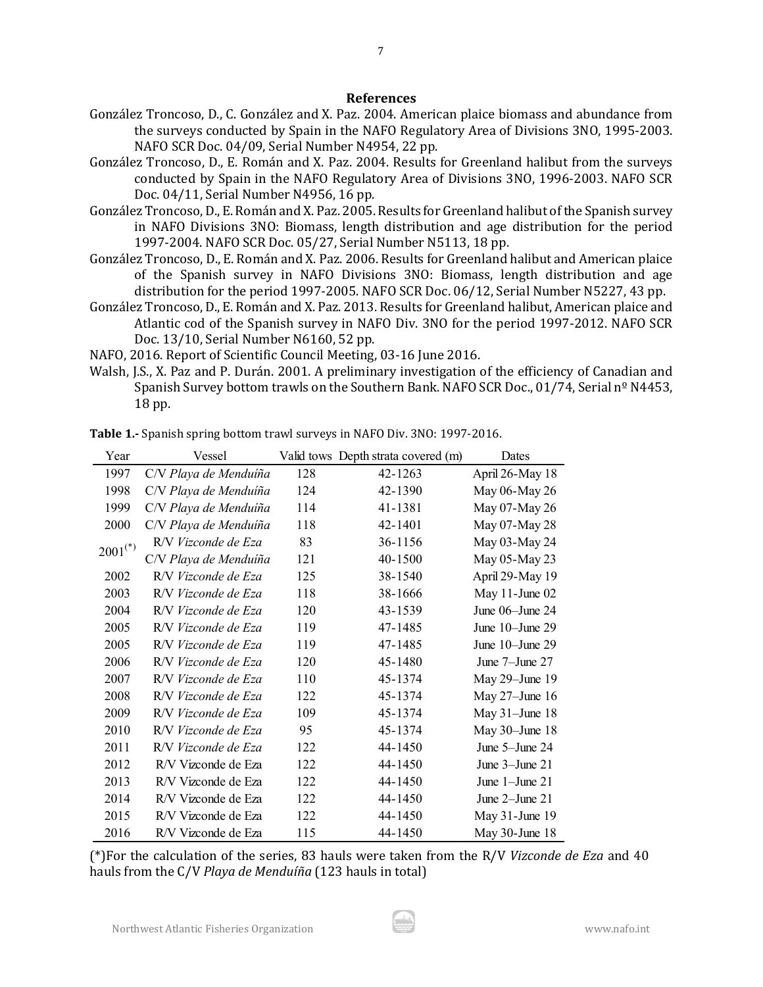#### **References**

7

- González Troncoso, D., C. González and X. Paz. 2004. American plaice biomass and abundance from the surveys conducted by Spain in the NAFO Regulatory Area of Divisions 3NO, 1995-2003. NAFO SCR Doc. 04/09, Serial Number N4954, 22 pp.
- González Troncoso, D., E. Román and X. Paz. 2004. Results for Greenland halibut from the surveys conducted by Spain in the NAFO Regulatory Area of Divisions 3NO, 1996-2003. NAFO SCR Doc. 04/11, Serial Number N4956, 16 pp.
- González Troncoso, D., E. Román and X. Paz. 2005. Results for Greenland halibut of the Spanish survey in NAFO Divisions 3NO: Biomass, length distribution and age distribution for the period 1997-2004. NAFO SCR Doc. 05/27, Serial Number N5113, 18 pp.
- González Troncoso, D., E. Román and X. Paz. 2006. Results for Greenland halibut and American plaice of the Spanish survey in NAFO Divisions 3NO: Biomass, length distribution and age distribution for the period 1997-2005. NAFO SCR Doc. 06/12, Serial Number N5227, 43 pp.
- González Troncoso, D., E. Román and X. Paz. 2013. Results for Greenland halibut, American plaice and Atlantic cod of the Spanish survey in NAFO Div. 3NO for the period 1997-2012. NAFO SCR Doc. 13/10, Serial Number N6160, 52 pp.
- NAFO, 2016. Report of Scientific Council Meeting, 03-16 June 2016.
- Walsh, J.S., X. Paz and P. Durán. 2001. A preliminary investigation of the efficiency of Canadian and Spanish Survey bottom trawls on the Southern Bank. NAFO SCR Doc., 01/74, Serial nº N4453, 18 pp.

| Year                  | Vessel                |     | Valid tows Depth strata covered (m) | Dates                |
|-----------------------|-----------------------|-----|-------------------------------------|----------------------|
| 1997                  | C/V Playa de Menduíña | 128 | 42-1263                             | April 26-May 18      |
| 1998                  | C/V Playa de Menduíña | 124 | 42-1390                             | May 06-May 26        |
| 1999                  | C/V Playa de Menduíña | 114 | 41-1381                             | May 07-May 26        |
| 2000                  | C/V Playa de Menduíña | 118 | 42-1401                             | May 07-May 28        |
| $2001$ <sup>(*)</sup> | R/V Vizconde de Eza   | 83  | 36-1156                             | May 03-May 24        |
|                       | C/V Playa de Menduíña | 121 | 40-1500                             | May 05-May 23        |
| 2002                  | R/V Vizconde de Eza   | 125 | 38-1540                             | April 29-May 19      |
| 2003                  | R/V Vizconde de Eza   | 118 | 38-1666                             | May $11$ -June $02$  |
| 2004                  | R/V Vizconde de Eza   | 120 | 43-1539                             | June $06$ -June 24   |
| 2005                  | R/V Vizconde de Eza   | 119 | 47-1485                             | June $10$ -June $29$ |
| 2005                  | R/V Vizconde de Eza   | 119 | 47-1485                             | June 10-June 29      |
| 2006                  | R/V Vizconde de Eza   | 120 | 45-1480                             | June $7$ -June $27$  |
| 2007                  | R/V Vizconde de Eza   | 110 | 45-1374                             | May 29-June 19       |
| 2008                  | R/V Vizconde de Eza   | 122 | 45-1374                             | May $27$ –June 16    |
| 2009                  | R/V Vizconde de Eza   | 109 | 45-1374                             | May $31$ -June 18    |
| 2010                  | R/V Vizconde de Eza   | 95  | 45-1374                             | May $30$ -June 18    |
| 2011                  | R/V Vizconde de Eza   | 122 | 44-1450                             | June 5-June 24       |
| 2012                  | R/V Vizconde de Eza   | 122 | 44-1450                             | June 3-June 21       |
| 2013                  | R/V Vizconde de Eza   | 122 | 44-1450                             | June $1$ -June $21$  |
| 2014                  | R/V Vizconde de Eza   | 122 | 44-1450                             | June $2$ –June $21$  |
| 2015                  | R/V Vizconde de Eza   | 122 | 44-1450                             | May 31-June 19       |
| 2016                  | R/V Vizconde de Eza   | 115 | 44-1450                             | May 30-June 18       |

**Table 1.-** Spanish spring bottom trawl surveys in NAFO Div. 3NO: 1997-2016.

(\*)For the calculation of the series, 83 hauls were taken from the R/V *Vizconde de Eza* and 40 hauls from the C/V *Playa de Menduíña* (123 hauls in total)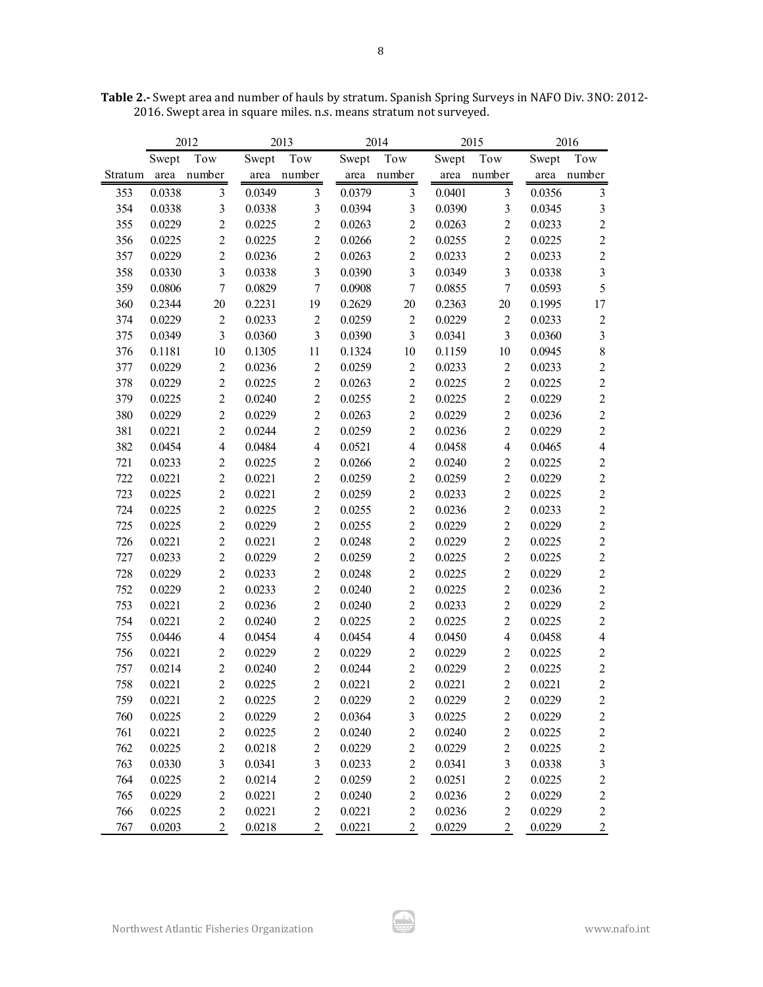|         |        | 2012           | 2013   |                  |        | 2014             |        | 2015             |        | 2016                    |
|---------|--------|----------------|--------|------------------|--------|------------------|--------|------------------|--------|-------------------------|
|         | Swept  | Tow            | Swept  | Tow              | Swept  | Tow              | Swept  | Tow              | Swept  | Tow                     |
| Stratum | area   | number         |        | area number      |        | area number      | area   | number           | area   | number                  |
| 353     | 0.0338 | $\mathfrak{Z}$ | 0.0349 | $\overline{3}$   | 0.0379 | $\mathfrak{Z}$   | 0.0401 | $\mathfrak{Z}$   | 0.0356 | $\mathfrak{Z}$          |
| 354     | 0.0338 | $\overline{3}$ | 0.0338 | 3                | 0.0394 | 3                | 0.0390 | $\mathfrak{Z}$   | 0.0345 | $\mathfrak{Z}$          |
| 355     | 0.0229 | $\overline{2}$ | 0.0225 | $\overline{2}$   | 0.0263 | $\overline{2}$   | 0.0263 | $\overline{c}$   | 0.0233 | $\overline{2}$          |
| 356     | 0.0225 | $\overline{2}$ | 0.0225 | $\overline{c}$   | 0.0266 | $\overline{2}$   | 0.0255 | $\overline{2}$   | 0.0225 | $\sqrt{2}$              |
| 357     | 0.0229 | $\overline{2}$ | 0.0236 | $\overline{2}$   | 0.0263 | $\overline{2}$   | 0.0233 | $\overline{2}$   | 0.0233 | $\sqrt{2}$              |
| 358     | 0.0330 | $\overline{3}$ | 0.0338 | $\overline{3}$   | 0.0390 | 3                | 0.0349 | $\overline{3}$   | 0.0338 | $\mathfrak{Z}$          |
| 359     | 0.0806 | $\overline{7}$ | 0.0829 | $\overline{7}$   | 0.0908 | $\boldsymbol{7}$ | 0.0855 | $\boldsymbol{7}$ | 0.0593 | 5                       |
| 360     | 0.2344 | $20\,$         | 0.2231 | 19               | 0.2629 | 20               | 0.2363 | $20\,$           | 0.1995 | 17                      |
| 374     | 0.0229 | $\overline{2}$ | 0.0233 | $\overline{2}$   | 0.0259 | $\sqrt{2}$       | 0.0229 | $\sqrt{2}$       | 0.0233 | $\overline{2}$          |
| 375     | 0.0349 | $\mathfrak{Z}$ | 0.0360 | 3                | 0.0390 | 3                | 0.0341 | $\overline{3}$   | 0.0360 | $\mathfrak{Z}$          |
| 376     | 0.1181 | 10             | 0.1305 | 11               | 0.1324 | $10\,$           | 0.1159 | $10\,$           | 0.0945 | $\,$ $\,$               |
| 377     | 0.0229 | $\overline{2}$ | 0.0236 | $\overline{2}$   | 0.0259 | $\overline{c}$   | 0.0233 | $\overline{2}$   | 0.0233 | $\sqrt{2}$              |
| 378     | 0.0229 | $\overline{2}$ | 0.0225 | $\overline{2}$   | 0.0263 | $\overline{2}$   | 0.0225 | $\overline{2}$   | 0.0225 | $\sqrt{2}$              |
| 379     | 0.0225 | $\overline{2}$ | 0.0240 | $\overline{2}$   | 0.0255 | $\overline{2}$   | 0.0225 | $\overline{2}$   | 0.0229 | $\overline{c}$          |
| 380     | 0.0229 | $\overline{2}$ | 0.0229 | $\overline{2}$   | 0.0263 | $\overline{2}$   | 0.0229 | $\overline{2}$   | 0.0236 | $\overline{c}$          |
| 381     | 0.0221 | $\overline{2}$ | 0.0244 | $\overline{2}$   | 0.0259 | $\overline{2}$   | 0.0236 | $\overline{2}$   | 0.0229 | $\sqrt{2}$              |
| 382     | 0.0454 | $\overline{4}$ | 0.0484 | $\overline{4}$   | 0.0521 | $\overline{4}$   | 0.0458 | $\overline{4}$   | 0.0465 | $\overline{4}$          |
| 721     | 0.0233 | $\overline{2}$ | 0.0225 | $\overline{c}$   | 0.0266 | $\overline{2}$   | 0.0240 | $\overline{2}$   | 0.0225 | $\overline{c}$          |
| 722     | 0.0221 | $\overline{2}$ | 0.0221 | $\overline{c}$   | 0.0259 | $\overline{2}$   | 0.0259 | $\overline{2}$   | 0.0229 | $\overline{c}$          |
| 723     | 0.0225 | $\overline{2}$ | 0.0221 | $\overline{2}$   | 0.0259 | $\overline{2}$   | 0.0233 | $\overline{2}$   | 0.0225 | $\overline{2}$          |
| 724     | 0.0225 | $\overline{2}$ | 0.0225 | $\overline{2}$   | 0.0255 | $\overline{2}$   | 0.0236 | $\overline{2}$   | 0.0233 | $\sqrt{2}$              |
| 725     | 0.0225 | $\overline{2}$ | 0.0229 | $\overline{2}$   | 0.0255 | $\overline{2}$   | 0.0229 | $\overline{2}$   | 0.0229 | $\overline{c}$          |
| 726     | 0.0221 | $\overline{c}$ | 0.0221 | $\overline{c}$   | 0.0248 | $\overline{2}$   | 0.0229 | $\overline{2}$   | 0.0225 | $\overline{c}$          |
| 727     | 0.0233 | $\overline{2}$ | 0.0229 | $\overline{2}$   | 0.0259 | $\sqrt{2}$       | 0.0225 | $\sqrt{2}$       | 0.0225 | $\boldsymbol{2}$        |
| 728     | 0.0229 | $\overline{c}$ | 0.0233 | $\overline{c}$   | 0.0248 | $\sqrt{2}$       | 0.0225 | $\sqrt{2}$       | 0.0229 | $\boldsymbol{2}$        |
| 752     | 0.0229 | $\overline{2}$ | 0.0233 | $\overline{c}$   | 0.0240 | $\overline{2}$   | 0.0225 | $\sqrt{2}$       | 0.0236 | $\overline{c}$          |
| 753     | 0.0221 | $\overline{c}$ | 0.0236 | $\overline{c}$   | 0.0240 | $\overline{2}$   | 0.0233 | $\overline{c}$   | 0.0229 | $\boldsymbol{2}$        |
| 754     | 0.0221 | $\overline{c}$ | 0.0240 | $\overline{c}$   | 0.0225 | $\overline{2}$   | 0.0225 | $\overline{2}$   | 0.0225 | $\overline{c}$          |
| 755     | 0.0446 | $\overline{4}$ | 0.0454 | $\overline{4}$   | 0.0454 | $\overline{4}$   | 0.0450 | $\overline{4}$   | 0.0458 | $\overline{\mathbf{4}}$ |
| 756     | 0.0221 | $\sqrt{2}$     | 0.0229 | $\overline{2}$   | 0.0229 | $\sqrt{2}$       | 0.0229 | $\overline{c}$   | 0.0225 | $\boldsymbol{2}$        |
| 757     | 0.0214 | $\overline{2}$ | 0.0240 | $\overline{2}$   | 0.0244 | $\overline{2}$   | 0.0229 | $\overline{2}$   | 0.0225 | $\boldsymbol{2}$        |
| 758     | 0.0221 | $\overline{2}$ | 0.0225 | $\overline{2}$   | 0.0221 | $\overline{2}$   | 0.0221 | $\overline{2}$   | 0.0221 | $\overline{c}$          |
| 759     | 0.0221 | $\overline{c}$ | 0.0225 | $\overline{c}$   | 0.0229 | $\overline{c}$   | 0.0229 | $\overline{c}$   | 0.0229 | $\overline{c}$          |
| 760     | 0.0225 | $\sqrt{2}$     | 0.0229 | $\boldsymbol{2}$ | 0.0364 | $\mathfrak{Z}$   | 0.0225 | $\sqrt{2}$       | 0.0229 | $\sqrt{2}$              |
| 761     | 0.0221 | $\overline{2}$ | 0.0225 | $\overline{c}$   | 0.0240 | $\overline{c}$   | 0.0240 | $\overline{2}$   | 0.0225 | $\boldsymbol{2}$        |
| 762     | 0.0225 | $\sqrt{2}$     | 0.0218 | $\overline{c}$   | 0.0229 | $\sqrt{2}$       | 0.0229 | $\sqrt{2}$       | 0.0225 | $\overline{c}$          |
| 763     | 0.0330 | $\overline{3}$ | 0.0341 | $\mathfrak{Z}$   | 0.0233 | $\sqrt{2}$       | 0.0341 | $\mathfrak{Z}$   | 0.0338 | $\mathfrak{Z}$          |
| 764     | 0.0225 | $\overline{c}$ | 0.0214 | $\sqrt{2}$       | 0.0259 | $\sqrt{2}$       | 0.0251 | $\sqrt{2}$       | 0.0225 | $\sqrt{2}$              |
| 765     | 0.0229 | $\overline{c}$ | 0.0221 | $\boldsymbol{2}$ | 0.0240 | $\overline{c}$   | 0.0236 | $\sqrt{2}$       | 0.0229 | $\sqrt{2}$              |
| 766     | 0.0225 | $\overline{c}$ | 0.0221 | $\boldsymbol{2}$ | 0.0221 | $\sqrt{2}$       | 0.0236 | $\sqrt{2}$       | 0.0229 | $\overline{c}$          |
| 767     | 0.0203 | $\overline{c}$ | 0.0218 | $\overline{c}$   | 0.0221 | $\overline{c}$   | 0.0229 | $\sqrt{2}$       | 0.0229 | $\overline{2}$          |

**Table 2.-** Swept area and number of hauls by stratum. Spanish Spring Surveys in NAFO Div. 3NO: 2012- 2016. Swept area in square miles. n.s. means stratum not surveyed.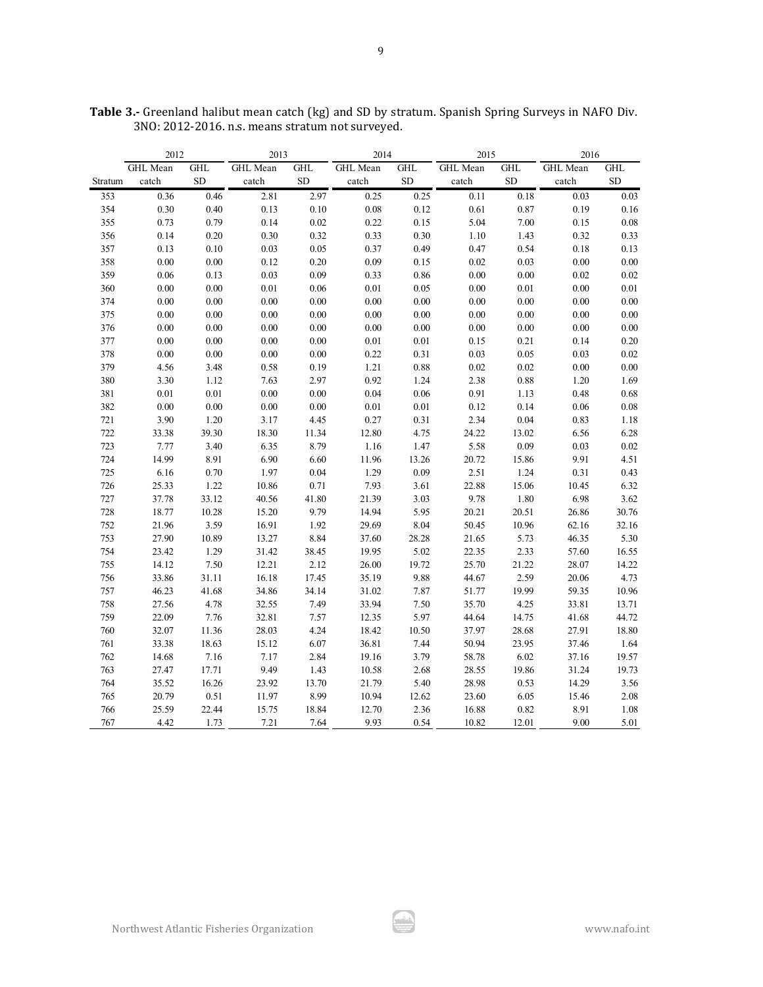|         | 2012     |            | 2013     |                    | 2014     |            | 2015     |            | 2016     |            |
|---------|----------|------------|----------|--------------------|----------|------------|----------|------------|----------|------------|
|         | GHL Mean | <b>GHL</b> | GHL Mean | $\mathop{\rm GHL}$ | GHL Mean | <b>GHL</b> | GHL Mean | <b>GHL</b> | GHL Mean | <b>GHL</b> |
| Stratum | catch    | ${\rm SD}$ | catch    | ${\rm SD}$         | catch    | <b>SD</b>  | catch    | ${\rm SD}$ | catch    | ${\rm SD}$ |
| 353     | 0.36     | 0.46       | 2.81     | 2.97               | 0.25     | 0.25       | 0.11     | 0.18       | 0.03     | 0.03       |
| 354     | 0.30     | 0.40       | 0.13     | 0.10               | 0.08     | 0.12       | 0.61     | 0.87       | 0.19     | 0.16       |
| 355     | 0.73     | 0.79       | 0.14     | 0.02               | 0.22     | 0.15       | 5.04     | 7.00       | 0.15     | 0.08       |
| 356     | 0.14     | 0.20       | 0.30     | 0.32               | 0.33     | 0.30       | 1.10     | 1.43       | 0.32     | 0.33       |
| 357     | 0.13     | $0.10\,$   | 0.03     | 0.05               | 0.37     | 0.49       | 0.47     | 0.54       | 0.18     | 0.13       |
| 358     | 0.00     | 0.00       | 0.12     | 0.20               | 0.09     | 0.15       | 0.02     | 0.03       | $0.00\,$ | $0.00\,$   |
| 359     | 0.06     | 0.13       | 0.03     | 0.09               | 0.33     | 0.86       | 0.00     | 0.00       | 0.02     | 0.02       |
| 360     | 0.00     | 0.00       | $0.01\,$ | 0.06               | $0.01\,$ | 0.05       | 0.00     | 0.01       | 0.00     | $0.01\,$   |
| 374     | 0.00     | 0.00       | 0.00     | 0.00               | 0.00     | 0.00       | 0.00     | 0.00       | 0.00     | 0.00       |
| 375     | 0.00     | $0.00\,$   | 0.00     | 0.00               | 0.00     | 0.00       | 0.00     | 0.00       | 0.00     | 0.00       |
| 376     | 0.00     | $0.00\,$   | 0.00     | 0.00               | 0.00     | $0.00\,$   | 0.00     | $0.00\,$   | 0.00     | $0.00\,$   |
| 377     | 0.00     | 0.00       | 0.00     | 0.00               | 0.01     | $0.01\,$   | 0.15     | 0.21       | 0.14     | 0.20       |
| 378     | $0.00\,$ | $0.00\,$   | 0.00     | $0.00\,$           | 0.22     | 0.31       | 0.03     | 0.05       | 0.03     | 0.02       |
| 379     | 4.56     | 3.48       | 0.58     | 0.19               | 1.21     | $\rm 0.88$ | 0.02     | 0.02       | 0.00     | $0.00\,$   |
| 380     | 3.30     | 1.12       | 7.63     | 2.97               | 0.92     | 1.24       | 2.38     | 0.88       | 1.20     | 1.69       |
| 381     | $0.01\,$ | 0.01       | 0.00     | 0.00               | 0.04     | 0.06       | 0.91     | 1.13       | 0.48     | 0.68       |
| 382     | 0.00     | 0.00       | $0.00\,$ | 0.00               | $0.01\,$ | $0.01\,$   | 0.12     | 0.14       | 0.06     | $0.08\,$   |
| 721     | 3.90     | $1.20\,$   | 3.17     | 4.45               | 0.27     | 0.31       | 2.34     | 0.04       | 0.83     | $1.18\,$   |
| 722     | 33.38    | 39.30      | 18.30    | 11.34              | 12.80    | 4.75       | 24.22    | 13.02      | 6.56     | 6.28       |
| 723     | 7.77     | 3.40       | 6.35     | 8.79               | 1.16     | 1.47       | 5.58     | 0.09       | 0.03     | $0.02\,$   |
| 724     | 14.99    | 8.91       | 6.90     | 6.60               | 11.96    | 13.26      | 20.72    | 15.86      | 9.91     | 4.51       |
| 725     | 6.16     | $0.70\,$   | 1.97     | 0.04               | 1.29     | 0.09       | 2.51     | 1.24       | 0.31     | 0.43       |
| 726     | 25.33    | 1.22       | 10.86    | 0.71               | 7.93     | 3.61       | 22.88    | 15.06      | 10.45    | 6.32       |
| 727     | 37.78    | 33.12      | 40.56    | 41.80              | 21.39    | 3.03       | 9.78     | $1.80\,$   | 6.98     | 3.62       |
| 728     | 18.77    | 10.28      | 15.20    | 9.79               | 14.94    | 5.95       | 20.21    | 20.51      | 26.86    | 30.76      |
| 752     | 21.96    | 3.59       | 16.91    | 1.92               | 29.69    | 8.04       | 50.45    | 10.96      | 62.16    | 32.16      |
| 753     | 27.90    | 10.89      | 13.27    | 8.84               | 37.60    | 28.28      | 21.65    | 5.73       | 46.35    | 5.30       |
| 754     | 23.42    | 1.29       | 31.42    | 38.45              | 19.95    | 5.02       | 22.35    | 2.33       | 57.60    | 16.55      |
| 755     | 14.12    | 7.50       | 12.21    | 2.12               | 26.00    | 19.72      | 25.70    | 21.22      | 28.07    | 14.22      |
| 756     | 33.86    | 31.11      | 16.18    | 17.45              | 35.19    | 9.88       | 44.67    | 2.59       | 20.06    | 4.73       |
| 757     | 46.23    | 41.68      | 34.86    | 34.14              | 31.02    | 7.87       | 51.77    | 19.99      | 59.35    | 10.96      |
| 758     | 27.56    | 4.78       | 32.55    | 7.49               | 33.94    | 7.50       | 35.70    | 4.25       | 33.81    | 13.71      |
| 759     | 22.09    | 7.76       | 32.81    | 7.57               | 12.35    | 5.97       | 44.64    | 14.75      | 41.68    | 44.72      |
| 760     | 32.07    | 11.36      | 28.03    | 4.24               | 18.42    | 10.50      | 37.97    | 28.68      | 27.91    | 18.80      |
| 761     | 33.38    | 18.63      | 15.12    | 6.07               | 36.81    | 7.44       | 50.94    | 23.95      | 37.46    | 1.64       |
| 762     | 14.68    | 7.16       | 7.17     | 2.84               | 19.16    | 3.79       | 58.78    | 6.02       | 37.16    | 19.57      |
| 763     | 27.47    | 17.71      | 9.49     | 1.43               | 10.58    | 2.68       | 28.55    | 19.86      | 31.24    | 19.73      |
| 764     | 35.52    | 16.26      | 23.92    | 13.70              | 21.79    | 5.40       | 28.98    | 0.53       | 14.29    | 3.56       |
| 765     | 20.79    | 0.51       | 11.97    | 8.99               | 10.94    | 12.62      | 23.60    | 6.05       | 15.46    | 2.08       |
| 766     | 25.59    | 22.44      | 15.75    | 18.84              | 12.70    | 2.36       | 16.88    | 0.82       | 8.91     | $1.08\,$   |
| 767     | 4.42     | 1.73       | 7.21     | 7.64               | 9.93     | 0.54       | 10.82    | 12.01      | 9.00     | 5.01       |

**Table 3.-** Greenland halibut mean catch (kg) and SD by stratum. Spanish Spring Surveys in NAFO Div. 3NO: 2012-2016. n.s. means stratum not surveyed.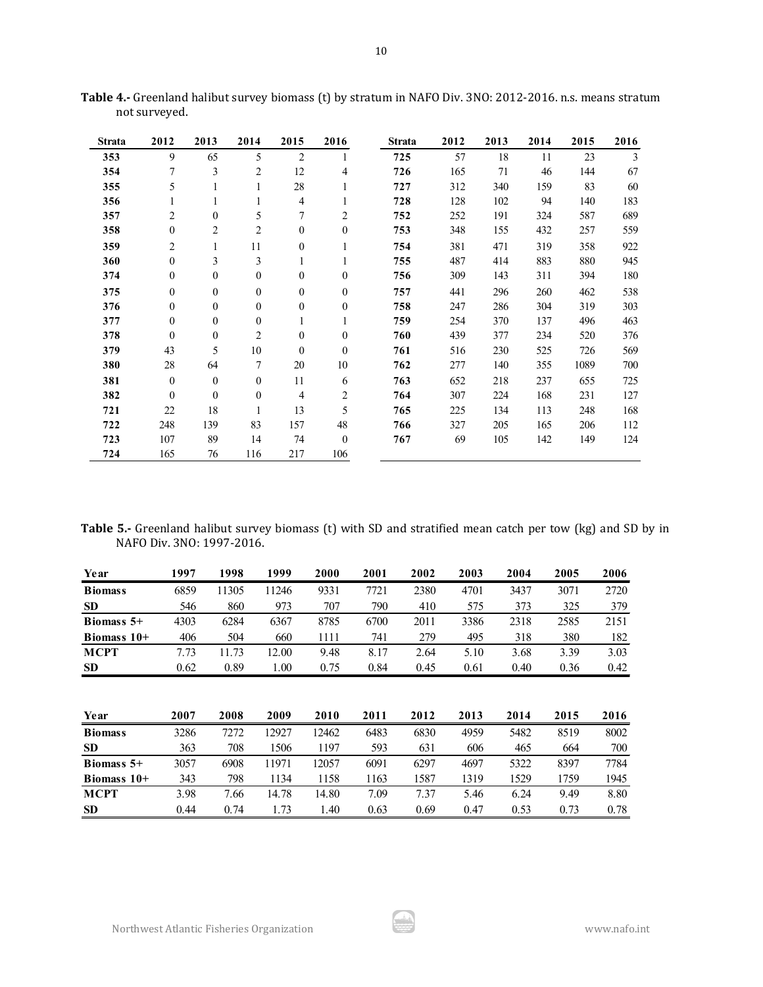| <b>Strata</b> | 2012             | 2013             | 2014             | 2015             | 2016             | <b>Strata</b> | 2012 | 2013 | 2014 | 2015 | 2016 |
|---------------|------------------|------------------|------------------|------------------|------------------|---------------|------|------|------|------|------|
| 353           | 9                | 65               | 5                | $\overline{2}$   | 1                | 725           | 57   | 18   | 11   | 23   | 3    |
| 354           | 7                | 3                | $\overline{c}$   | 12               | $\overline{4}$   | 726           | 165  | 71   | 46   | 144  | 67   |
| 355           | 5                | 1                | 1                | 28               | 1                | 727           | 312  | 340  | 159  | 83   | 60   |
| 356           | 1                | 1                | 1                | $\overline{4}$   | 1                | 728           | 128  | 102  | 94   | 140  | 183  |
| 357           | $\overline{2}$   | $\mathbf{0}$     | 5                | $\overline{7}$   | 2                | 752           | 252  | 191  | 324  | 587  | 689  |
| 358           | $\boldsymbol{0}$ | $\overline{2}$   | 2                | $\boldsymbol{0}$ | $\boldsymbol{0}$ | 753           | 348  | 155  | 432  | 257  | 559  |
| 359           | 2                | 1                | 11               | $\boldsymbol{0}$ | 1                | 754           | 381  | 471  | 319  | 358  | 922  |
| 360           | $\mathbf{0}$     | 3                | 3                | 1                | 1                | 755           | 487  | 414  | 883  | 880  | 945  |
| 374           | $\mathbf{0}$     | $\mathbf{0}$     | $\mathbf{0}$     | $\overline{0}$   | $\mathbf{0}$     | 756           | 309  | 143  | 311  | 394  | 180  |
| 375           | $\boldsymbol{0}$ | $\boldsymbol{0}$ | $\boldsymbol{0}$ | $\boldsymbol{0}$ | $\mathbf{0}$     | 757           | 441  | 296  | 260  | 462  | 538  |
| 376           | $\mathbf{0}$     | $\mathbf{0}$     | $\mathbf{0}$     | $\overline{0}$   | $\mathbf{0}$     | 758           | 247  | 286  | 304  | 319  | 303  |
| 377           | $\Omega$         | $\theta$         | $\mathbf{0}$     | $\mathbf{1}$     | $\mathbf{1}$     | 759           | 254  | 370  | 137  | 496  | 463  |
| 378           | $\mathbf{0}$     | $\boldsymbol{0}$ | 2                | $\mathbf{0}$     | $\boldsymbol{0}$ | 760           | 439  | 377  | 234  | 520  | 376  |
| 379           | 43               | 5                | 10               | $\mathbf{0}$     | $\mathbf{0}$     | 761           | 516  | 230  | 525  | 726  | 569  |
| 380           | 28               | 64               | 7                | 20               | 10               | 762           | 277  | 140  | 355  | 1089 | 700  |
| 381           | $\theta$         | $\mathbf{0}$     | $\mathbf{0}$     | 11               | 6                | 763           | 652  | 218  | 237  | 655  | 725  |
| 382           | $\theta$         | $\mathbf{0}$     | $\mathbf{0}$     | 4                | 2                | 764           | 307  | 224  | 168  | 231  | 127  |
| 721           | 22               | 18               | 1                | 13               | 5                | 765           | 225  | 134  | 113  | 248  | 168  |
| 722           | 248              | 139              | 83               | 157              | 48               | 766           | 327  | 205  | 165  | 206  | 112  |
| 723           | 107              | 89               | 14               | 74               | $\mathbf{0}$     | 767           | 69   | 105  | 142  | 149  | 124  |
| 724           | 165              | 76               | 116              | 217              | 106              |               |      |      |      |      |      |

**Table 4.-** Greenland halibut survey biomass (t) by stratum in NAFO Div. 3NO: 2012-2016. n.s. means stratum not surveyed.

|  | Table 5.- Greenland halibut survey biomass (t) with SD and stratified mean catch per tow (kg) and SD by in |  |  |  |  |  |  |
|--|------------------------------------------------------------------------------------------------------------|--|--|--|--|--|--|
|  | NAFO Div. 3NO: 1997-2016.                                                                                  |  |  |  |  |  |  |

| Year           | 1997 | 1998  | 1999  | 2000  | 2001 | 2002 | 2003 | 2004 | 2005 | 2006 |
|----------------|------|-------|-------|-------|------|------|------|------|------|------|
| <b>Biomass</b> | 6859 | 11305 | 11246 | 9331  | 7721 | 2380 | 4701 | 3437 | 3071 | 2720 |
| <b>SD</b>      | 546  | 860   | 973   | 707   | 790  | 410  | 575  | 373  | 325  | 379  |
| Biomass $5+$   | 4303 | 6284  | 6367  | 8785  | 6700 | 2011 | 3386 | 2318 | 2585 | 2151 |
| Biomass $10+$  | 406  | 504   | 660   | 1111  | 741  | 279  | 495  | 318  | 380  | 182  |
| <b>MCPT</b>    | 7.73 | 11.73 | 12.00 | 9.48  | 8.17 | 2.64 | 5.10 | 3.68 | 3.39 | 3.03 |
| <b>SD</b>      | 0.62 | 0.89  | 1.00  | 0.75  | 0.84 | 0.45 | 0.61 | 0.40 | 0.36 | 0.42 |
| Year           | 2007 | 2008  | 2009  | 2010  | 2011 | 2012 | 2013 | 2014 | 2015 | 2016 |
| <b>Biomass</b> | 3286 | 7272  | 12927 | 12462 | 6483 | 6830 | 4959 | 5482 | 8519 | 8002 |
| <b>SD</b>      | 363  | 708   | 1506  | 1197  | 593  | 631  | 606  | 465  | 664  | 700  |
| Biomass $5+$   | 3057 | 6908  | 11971 | 12057 | 6091 | 6297 | 4697 | 5322 | 8397 | 7784 |
| Biomass $10+$  | 343  | 798   | 1134  | 1158  | 1163 | 1587 | 1319 | 1529 | 1759 | 1945 |
| <b>MCPT</b>    | 3.98 | 7.66  | 14.78 | 14.80 | 7.09 | 7.37 | 5.46 | 6.24 | 9.49 | 8.80 |
| <b>SD</b>      | 0.44 | 0.74  | 1.73  | 1.40  | 0.63 | 0.69 | 0.47 | 0.53 | 0.73 | 0.78 |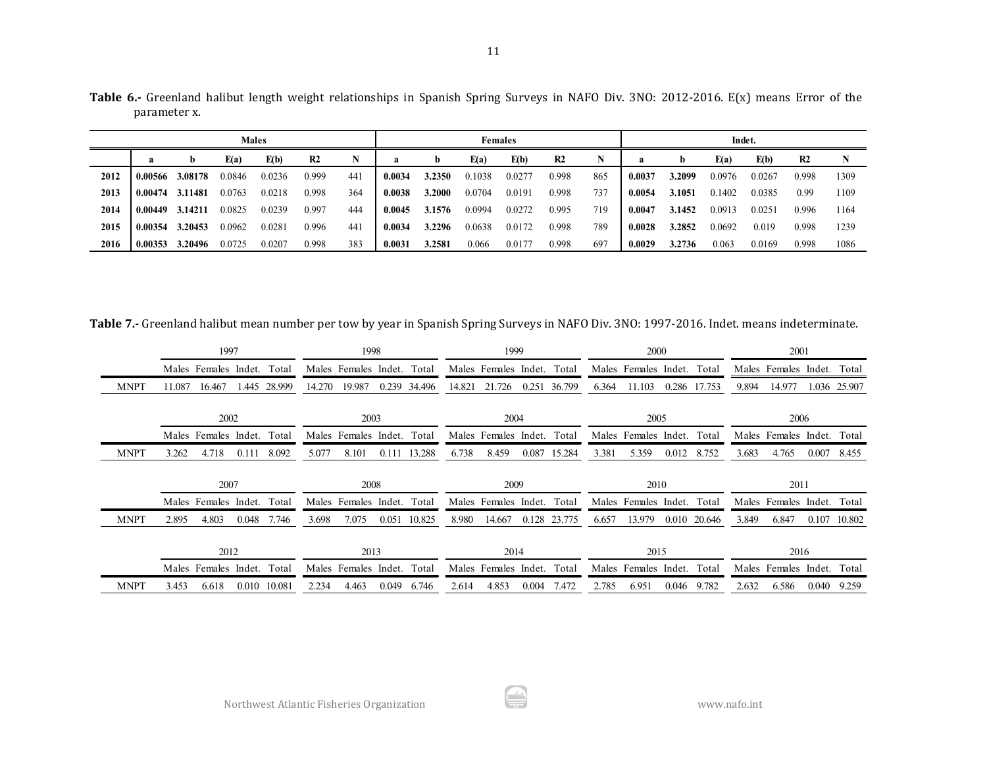|      |         |         |        | <b>Males</b> |                |     |        |        |        | <b>Females</b> |                |     |        |        | Indet. |        |                |      |
|------|---------|---------|--------|--------------|----------------|-----|--------|--------|--------|----------------|----------------|-----|--------|--------|--------|--------|----------------|------|
|      |         | b       | E(a)   | E(b)         | R <sub>2</sub> | N   | a      | b      | E(a)   | E(b)           | R <sub>2</sub> |     |        |        | E(a)   | E(b)   | R <sub>2</sub> |      |
| 2012 | 0.00566 | 3.08178 | 0.0846 | 0.0236       | 0.999          | 44  | 0.0034 | 3.2350 | 0.1038 | 0.0277         | 0.998          | 865 | 0.0037 | 3.2099 | 0.0976 | 0.0267 | 0.998          | 1309 |
| 2013 | 0.00474 | 3.11481 | 0.0763 | 0.0218       | 0.998          | 364 | 0.0038 | 3.2000 | 0.0704 | 0.0191         | 0.998          | 737 | 0.0054 | 3.1051 | 0.1402 | 0.0385 | 0.99           | 1109 |
| 2014 | 0.00449 | 3.14211 | 0.0825 | 0.0239       | 0.997          | 444 | 0.0045 | 3.1576 | 0.0994 | 0.0272         | 0.995          | 719 | 0.0047 | 3.1452 | 0.0913 | 0.0251 | 0.996          | 1164 |
| 2015 | 0.00354 | 3.20453 | 0.0962 | 0.0281       | 0.996          | 44  | 0.0034 | 3.2296 | 0.0638 | 0.0172         | 0.998          | 789 | 0.0028 | 3.2852 | 0.0692 | 0.019  | 0.998          | 1239 |
| 2016 | 0.00353 | 3.20496 | 0.0725 | 0.0207       | 0.998          | 383 | 0.0031 | 3.2581 | 0.066  | 0.0177         | 0.998          | 697 | 0.0029 | 3.2736 | 0.063  | 0.0169 | 0.998          | 1086 |

**Table 6.-** Greenland halibut length weight relationships in Spanish Spring Surveys in NAFO Div. 3NO: 2012-2016. E(x) means Error of the parameter x.

**Table 7.-** Greenland halibut mean number per tow by year in Spanish Spring Surveys in NAFO Div. 3NO: 1997-2016. Indet. means indeterminate.

|             | 1997                                | 1998                                | 1999                                | 2000                               | 2001                              |
|-------------|-------------------------------------|-------------------------------------|-------------------------------------|------------------------------------|-----------------------------------|
|             | Males Females Indet.<br>Total       | Males Females Indet. Total          | Males Females Indet. Total          | Males Females Indet. Total         | Males Females Indet. Total        |
| <b>MNPT</b> | 28.999<br>11.087<br>16.467<br>1.445 | 14.270<br>19.987<br>0.239<br>34.496 | 36.799<br>14.821<br>21.726<br>0.251 | 11.103<br>6.364<br>0.286<br>17.753 | 14.977<br>9.894<br>1.036 25.907   |
|             | 2002                                | 2003                                | 2004                                | 2005                               | 2006                              |
|             | Males Females Indet.<br>Total       | Males Females Indet.<br>Total       | Males Females Indet.<br>Total       | Males Females Indet. Total         | Males Females Indet. Total        |
| <b>MNPT</b> | 3.262<br>4.718<br>8.092<br>0.111    | 8.101<br>13.288<br>5.077<br>0.111   | 6.738<br>8.459<br>0.087<br>15.284   | 3.381<br>5.359<br>0.012<br>8.752   | 4.765<br>3.683<br>0.007<br>8.455  |
|             |                                     |                                     |                                     |                                    |                                   |
|             | 2007                                | 2008                                | 2009                                | 2010                               | 2011                              |
|             | Males Females Indet.<br>Total       | Total<br>Males Females Indet.       | Males Females Indet.<br>Total       | Males Females Indet. Total         | Males Females Indet. Total        |
| <b>MNPT</b> | 2.895<br>4.803<br>0.048<br>7.746    | 3.698<br>0.051<br>10.825<br>7.075   | 8.980<br>0.128<br>23.775<br>14.667  | 13.979<br>6.657<br>0.010 20.646    | 6.847<br>0.107<br>10.802<br>3.849 |
|             | 2012                                | 2013                                | 2014                                | 2015                               | 2016                              |
|             | Males Females Indet.<br>Total       | Males Females<br>Indet.<br>Total    | Males Females<br>Indet.<br>Total    | Total<br>Males Females<br>Indet.   | Males Females<br>Indet.<br>Total  |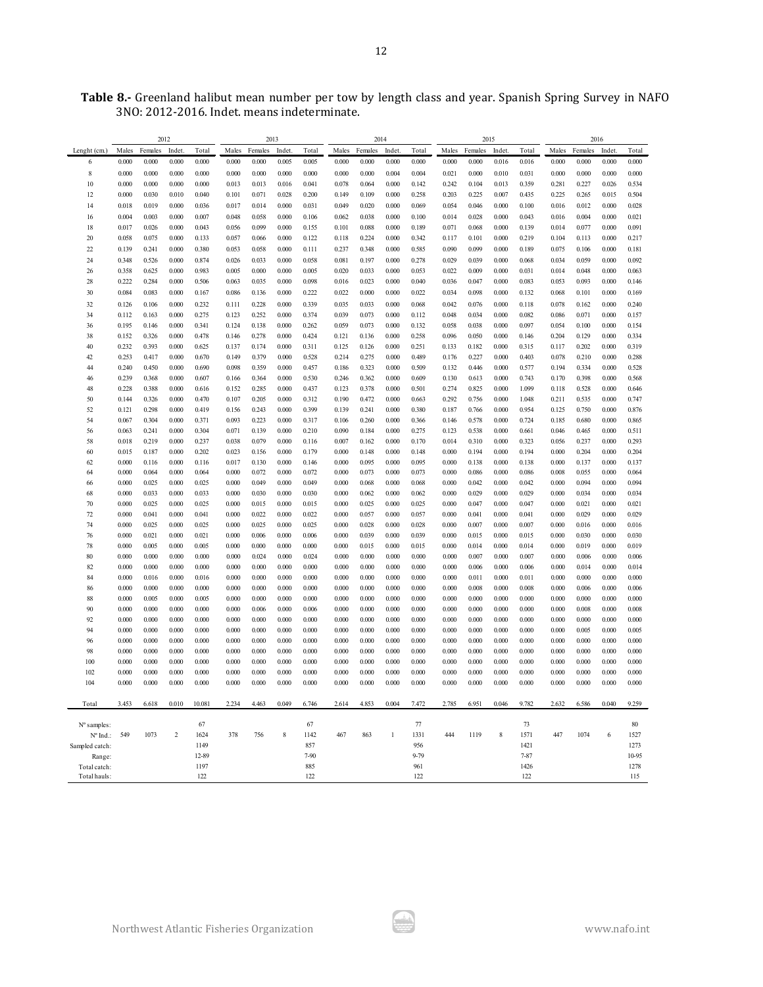|                        |                | 2012           |                |                |                | 2013           |                |                |                | 2014           |                |                |                | 2015           |                |                  |                | 2016           |                |                |
|------------------------|----------------|----------------|----------------|----------------|----------------|----------------|----------------|----------------|----------------|----------------|----------------|----------------|----------------|----------------|----------------|------------------|----------------|----------------|----------------|----------------|
| Lenght (cm.)           | Males          | Females        | Indet.         | Total          | Males          | Females        | Indet.         | Total          | Males          | Females        | Indet.         | Total          | Males          | Females        | Indet.         | Total            | Males          | Females        | Indet.         | Total          |
| 6                      | 0.000          | 0.000          | 0.000          | 0.000          | 0.000          | 0.000          | 0.005          | 0.005          | 0.000          | 0.000          | 0.000          | 0.000          | 0.000          | 0.000          | 0.016          | 0.016            | 0.000          | 0.000          | 0.000          | 0.000          |
| 8                      | 0.000          | 0.000          | 0.000          | 0.000          | 0.000          | 0.000          | 0.000          | 0.000          | 0.000          | 0.000          | 0.004          | 0.004          | 0.021          | 0.000          | 0.010          | 0.031            | 0.000          | 0.000          | 0.000          | 0.000          |
| 10                     | 0.000          | 0.000          | 0.000          | 0.000          | 0.013          | 0.013          | 0.016          | 0.041          | 0.078          | 0.064          | 0.000          | 0.142          | 0.242          | 0.104          | 0.013          | 0.359            | 0.281          | 0.227          | 0.026          | 0.534          |
| 12                     | 0.000          | 0.030          | 0.010          | 0.040          | 0.101          | 0.071          | 0.028          | 0.200          | 0.149          | 0.109          | 0.000          | 0.258          | 0.203          | 0.225          | 0.007          | 0.435            | 0.225          | 0.265          | 0.015          | 0.504          |
| 14                     | 0.018          | 0.019          | 0.000          | 0.036          | 0.017          | 0.014          | 0.000          | 0.031          | 0.049          | 0.020          | 0.000          | 0.069          | 0.054          | 0.046          | 0.000          | 0.100            | 0.016          | 0.012          | 0.000          | 0.028          |
| 16                     | 0.004          | 0.003          | 0.000          | 0.007          | 0.048          | 0.058          | 0.000          | 0.106          | 0.062          | 0.038          | 0.000          | 0.100          | 0.014          | 0.028          | 0.000          | 0.043            | 0.016          | 0.004          | 0.000          | 0.021          |
| 18                     | 0.017          | 0.026          | 0.000          | 0.043          | 0.056          | 0.099          | 0.000          | 0.155          | 0.101          | 0.088          | 0.000          | 0.189          | 0.071          | 0.068          | 0.000          | 0.139            | 0.014          | 0.077          | 0.000          | 0.091          |
| 20<br>22               | 0.058<br>0.139 | 0.075<br>0.241 | 0.000<br>0.000 | 0.133<br>0.380 | 0.057<br>0.053 | 0.066<br>0.058 | 0.000<br>0.000 | 0.122<br>0.111 | 0.118<br>0.237 | 0.224<br>0.348 | 0.000<br>0.000 | 0.342<br>0.585 | 0.117<br>0.090 | 0.101<br>0.099 | 0.000<br>0.000 | 0.219<br>0.189   | 0.104<br>0.075 | 0.113<br>0.106 | 0.000<br>0.000 | 0.217<br>0.181 |
|                        |                | 0.526          |                | 0.874          |                | 0.033          | 0.000          | 0.058          |                |                |                | 0.278          | 0.029          | 0.039          | 0.000          |                  | 0.034          | 0.059          | 0.000          | 0.092          |
| 24<br>26               | 0.348<br>0.358 | 0.625          | 0.000<br>0.000 | 0.983          | 0.026<br>0.005 | 0.000          | 0.000          | 0.005          | 0.081<br>0.020 | 0.197<br>0.033 | 0.000<br>0.000 | 0.053          | 0.022          | 0.009          | 0.000          | 0.068<br>0.031   | 0.014          | 0.048          | 0.000          | 0.063          |
| 28                     | 0.222          | 0.284          | 0.000          | 0.506          | 0.063          | 0.035          | 0.000          | 0.098          | 0.016          | 0.023          | 0.000          | 0.040          | 0.036          | 0.047          | 0.000          | 0.083            | 0.053          | 0.093          | 0.000          | 0.146          |
| 30                     | 0.084          | 0.083          | 0.000          | 0.167          | 0.086          | 0.136          | 0.000          | 0.222          | 0.022          | 0.000          | 0.000          | 0.022          | 0.034          | 0.098          | 0.000          | 0.132            | 0.068          | 0.101          | 0.000          | 0.169          |
| 32                     | 0.126          | 0.106          | 0.000          | 0.232          | 0.111          | 0.228          | 0.000          | 0.339          | 0.035          | 0.033          | 0.000          | 0.068          | 0.042          | 0.076          | 0.000          | 0.118            | 0.078          | 0.162          | 0.000          | 0.240          |
| 34                     | 0.112          | 0.163          | 0.000          | 0.275          | 0.123          | 0.252          | 0.000          | 0.374          | 0.039          | 0.073          | 0.000          | 0.112          | 0.048          | 0.034          | 0.000          | 0.082            | 0.086          | 0.071          | 0.000          | 0.157          |
| 36                     | 0.195          | 0.146          | 0.000          | 0.341          | 0.124          | 0.138          | 0.000          | 0.262          | 0.059          | 0.073          | 0.000          | 0.132          | 0.058          | 0.038          | 0.000          | 0.097            | 0.054          | 0.100          | 0.000          | 0.154          |
| 38                     | 0.152          | 0.326          | 0.000          | 0.478          | 0.146          | 0.278          | 0.000          | 0.424          | 0.121          | 0.136          | 0.000          | 0.258          | 0.096          | 0.050          | 0.000          | 0.146            | 0.204          | 0.129          | 0.000          | 0.334          |
| 40                     | 0.232          | 0.393          | 0.000          | 0.625          | 0.137          | 0.174          | 0.000          | 0.311          | 0.125          | 0.126          | 0.000          | 0.251          | 0.133          | 0.182          | 0.000          | 0.315            | 0.117          | 0.202          | 0.000          | 0.319          |
| 42                     | 0.253          | 0.417          | 0.000          | 0.670          | 0.149          | 0.379          | 0.000          | 0.528          | 0.214          | 0.275          | 0.000          | 0.489          | 0.176          | 0.227          | 0.000          | 0.403            | 0.078          | 0.210          | 0.000          | 0.288          |
| 44                     | 0.240          | 0.450          | 0.000          | 0.690          | 0.098          | 0.359          | 0.000          | 0.457          | 0.186          | 0.323          | 0.000          | 0.509          | 0.132          | 0.446          | 0.000          | 0.577            | 0.194          | 0.334          | 0.000          | 0.528          |
| 46                     | 0.239          | 0.368          | 0.000          | 0.607          | 0.166          | 0.364          | 0.000          | 0.530          | 0.246          | 0.362          | 0.000          | 0.609          | 0.130          | 0.613          | 0.000          | 0.743            | 0.170          | 0.398          | 0.000          | 0.568          |
| 48                     | 0.228          | 0.388          | 0.000          | 0.616          | 0.152          | 0.285          | 0.000          | 0.437          | 0.123          | 0.378          | 0.000          | 0.501          | 0.274          | 0.825          | 0.000          | 1.099            | 0.118          | 0.528          | 0.000          | 0.646          |
| 50                     | 0.144          | 0.326          | 0.000          | 0.470          | 0.107          | 0.205          | 0.000          | 0.312          | 0.190          | 0.472          | 0.000          | 0.663          | 0.292          | 0.756          | 0.000          | 1.048            | 0.211          | 0.535          | 0.000          | 0.747          |
| 52<br>54               | 0.121<br>0.067 | 0.298<br>0.304 | 0.000<br>0.000 | 0.419<br>0.371 | 0.156<br>0.093 | 0.243<br>0.223 | 0.000<br>0.000 | 0.399<br>0.317 | 0.139<br>0.106 | 0.241<br>0.260 | 0.000<br>0.000 | 0.380<br>0.366 | 0.187<br>0.146 | 0.766<br>0.578 | 0.000<br>0.000 | 0.954<br>0.724   | 0.125<br>0.185 | 0.750<br>0.680 | 0.000<br>0.000 | 0.876<br>0.865 |
| 56                     | 0.063          | 0.241          | 0.000          | 0.304          | 0.071          | 0.139          | 0.000          | 0.210          | 0.090          | 0.184          | 0.000          | 0.275          | 0.123          | 0.538          | 0.000          | 0.661            | 0.046          | 0.465          | 0.000          | 0.511          |
| 58                     | 0.018          | 0.219          | 0.000          | 0.237          | 0.038          | 0.079          | 0.000          | 0.116          | 0.007          | 0.162          | 0.000          | 0.170          | 0.014          | 0.310          | 0.000          | 0.323            | 0.056          | 0.237          | 0.000          | 0.293          |
| 60                     | 0.015          | 0.187          | 0.000          | 0.202          | 0.023          | 0.156          | 0.000          | 0.179          | 0.000          | 0.148          | 0.000          | 0.148          | 0.000          | 0.194          | 0.000          | 0.194            | 0.000          | 0.204          | 0.000          | 0.204          |
| 62                     | 0.000          | 0.116          | 0.000          | 0.116          | 0.017          | 0.130          | 0.000          | 0.146          | 0.000          | 0.095          | 0.000          | 0.095          | 0.000          | 0.138          | 0.000          | 0.138            | 0.000          | 0.137          | 0.000          | 0.137          |
| 64                     | 0.000          | 0.064          | 0.000          | 0.064          | 0.000          | 0.072          | 0.000          | 0.072          | 0.000          | 0.073          | 0.000          | 0.073          | 0.000          | 0.086          | 0.000          | 0.086            | 0.008          | 0.055          | 0.000          | 0.064          |
| 66                     | 0.000          | 0.025          | 0.000          | 0.025          | 0.000          | 0.049          | 0.000          | 0.049          | 0.000          | 0.068          | 0.000          | 0.068          | 0.000          | 0.042          | 0.000          | 0.042            | 0.000          | 0.094          | 0.000          | 0.094          |
| 68                     | 0.000          | 0.033          | 0.000          | 0.033          | 0.000          | 0.030          | 0.000          | 0.030          | 0.000          | 0.062          | 0.000          | 0.062          | 0.000          | 0.029          | 0.000          | 0.029            | 0.000          | 0.034          | 0.000          | 0.034          |
| 70                     | 0.000          | 0.025          | 0.000          | 0.025          | 0.000          | 0.015          | 0.000          | 0.015          | 0.000          | 0.025          | 0.000          | 0.025          | 0.000          | 0.047          | 0.000          | 0.047            | 0.000          | 0.021          | 0.000          | 0.021          |
| 72                     | 0.000          | 0.041          | 0.000          | 0.041          | 0.000          | 0.022          | 0.000          | 0.022          | 0.000          | 0.057          | 0.000          | 0.057          | 0.000          | 0.041          | 0.000          | 0.041            | 0.000          | 0.029          | 0.000          | 0.029          |
| 74                     | 0.000          | 0.025          | 0.000          | 0.025          | 0.000          | 0.025          | 0.000          | 0.025          | 0.000          | 0.028          | 0.000          | 0.028          | 0.000          | 0.007          | 0.000          | 0.007            | 0.000          | 0.016          | 0.000          | 0.016          |
| 76                     | 0.000          | 0.021          | 0.000          | 0.021          | 0.000          | 0.006          | 0.000          | 0.006          | 0.000          | 0.039          | 0.000          | 0.039          | 0.000          | 0.015          | 0.000          | 0.015            | 0.000          | 0.030          | 0.000          | 0.030          |
| 78                     | 0.000          | 0.005          | 0.000          | 0.005          | 0.000          | 0.000          | 0.000          | 0.000          | 0.000          | 0.015          | 0.000          | 0.015          | 0.000          | 0.014          | 0.000          | 0.014            | 0.000          | 0.019          | 0.000          | 0.019          |
| 80                     | 0.000          | 0.000          | 0.000          | 0.000          | 0.000          | 0.024          | 0.000          | 0.024          | 0.000          | 0.000          | 0.000          | 0.000          | 0.000          | 0.007          | 0.000          | 0.007            | 0.000          | 0.006          | 0.000          | 0.006          |
| 82                     | 0.000          | 0.000          | 0.000          | 0.000          | 0.000          | 0.000          | 0.000          | 0.000          | 0.000          | 0.000          | 0.000          | 0.000          | 0.000          | 0.006          | 0.000          | 0.006            | 0.000          | 0.014          | 0.000          | 0.014          |
| 84                     | 0.000          | 0.016          | 0.000          | 0.016          | 0.000          | 0.000          | 0.000          | 0.000          | 0.000          | 0.000          | 0.000          | 0.000          | 0.000          | 0.011          | 0.000          | 0.011            | 0.000          | 0.000          | 0.000          | 0.000          |
| 86                     | 0.000          | 0.000          | 0.000          | 0.000<br>0.005 | 0.000          | 0.000<br>0.000 | 0.000          | 0.000          | 0.000          | 0.000          | 0.000          | 0.000          | 0.000          | 0.008<br>0.000 | 0.000          | 0.008            | 0.000          | 0.006<br>0.000 | 0.000          | 0.006          |
| 88<br>90               | 0.000<br>0.000 | 0.005<br>0.000 | 0.000<br>0.000 | 0.000          | 0.000<br>0.000 | 0.006          | 0.000<br>0.000 | 0.000<br>0.006 | 0.000<br>0.000 | 0.000<br>0.000 | 0.000<br>0.000 | 0.000<br>0.000 | 0.000<br>0.000 | 0.000          | 0.000<br>0.000 | 0.000<br>0.000   | 0.000<br>0.000 | 0.008          | 0.000<br>0.000 | 0.000<br>0.008 |
| 92                     | 0.000          | 0.000          | 0.000          | 0.000          | 0.000          | 0.000          | 0.000          | 0.000          | 0.000          | 0.000          | 0.000          | 0.000          | 0.000          | 0.000          | 0.000          | 0.000            | 0.000          | 0.000          | 0.000          | 0.000          |
| 94                     | 0.000          | 0.000          | 0.000          | 0.000          | 0.000          | 0.000          | 0.000          | 0.000          | 0.000          | 0.000          | 0.000          | 0.000          | 0.000          | 0.000          | 0.000          | 0.000            | 0.000          | 0.005          | 0.000          | 0.005          |
| 96                     | 0.000          | 0.000          | 0.000          | 0.000          | 0.000          | 0.000          | 0.000          | 0.000          | 0.000          | 0.000          | 0.000          | 0.000          | 0.000          | 0.000          | 0.000          | 0.000            | 0.000          | 0.000          | 0.000          | 0.000          |
| 98                     | 0.000          | 0.000          | 0.000          | 0.000          | 0.000          | 0.000          | 0.000          | 0.000          | 0.000          | 0.000          | 0.000          | 0.000          | 0.000          | 0.000          | 0.000          | 0.000            | 0.000          | 0.000          | 0.000          | 0.000          |
| 100                    | 0.000          | 0.000          | 0.000          | 0.000          | 0.000          | 0.000          | 0.000          | 0.000          | 0.000          | 0.000          | 0.000          | 0.000          | 0.000          | 0.000          | 0.000          | 0.000            | 0.000          | 0.000          | 0.000          | 0.000          |
| 102                    | 0.000          | 0.000          | 0.000          | 0.000          | 0.000          | 0.000          | 0.000          | 0.000          | 0.000          | 0.000          | 0.000          | 0.000          | 0.000          | 0.000          | 0.000          | 0.000            | 0.000          | 0.000          | 0.000          | 0.000          |
| 104                    | 0.000          | 0.000          | 0.000          | 0.000          | 0.000          | 0.000          | 0.000          | 0.000          | 0.000          | 0.000          | 0.000          | 0.000          | 0.000          | 0.000          | 0.000          | 0.000            | 0.000          | 0.000          | 0.000          | 0.000          |
| Total                  | 3.453          | 6.618          | 0.010          | 10.081         | 2.234          | 4.463          | 0.049          | 6.746          | 2.614          | 4.853          | 0.004          | 7.472          | 2.785          | 6.951          | 0.046          | 9.782            | 2.632          | 6.586          | 0.040          | 9.259          |
|                        |                |                |                |                |                |                |                |                |                |                |                |                |                |                |                |                  |                |                |                |                |
| N° samples:            |                |                |                | 67             |                |                |                | 67             |                |                |                | 77             |                |                |                | 73               |                |                |                | 80             |
| N° Ind.:               | 549            | 1073           | $\,2$          | 1624           | 378            | 756            | 8              | 1142<br>857    | 467            | 863            | $\mathbf{1}$   | 1331<br>956    | 444            | 1119           | 8              | 1571             | 447            | 1074           | 6              | 1527<br>1273   |
| Sampled catch:         |                |                |                | 1149<br>12-89  |                |                |                | $7 - 90$       |                |                |                | 9-79           |                |                |                | 1421<br>$7 - 87$ |                |                |                | $10 - 95$      |
| Range:<br>Total catch: |                |                |                | 1197           |                |                |                | 885            |                |                |                | 961            |                |                |                | 1426             |                |                |                | 1278           |
| Total hauls:           |                |                |                | 122            |                |                |                | 122            |                |                |                | 122            |                |                |                | 122              |                |                |                | 115            |
|                        |                |                |                |                |                |                |                |                |                |                |                |                |                |                |                |                  |                |                |                |                |

**Table 8.-** Greenland halibut mean number per tow by length class and year. Spanish Spring Survey in NAFO 3NO: 2012-2016. Indet. means indeterminate.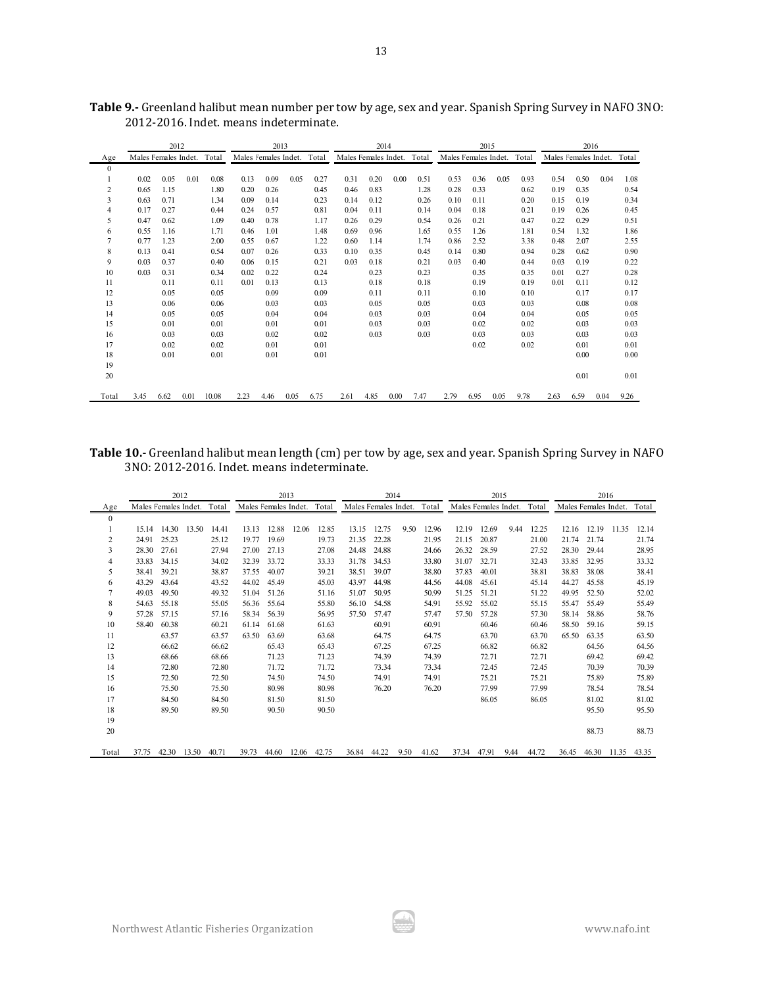|                |                      | 2012 |      |       |                      | 2013 |      |       |                      |      | 2014 |       |                      | 2015 |      |       |                      | 2016 |      |       |
|----------------|----------------------|------|------|-------|----------------------|------|------|-------|----------------------|------|------|-------|----------------------|------|------|-------|----------------------|------|------|-------|
| Age            | Males Females Indet. |      |      | Total | Males Females Indet. |      |      | Total | Males Females Indet. |      |      | Total | Males Females Indet. |      |      | Total | Males Females Indet. |      |      | Total |
| $\mathbf{0}$   |                      |      |      |       |                      |      |      |       |                      |      |      |       |                      |      |      |       |                      |      |      |       |
| 1              | 0.02                 | 0.05 | 0.01 | 0.08  | 0.13                 | 0.09 | 0.05 | 0.27  | 0.31                 | 0.20 | 0.00 | 0.51  | 0.53                 | 0.36 | 0.05 | 0.93  | 0.54                 | 0.50 | 0.04 | 1.08  |
| $\overline{c}$ | 0.65                 | 1.15 |      | 1.80  | 0.20                 | 0.26 |      | 0.45  | 0.46                 | 0.83 |      | 1.28  | 0.28                 | 0.33 |      | 0.62  | 0.19                 | 0.35 |      | 0.54  |
| 3              | 0.63                 | 0.71 |      | 1.34  | 0.09                 | 0.14 |      | 0.23  | 0.14                 | 0.12 |      | 0.26  | 0.10                 | 0.11 |      | 0.20  | 0.15                 | 0.19 |      | 0.34  |
| 4              | 0.17                 | 0.27 |      | 0.44  | 0.24                 | 0.57 |      | 0.81  | 0.04                 | 0.11 |      | 0.14  | 0.04                 | 0.18 |      | 0.21  | 0.19                 | 0.26 |      | 0.45  |
| 5              | 0.47                 | 0.62 |      | 1.09  | 0.40                 | 0.78 |      | 1.17  | 0.26                 | 0.29 |      | 0.54  | 0.26                 | 0.21 |      | 0.47  | 0.22                 | 0.29 |      | 0.51  |
| 6              | 0.55                 | 1.16 |      | 1.71  | 0.46                 | 1.01 |      | 1.48  | 0.69                 | 0.96 |      | 1.65  | 0.55                 | 1.26 |      | 1.81  | 0.54                 | 1.32 |      | 1.86  |
| 7              | 0.77                 | 1.23 |      | 2.00  | 0.55                 | 0.67 |      | 1.22  | 0.60                 | 1.14 |      | 1.74  | 0.86                 | 2.52 |      | 3.38  | 0.48                 | 2.07 |      | 2.55  |
| 8              | 0.13                 | 0.41 |      | 0.54  | 0.07                 | 0.26 |      | 0.33  | 0.10                 | 0.35 |      | 0.45  | 0.14                 | 0.80 |      | 0.94  | 0.28                 | 0.62 |      | 0.90  |
| 9              | 0.03                 | 0.37 |      | 0.40  | 0.06                 | 0.15 |      | 0.21  | 0.03                 | 0.18 |      | 0.21  | 0.03                 | 0.40 |      | 0.44  | 0.03                 | 0.19 |      | 0.22  |
| 10             | 0.03                 | 0.31 |      | 0.34  | 0.02                 | 0.22 |      | 0.24  |                      | 0.23 |      | 0.23  |                      | 0.35 |      | 0.35  | 0.01                 | 0.27 |      | 0.28  |
| 11             |                      | 0.11 |      | 0.11  | 0.01                 | 0.13 |      | 0.13  |                      | 0.18 |      | 0.18  |                      | 0.19 |      | 0.19  | 0.01                 | 0.11 |      | 0.12  |
| 12             |                      | 0.05 |      | 0.05  |                      | 0.09 |      | 0.09  |                      | 0.11 |      | 0.11  |                      | 0.10 |      | 0.10  |                      | 0.17 |      | 0.17  |
| 13             |                      | 0.06 |      | 0.06  |                      | 0.03 |      | 0.03  |                      | 0.05 |      | 0.05  |                      | 0.03 |      | 0.03  |                      | 0.08 |      | 0.08  |
| 14             |                      | 0.05 |      | 0.05  |                      | 0.04 |      | 0.04  |                      | 0.03 |      | 0.03  |                      | 0.04 |      | 0.04  |                      | 0.05 |      | 0.05  |
| 15             |                      | 0.01 |      | 0.01  |                      | 0.01 |      | 0.01  |                      | 0.03 |      | 0.03  |                      | 0.02 |      | 0.02  |                      | 0.03 |      | 0.03  |
| 16             |                      | 0.03 |      | 0.03  |                      | 0.02 |      | 0.02  |                      | 0.03 |      | 0.03  |                      | 0.03 |      | 0.03  |                      | 0.03 |      | 0.03  |
| 17             |                      | 0.02 |      | 0.02  |                      | 0.01 |      | 0.01  |                      |      |      |       |                      | 0.02 |      | 0.02  |                      | 0.01 |      | 0.01  |
| 18             |                      | 0.01 |      | 0.01  |                      | 0.01 |      | 0.01  |                      |      |      |       |                      |      |      |       |                      | 0.00 |      | 0.00  |
| 19             |                      |      |      |       |                      |      |      |       |                      |      |      |       |                      |      |      |       |                      |      |      |       |
| 20             |                      |      |      |       |                      |      |      |       |                      |      |      |       |                      |      |      |       |                      | 0.01 |      | 0.01  |
| Total          | 3.45                 | 6.62 | 0.01 | 10.08 | 2.23                 | 4.46 | 0.05 | 6.75  | 2.61                 | 4.85 | 0.00 | 7.47  | 2.79                 | 6.95 | 0.05 | 9.78  | 2.63                 | 6.59 | 0.04 | 9.26  |

**Table 9.-** Greenland halibut mean number per tow by age, sex and year. Spanish Spring Survey in NAFO 3NO: 2012-2016. Indet. means indeterminate.

**Table 10.-** Greenland halibut mean length (cm) per tow by age, sex and year. Spanish Spring Survey in NAFO 3NO: 2012-2016. Indet. means indeterminate.

|              |                      | 2012  |       |       |                      | 2013  |             |       |       | 2014                 |      |       |       | 2015                 |      |       |                      | 2016  |       |       |
|--------------|----------------------|-------|-------|-------|----------------------|-------|-------------|-------|-------|----------------------|------|-------|-------|----------------------|------|-------|----------------------|-------|-------|-------|
| Age          | Males Females Indet. |       |       | Total | Males Females Indet. |       |             | Total |       | Males Females Indet. |      | Total |       | Males Females Indet. |      | Total | Males Females Indet. |       |       | Total |
| $\mathbf{0}$ |                      |       |       |       |                      |       |             |       |       |                      |      |       |       |                      |      |       |                      |       |       |       |
|              | 15.14                | 14.30 | 13.50 | 14.41 | 13.13                | 12.88 | 12.06       | 12.85 | 13.15 | 12.75                | 9.50 | 12.96 | 12.19 | 12.69                | 9.44 | 12.25 | 12.16                | 12.19 | 11.35 | 12.14 |
| 2            | 24.91                | 25.23 |       | 25.12 | 19.77                | 19.69 |             | 19.73 | 21.35 | 22.28                |      | 21.95 | 21.15 | 20.87                |      | 21.00 | 21.74                | 21.74 |       | 21.74 |
| 3            | 28.30                | 27.61 |       | 27.94 | 27.00                | 27.13 |             | 27.08 | 24.48 | 24.88                |      | 24.66 | 26.32 | 28.59                |      | 27.52 | 28.30                | 29.44 |       | 28.95 |
| 4            | 33.83                | 34.15 |       | 34.02 | 32.39                | 33.72 |             | 33.33 | 31.78 | 34.53                |      | 33.80 | 31.07 | 32.71                |      | 32.43 | 33.85                | 32.95 |       | 33.32 |
| 5            | 38.41                | 39.21 |       | 38.87 | 37.55                | 40.07 |             | 39.21 | 38.51 | 39.07                |      | 38.80 | 37.83 | 40.01                |      | 38.81 | 38.83                | 38.08 |       | 38.41 |
| 6            | 43.29                | 43.64 |       | 43.52 | 44.02                | 45.49 |             | 45.03 | 43.97 | 44.98                |      | 44.56 | 44.08 | 45.61                |      | 45.14 | 44.27                | 45.58 |       | 45.19 |
| 7            | 49.03                | 49.50 |       | 49.32 | 51.04                | 51.26 |             | 51.16 | 51.07 | 50.95                |      | 50.99 | 51.25 | 51.21                |      | 51.22 | 49.95                | 52.50 |       | 52.02 |
| 8            | 54.63                | 55.18 |       | 55.05 | 56.36                | 55.64 |             | 55.80 | 56.10 | 54.58                |      | 54.91 | 55.92 | 55.02                |      | 55.15 | 55.47                | 55.49 |       | 55.49 |
| 9            | 57.28                | 57.15 |       | 57.16 | 58.34                | 56.39 |             | 56.95 | 57.50 | 57.47                |      | 57.47 | 57.50 | 57.28                |      | 57.30 | 58.14                | 58.86 |       | 58.76 |
| 10           | 58.40                | 60.38 |       | 60.21 | 61.14                | 61.68 |             | 61.63 |       | 60.91                |      | 60.91 |       | 60.46                |      | 60.46 | 58.50                | 59.16 |       | 59.15 |
| 11           |                      | 63.57 |       | 63.57 | 63.50                | 63.69 |             | 63.68 |       | 64.75                |      | 64.75 |       | 63.70                |      | 63.70 | 65.50                | 63.35 |       | 63.50 |
| 12           |                      | 66.62 |       | 66.62 |                      | 65.43 |             | 65.43 |       | 67.25                |      | 67.25 |       | 66.82                |      | 66.82 |                      | 64.56 |       | 64.56 |
| 13           |                      | 68.66 |       | 68.66 |                      | 71.23 |             | 71.23 |       | 74.39                |      | 74.39 |       | 72.71                |      | 72.71 |                      | 69.42 |       | 69.42 |
| 14           |                      | 72.80 |       | 72.80 |                      | 71.72 |             | 71.72 |       | 73.34                |      | 73.34 |       | 72.45                |      | 72.45 |                      | 70.39 |       | 70.39 |
| 15           |                      | 72.50 |       | 72.50 |                      | 74.50 |             | 74.50 |       | 74.91                |      | 74.91 |       | 75.21                |      | 75.21 |                      | 75.89 |       | 75.89 |
| 16           |                      | 75.50 |       | 75.50 |                      | 80.98 |             | 80.98 |       | 76.20                |      | 76.20 |       | 77.99                |      | 77.99 |                      | 78.54 |       | 78.54 |
| 17           |                      | 84.50 |       | 84.50 |                      | 81.50 |             | 81.50 |       |                      |      |       |       | 86.05                |      | 86.05 |                      | 81.02 |       | 81.02 |
| 18           |                      | 89.50 |       | 89.50 |                      | 90.50 |             | 90.50 |       |                      |      |       |       |                      |      |       |                      | 95.50 |       | 95.50 |
| 19           |                      |       |       |       |                      |       |             |       |       |                      |      |       |       |                      |      |       |                      |       |       |       |
| 20           |                      |       |       |       |                      |       |             |       |       |                      |      |       |       |                      |      |       |                      | 88.73 |       | 88.73 |
| Total        | 37.75                | 42.30 | 13.50 | 40.71 | 39.73                | 44.60 | 12.06 42.75 |       | 36.84 | 44.22                | 9.50 | 41.62 | 37.34 | 47.91                | 9.44 | 44.72 | 36.45                | 46.30 | 11.35 | 43.35 |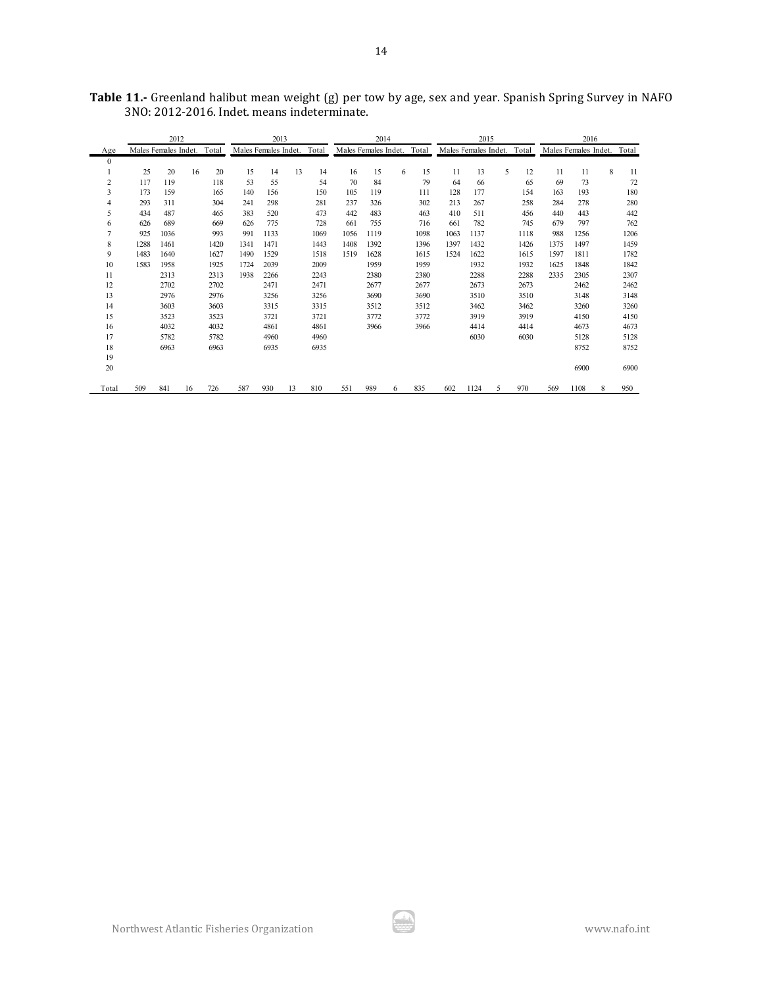|                |      | 2012                 |    |       |      | 2013                 |    |       |                      | 2014 |   |       |      | 2015                 |   |       |      | 2016                 |   |       |
|----------------|------|----------------------|----|-------|------|----------------------|----|-------|----------------------|------|---|-------|------|----------------------|---|-------|------|----------------------|---|-------|
| Age            |      | Males Females Indet. |    | Total |      | Males Females Indet. |    | Total | Males Females Indet. |      |   | Total |      | Males Females Indet. |   | Total |      | Males Females Indet. |   | Total |
| $\mathbf{0}$   |      |                      |    |       |      |                      |    |       |                      |      |   |       |      |                      |   |       |      |                      |   |       |
|                | 25   | 20                   | 16 | 20    | 15   | 14                   | 13 | 14    | 16                   | 15   | 6 | 15    | 11   | 13                   | 5 | 12    | 11   | 11                   | 8 | 11    |
| $\overline{2}$ | 117  | 119                  |    | 118   | 53   | 55                   |    | 54    | 70                   | 84   |   | 79    | 64   | 66                   |   | 65    | 69   | 73                   |   | 72    |
| 3              | 173  | 159                  |    | 165   | 140  | 156                  |    | 150   | 105                  | 119  |   | 111   | 128  | 177                  |   | 154   | 163  | 193                  |   | 180   |
| $\overline{4}$ | 293  | 311                  |    | 304   | 241  | 298                  |    | 281   | 237                  | 326  |   | 302   | 213  | 267                  |   | 258   | 284  | 278                  |   | 280   |
| 5              | 434  | 487                  |    | 465   | 383  | 520                  |    | 473   | 442                  | 483  |   | 463   | 410  | 511                  |   | 456   | 440  | 443                  |   | 442   |
| 6              | 626  | 689                  |    | 669   | 626  | 775                  |    | 728   | 661                  | 755  |   | 716   | 661  | 782                  |   | 745   | 679  | 797                  |   | 762   |
| $\overline{7}$ | 925  | 1036                 |    | 993   | 991  | 1133                 |    | 1069  | 1056                 | 1119 |   | 1098  | 1063 | 1137                 |   | 1118  | 988  | 1256                 |   | 1206  |
| 8              | 1288 | 1461                 |    | 1420  | 1341 | 1471                 |    | 1443  | 1408                 | 1392 |   | 1396  | 1397 | 1432                 |   | 1426  | 1375 | 1497                 |   | 1459  |
| 9              | 1483 | 1640                 |    | 1627  | 1490 | 1529                 |    | 1518  | 1519                 | 1628 |   | 1615  | 1524 | 1622                 |   | 1615  | 1597 | 1811                 |   | 1782  |
| 10             | 1583 | 1958                 |    | 1925  | 1724 | 2039                 |    | 2009  |                      | 1959 |   | 1959  |      | 1932                 |   | 1932  | 1625 | 1848                 |   | 1842  |
| 11             |      | 2313                 |    | 2313  | 1938 | 2266                 |    | 2243  |                      | 2380 |   | 2380  |      | 2288                 |   | 2288  | 2335 | 2305                 |   | 2307  |
| 12             |      | 2702                 |    | 2702  |      | 2471                 |    | 2471  |                      | 2677 |   | 2677  |      | 2673                 |   | 2673  |      | 2462                 |   | 2462  |
| 13             |      | 2976                 |    | 2976  |      | 3256                 |    | 3256  |                      | 3690 |   | 3690  |      | 3510                 |   | 3510  |      | 3148                 |   | 3148  |
| 14             |      | 3603                 |    | 3603  |      | 3315                 |    | 3315  |                      | 3512 |   | 3512  |      | 3462                 |   | 3462  |      | 3260                 |   | 3260  |
| 15             |      | 3523                 |    | 3523  |      | 3721                 |    | 3721  |                      | 3772 |   | 3772  |      | 3919                 |   | 3919  |      | 4150                 |   | 4150  |
| 16             |      | 4032                 |    | 4032  |      | 4861                 |    | 4861  |                      | 3966 |   | 3966  |      | 4414                 |   | 4414  |      | 4673                 |   | 4673  |
| 17             |      | 5782                 |    | 5782  |      | 4960                 |    | 4960  |                      |      |   |       |      | 6030                 |   | 6030  |      | 5128                 |   | 5128  |
| 18             |      | 6963                 |    | 6963  |      | 6935                 |    | 6935  |                      |      |   |       |      |                      |   |       |      | 8752                 |   | 8752  |
| 19             |      |                      |    |       |      |                      |    |       |                      |      |   |       |      |                      |   |       |      |                      |   |       |
| 20             |      |                      |    |       |      |                      |    |       |                      |      |   |       |      |                      |   |       |      | 6900                 |   | 6900  |
| Total          | 509  | 841                  | 16 | 726   | 587  | 930                  | 13 | 810   | 551                  | 989  | 6 | 835   | 602  | 1124                 | 5 | 970   | 569  | 1108                 | 8 | 950   |

**Table 11.-** Greenland halibut mean weight (g) per tow by age, sex and year. Spanish Spring Survey in NAFO 3NO: 2012-2016. Indet. means indeterminate.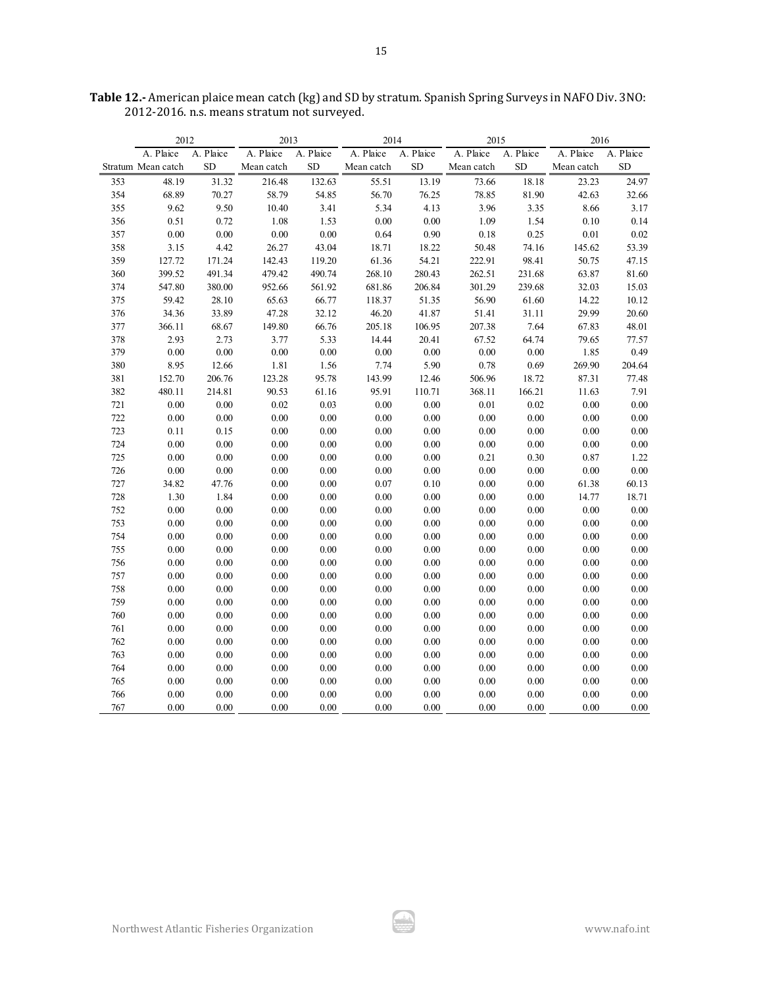|     | 2012               |           | 2013       |           | 2014       |           | 2015       |           | 2016       |           |
|-----|--------------------|-----------|------------|-----------|------------|-----------|------------|-----------|------------|-----------|
|     | A. Plaice          | A. Plaice | A. Plaice  | A. Plaice | A. Plaice  | A. Plaice | A. Plaice  | A. Plaice | A. Plaice  | A. Plaice |
|     | Stratum Mean catch | <b>SD</b> | Mean catch | <b>SD</b> | Mean catch | <b>SD</b> | Mean catch | SD        | Mean catch | <b>SD</b> |
| 353 | 48.19              | 31.32     | 216.48     | 132.63    | 55.51      | 13.19     | 73.66      | 18.18     | 23.23      | 24.97     |
| 354 | 68.89              | 70.27     | 58.79      | 54.85     | 56.70      | 76.25     | 78.85      | 81.90     | 42.63      | 32.66     |
| 355 | 9.62               | 9.50      | 10.40      | 3.41      | 5.34       | 4.13      | 3.96       | 3.35      | 8.66       | 3.17      |
| 356 | 0.51               | 0.72      | 1.08       | 1.53      | 0.00       | 0.00      | 1.09       | 1.54      | 0.10       | 0.14      |
| 357 | 0.00               | 0.00      | 0.00       | 0.00      | 0.64       | 0.90      | 0.18       | 0.25      | 0.01       | 0.02      |
| 358 | 3.15               | 4.42      | 26.27      | 43.04     | 18.71      | 18.22     | 50.48      | 74.16     | 145.62     | 53.39     |
| 359 | 127.72             | 171.24    | 142.43     | 119.20    | 61.36      | 54.21     | 222.91     | 98.41     | 50.75      | 47.15     |
| 360 | 399.52             | 491.34    | 479.42     | 490.74    | 268.10     | 280.43    | 262.51     | 231.68    | 63.87      | 81.60     |
| 374 | 547.80             | 380.00    | 952.66     | 561.92    | 681.86     | 206.84    | 301.29     | 239.68    | 32.03      | 15.03     |
| 375 | 59.42              | 28.10     | 65.63      | 66.77     | 118.37     | 51.35     | 56.90      | 61.60     | 14.22      | 10.12     |
| 376 | 34.36              | 33.89     | 47.28      | 32.12     | 46.20      | 41.87     | 51.41      | 31.11     | 29.99      | 20.60     |
| 377 | 366.11             | 68.67     | 149.80     | 66.76     | 205.18     | 106.95    | 207.38     | 7.64      | 67.83      | 48.01     |
| 378 | 2.93               | 2.73      | 3.77       | 5.33      | 14.44      | 20.41     | 67.52      | 64.74     | 79.65      | 77.57     |
| 379 | 0.00               | 0.00      | 0.00       | $0.00\,$  | $0.00\,$   | 0.00      | 0.00       | $0.00\,$  | 1.85       | 0.49      |
| 380 | 8.95               | 12.66     | 1.81       | 1.56      | 7.74       | 5.90      | 0.78       | 0.69      | 269.90     | 204.64    |
| 381 | 152.70             | 206.76    | 123.28     | 95.78     | 143.99     | 12.46     | 506.96     | 18.72     | 87.31      | 77.48     |
| 382 | 480.11             | 214.81    | 90.53      | 61.16     | 95.91      | 110.71    | 368.11     | 166.21    | 11.63      | 7.91      |
| 721 | $0.00\,$           | 0.00      | 0.02       | 0.03      | 0.00       | $0.00\,$  | 0.01       | 0.02      | 0.00       | $0.00\,$  |
| 722 | 0.00               | 0.00      | 0.00       | 0.00      | 0.00       | $0.00\,$  | 0.00       | $0.00\,$  | 0.00       | $0.00\,$  |
| 723 | 0.11               | 0.15      | 0.00       | 0.00      | 0.00       | $0.00\,$  | 0.00       | $0.00\,$  | 0.00       | $0.00\,$  |
| 724 | 0.00               | 0.00      | 0.00       | 0.00      | 0.00       | 0.00      | 0.00       | 0.00      | 0.00       | 0.00      |
| 725 | 0.00               | 0.00      | 0.00       | 0.00      | 0.00       | 0.00      | 0.21       | 0.30      | 0.87       | 1.22      |
| 726 | 0.00               | 0.00      | 0.00       | 0.00      | 0.00       | 0.00      | 0.00       | $0.00\,$  | 0.00       | $0.00\,$  |
| 727 | 34.82              | 47.76     | 0.00       | 0.00      | 0.07       | 0.10      | 0.00       | $0.00\,$  | 61.38      | 60.13     |
| 728 | 1.30               | 1.84      | 0.00       | $0.00\,$  | 0.00       | $0.00\,$  | 0.00       | $0.00\,$  | 14.77      | 18.71     |
| 752 | 0.00               | 0.00      | 0.00       | 0.00      | 0.00       | 0.00      | 0.00       | 0.00      | 0.00       | $0.00\,$  |
| 753 | 0.00               | 0.00      | 0.00       | 0.00      | 0.00       | 0.00      | 0.00       | 0.00      | 0.00       | 0.00      |
| 754 | 0.00               | 0.00      | 0.00       | 0.00      | 0.00       | 0.00      | 0.00       | $0.00\,$  | 0.00       | $0.00\,$  |
| 755 | 0.00               | 0.00      | 0.00       | 0.00      | 0.00       | $0.00\,$  | 0.00       | $0.00\,$  | 0.00       | $0.00\,$  |
| 756 | 0.00               | 0.00      | 0.00       | 0.00      | 0.00       | 0.00      | 0.00       | 0.00      | 0.00       | $0.00\,$  |
| 757 | 0.00               | 0.00      | 0.00       | 0.00      | 0.00       | $0.00\,$  | 0.00       | $0.00\,$  | 0.00       | 0.00      |
| 758 | 0.00               | 0.00      | 0.00       | 0.00      | 0.00       | 0.00      | 0.00       | 0.00      | 0.00       | 0.00      |
| 759 | 0.00               | 0.00      | 0.00       | 0.00      | 0.00       | 0.00      | 0.00       | 0.00      | 0.00       | 0.00      |
| 760 | 0.00               | 0.00      | 0.00       | 0.00      | 0.00       | 0.00      | 0.00       | $0.00\,$  | 0.00       | $0.00\,$  |
| 761 | 0.00               | 0.00      | 0.00       | 0.00      | 0.00       | $0.00\,$  | 0.00       | $0.00\,$  | 0.00       | $0.00\,$  |
| 762 | 0.00               | 0.00      | 0.00       | 0.00      | 0.00       | 0.00      | 0.00       | $0.00\,$  | 0.00       | 0.00      |
| 763 | 0.00               | 0.00      | 0.00       | 0.00      | 0.00       | 0.00      | 0.00       | 0.00      | 0.00       | 0.00      |
| 764 | 0.00               | 0.00      | 0.00       | 0.00      | 0.00       | 0.00      | 0.00       | 0.00      | 0.00       | 0.00      |
| 765 | 0.00               | 0.00      | 0.00       | 0.00      | 0.00       | 0.00      | 0.00       | 0.00      | 0.00       | $0.00\,$  |
| 766 | 0.00               | $0.00\,$  | 0.00       | $0.00\,$  | 0.00       | $0.00\,$  | 0.00       | $0.00\,$  | 0.00       | $0.00\,$  |
| 767 | 0.00               | 0.00      | 0.00       | 0.00      | 0.00       | 0.00      | 0.00       | 0.00      | 0.00       | 0.00      |

**Table 12.-** American plaice mean catch (kg) and SD by stratum. Spanish Spring Surveys in NAFO Div. 3NO: 2012-2016. n.s. means stratum not surveyed.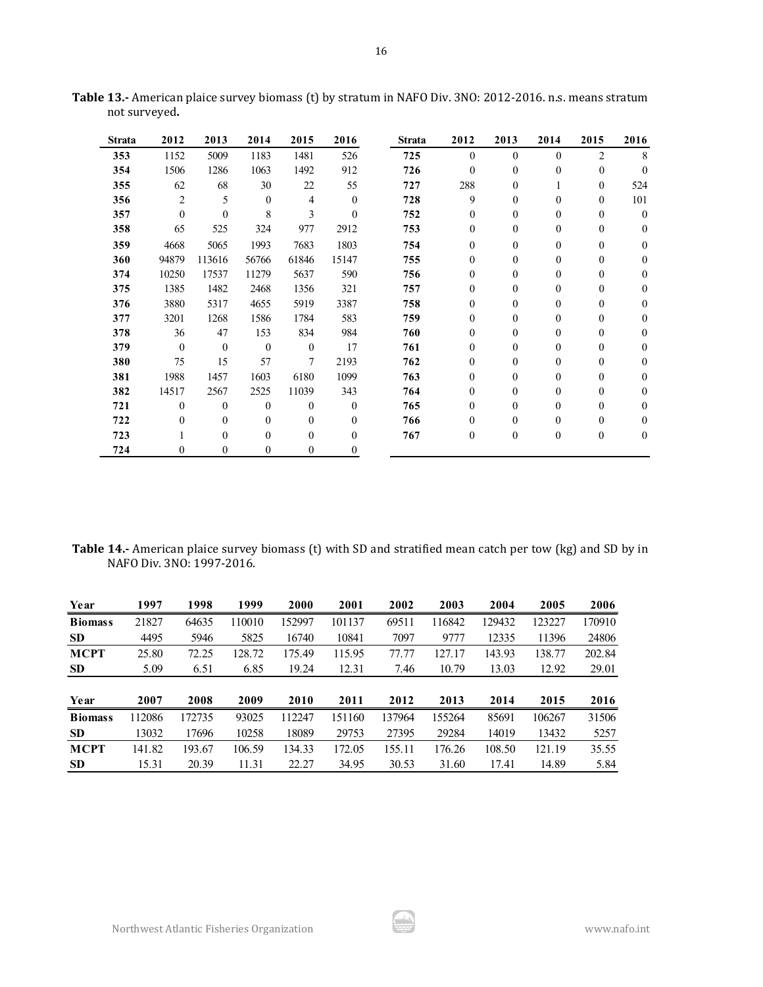| <b>Strata</b> | 2012         | 2013           | 2014             | 2015             | 2016     | <b>Strata</b> | 2012             | 2013             | 2014             | 2015             | 2016             |
|---------------|--------------|----------------|------------------|------------------|----------|---------------|------------------|------------------|------------------|------------------|------------------|
| 353           | 1152         | 5009           | 1183             | 1481             | 526      | 725           | $\theta$         | $\theta$         | $\theta$         | $\overline{c}$   | 8                |
| 354           | 1506         | 1286           | 1063             | 1492             | 912      | 726           | $\theta$         | $\mathbf{0}$     | $\boldsymbol{0}$ | $\mathbf{0}$     | $\theta$         |
| 355           | 62           | 68             | 30               | 22               | 55       | 727           | 288              | $\theta$         |                  | $\mathbf{0}$     | 524              |
| 356           | 2            | 5              | $\mathbf{0}$     | $\overline{4}$   | $\theta$ | 728           | 9                | $\theta$         | $\overline{0}$   | $\mathbf{0}$     | 101              |
| 357           | $\theta$     | $\theta$       | 8                | 3                | $\Omega$ | 752           | $\mathbf{0}$     | $\mathbf{0}$     | $\boldsymbol{0}$ | 0                | $\boldsymbol{0}$ |
| 358           | 65           | 525            | 324              | 977              | 2912     | 753           | $\boldsymbol{0}$ | $\theta$         | $\boldsymbol{0}$ | $\mathbf{0}$     | $\mathbf{0}$     |
| 359           | 4668         | 5065           | 1993             | 7683             | 1803     | 754           | $\mathbf{0}$     | $\theta$         | $\mathbf{0}$     | $\mathbf{0}$     | $\Omega$         |
| 360           | 94879        | 113616         | 56766            | 61846            | 15147    | 755           | $\theta$         | $\mathbf{0}$     | $\boldsymbol{0}$ | $\boldsymbol{0}$ | $\theta$         |
| 374           | 10250        | 17537          | 11279            | 5637             | 590      | 756           | $\Omega$         | $\mathbf{0}$     | 0                | $\mathbf{0}$     | $\Omega$         |
| 375           | 1385         | 1482           | 2468             | 1356             | 321      | 757           | $\Omega$         | $\boldsymbol{0}$ | $\boldsymbol{0}$ | 0                | $\theta$         |
| 376           | 3880         | 5317           | 4655             | 5919             | 3387     | 758           | $\mathbf{0}$     | $\mathbf{0}$     | $\boldsymbol{0}$ | $\mathbf{0}$     | $\Omega$         |
| 377           | 3201         | 1268           | 1586             | 1784             | 583      | 759           | $\Omega$         | $\theta$         | 0                | $\mathbf{0}$     | $\Omega$         |
| 378           | 36           | 47             | 153              | 834              | 984      | 760           | $\mathbf{0}$     | $\theta$         | 0                | $\mathbf{0}$     | $\theta$         |
| 379           | $\theta$     | $\overline{0}$ | $\mathbf{0}$     | $\theta$         | 17       | 761           | $\Omega$         | $\theta$         | 0                | $\mathbf{0}$     | $\Omega$         |
| 380           | 75           | 15             | 57               | $\tau$           | 2193     | 762           | $\Omega$         | $\mathbf{0}$     | 0                | $\mathbf{0}$     | $\Omega$         |
| 381           | 1988         | 1457           | 1603             | 6180             | 1099     | 763           | $\theta$         | $\mathbf{0}$     | 0                | $\mathbf{0}$     | $\Omega$         |
| 382           | 14517        | 2567           | 2525             | 11039            | 343      | 764           | $\mathbf{0}$     | $\mathbf{0}$     | 0                | $\mathbf{0}$     | $\mathbf{0}$     |
| 721           | $\theta$     | $\mathbf{0}$   | $\mathbf{0}$     | $\mathbf{0}$     | $\theta$ | 765           | $\mathbf{0}$     | $\mathbf{0}$     | 0                | $\mathbf{0}$     | $\Omega$         |
| 722           | $\mathbf{0}$ | $\mathbf{0}$   | $\theta$         | $\boldsymbol{0}$ | $\theta$ | 766           | $\theta$         | $\mathbf{0}$     | 0                | $\mathbf{0}$     | $\Omega$         |
| 723           |              | $\mathbf{0}$   | $\boldsymbol{0}$ | $\mathbf{0}$     | $\theta$ | 767           | $\theta$         | $\mathbf{0}$     | $\boldsymbol{0}$ | $\boldsymbol{0}$ | $\mathbf{0}$     |
| 724           | 0            | $\mathbf{0}$   | $\boldsymbol{0}$ | $\boldsymbol{0}$ | $\theta$ |               |                  |                  |                  |                  |                  |

**Table 13.-** American plaice survey biomass (t) by stratum in NAFO Div. 3NO: 2012-2016. n.s. means stratum not surveyed**.** 

**Table 14.-** American plaice survey biomass (t) with SD and stratified mean catch per tow (kg) and SD by in NAFO Div. 3NO: 1997-2016.

| Year           | 1997   | 1998   | 1999   | 2000   | 2001   | 2002   | 2003   | 2004   | 2005   | 2006   |
|----------------|--------|--------|--------|--------|--------|--------|--------|--------|--------|--------|
| <b>Biomass</b> | 21827  | 64635  | 110010 | 152997 | 101137 | 69511  | 116842 | 129432 | 123227 | 170910 |
| <b>SD</b>      | 4495   | 5946   | 5825   | 16740  | 10841  | 7097   | 9777   | 12335  | 11396  | 24806  |
| <b>MCPT</b>    | 25.80  | 72.25  | 128.72 | 175.49 | 115.95 | 77.77  | 127.17 | 143.93 | 138.77 | 202.84 |
| <b>SD</b>      | 5.09   | 6.51   | 6.85   | 19.24  | 12.31  | 7.46   | 10.79  | 13.03  | 12.92  | 29.01  |
|                |        |        |        |        |        |        |        |        |        |        |
| Year           | 2007   | 2008   | 2009   | 2010   | 2011   | 2012   | 2013   | 2014   | 2015   | 2016   |
| <b>Biomass</b> | 112086 | 172735 | 93025  | 112247 | 151160 | 137964 | 155264 | 85691  | 106267 | 31506  |
| <b>SD</b>      | 13032  | 17696  | 10258  | 18089  | 29753  | 27395  | 29284  | 14019  | 13432  | 5257   |
| <b>MCPT</b>    | 141.82 | 193.67 | 106.59 | 134.33 | 172.05 | 155.11 | 176.26 | 108.50 | 121.19 | 35.55  |
| <b>SD</b>      | 15.31  | 20.39  | 11.31  | 22.27  | 34.95  | 30.53  | 31.60  | 17.41  | 14.89  | 5.84   |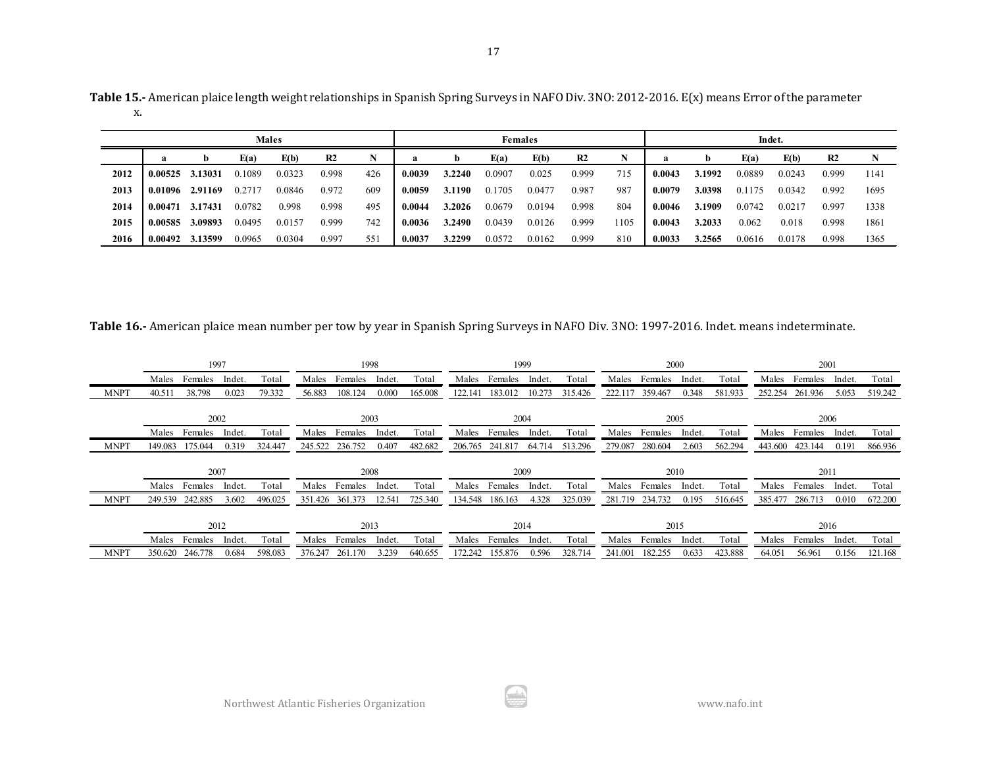| Table 15.- American plaice length weight relationships in Spanish Spring Surveys in NAFO Div. 3NO: 2012-2016. E(x) means Error of the parameter |  |
|-------------------------------------------------------------------------------------------------------------------------------------------------|--|
|                                                                                                                                                 |  |

|      |         |         |        | <b>Males</b> |                |     |        |        |        | Females |       |      |        |        | Indet. |        |                |      |
|------|---------|---------|--------|--------------|----------------|-----|--------|--------|--------|---------|-------|------|--------|--------|--------|--------|----------------|------|
|      | a       |         | E(a)   | E(b)         | R <sub>2</sub> |     | a      | b      | E(a)   | E(b)    | R2    |      |        |        | E(a)   | E(b)   | R <sub>2</sub> | N    |
| 2012 | 0.00525 | 3.13031 | 0.1089 | 0.0323       | 0.998          | 426 | 0.0039 | 3.2240 | 0.0907 | 0.025   | 0.999 | 715  | 0.0043 | 3.1992 | 0.0889 | 0.0243 | 0.999          | 1141 |
| 2013 | 0.01096 | 2.91169 | 0.271' | 0.0846       | 0.972          | 609 | 0.0059 | 3.1190 | 0.1705 | 0.0477  | 0.987 | 987  | 0.0079 | 3.0398 | 0.1175 | 0.0342 | 0.992          | 1695 |
| 2014 | 0.00471 | 3.17431 | 0.0782 | 0.998        | 0.998          | 495 | 0.0044 | 3.2026 | 0.0679 | 0.0194  | 0.998 | 804  | 0.0046 | 3.1909 | 0.0742 | 0.0217 | 0.997          | 1338 |
| 2015 | 0.00585 | 3.09893 | 0.0495 | 0.0157       | 0.999          | 742 | 0.0036 | 3.2490 | 0.0439 | 0.0126  | 0.999 | 1105 | 0.0043 | 3.2033 | 0.062  | 0.018  | 0.998          | 1861 |
| 2016 | 0.00492 | 3.13599 | 0.0965 | 0.0304       | 0.997          | 551 | 0.0037 | 3.2299 | 0.0572 | 0.0162  | 0.999 | 810  | 0.0033 | 3.2565 | 0.0616 | 0.0178 | 0.998          | 1365 |

**Table 16.-** American plaice mean number per tow by year in Spanish Spring Surveys in NAFO Div. 3NO: 1997-2016. Indet. means indeterminate.

|             |                    | 1997    |        |         |         | 1998    |        |         |         | 1999    |        |         |         |         | 2000   |         |         | 2001    |        |         |
|-------------|--------------------|---------|--------|---------|---------|---------|--------|---------|---------|---------|--------|---------|---------|---------|--------|---------|---------|---------|--------|---------|
|             | Males              | Females | Indet. | Total   | Males   | Females | Indet. | Total   | Males   | Females | Indet. | Total   | Males   | Females | Indet. | Total   | Males   | Females | Indet. | Total   |
| <b>MNPT</b> | 40.51 <sub>1</sub> | 38.798  | 0.023  | 79.332  | 56.883  | 108.124 | 0.000  | 165.008 | 122.141 | 183.012 | 10.273 | 315.426 | 222.117 | 359.467 | 0.348  | 581.933 | 252.254 | 261.936 | 5.053  | 519.242 |
|             |                    |         | 2002   |         |         | 2003    |        |         |         | 2004    |        |         |         |         | 2005   |         |         | 2006    |        |         |
|             | Males              | Females | Indet. | Total   | Males   | Females | Indet. | Total   | Males   | Females | Indet. | Total   | Males   | Females | Indet. | Total   | Males   | Females | Indet. | Total   |
| <b>MNPT</b> | 149.083            | 175.044 | 0.319  | 324.447 | 245.522 | 236.752 | 0.407  | 482.682 | 206.765 | 241.817 | 64.714 | 513.296 | 279.087 | 280.604 | 2.603  | 562.294 | 443.600 | 423.144 | 0.191  | 866.936 |
|             |                    |         |        |         |         |         |        |         |         |         |        |         |         |         |        |         |         |         |        |         |
|             |                    | 2007    |        |         |         | 2008    |        |         |         | 2009    |        |         |         |         | 2010   |         |         | 2011    |        |         |
|             | Males              | Females | Indet. | Total   | Males   | Females | Indet. | Total   | Males   | Females | Indet. | Total   | Males   | Females | Indet. | Total   | Males   | Females | Indet. | Total   |
| <b>MNPT</b> | 249.539            | 242.885 | 3.602  | 496.025 | 351.426 | 361.373 | 12.541 | 725.340 | 134.548 | 186.163 | 4.328  | 325.039 | 281.719 | 234.732 | 0.195  | 516.645 | 385.477 | 286.713 | 0.010  | 672.200 |
|             |                    | 2012    |        |         |         | 2013    |        |         |         | 2014    |        |         |         | 2015    |        |         |         | 2016    |        |         |
|             | Males              | Females | Indet. | Total   | Males   | Females | Indet. | Total   | Males   | Females | Indet. | Total   | Males   | Females | Indet. | Total   | Males   | Females | Indet. | Total   |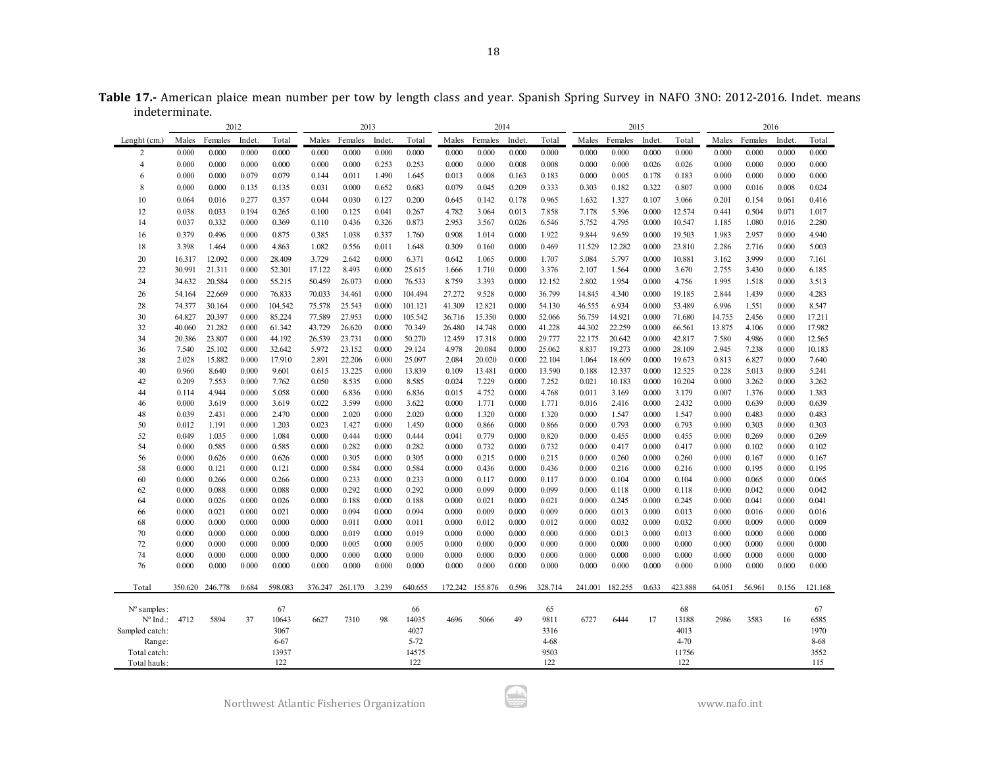**Table 17.-** American plaice mean number per tow by length class and year. Spanish Spring Survey in NAFO 3NO: 2012-2016. Indet. means indeterminate.

|                   |                | 2012            |                |                |                | 2013           |                |                |                | 2014           |                |                |                | 2015           |                |                |                | 2016           |                |                |
|-------------------|----------------|-----------------|----------------|----------------|----------------|----------------|----------------|----------------|----------------|----------------|----------------|----------------|----------------|----------------|----------------|----------------|----------------|----------------|----------------|----------------|
| Lenght (cm.)      | Males          | Females         | Indet          | Total          | Males          | Females        | Indet.         | Total          | Males          | Females        | Indet          | Total          | Males          | Females        | Indet          | Total          | Males          | Females        | Indet          | Total          |
| $\mathfrak{D}$    | 0.000          | 0.000           | 0.000          | 0.000          | 0.000          | 0.000          | 0.000          | 0.000          | 0.000          | 0.000          | 0.000          | 0.000          | 0.000          | 0.000          | 0.000          | 0.000          | 0.000          | 0.000          | 0.000          | 0.000          |
| 4                 | 0.000          | 0.000           | 0.000          | 0.000          | 0.000          | 0.000          | 0.253          | 0.253          | 0.000          | 0.000          | 0.008          | 0.008          | 0.000          | 0.000          | 0.026          | 0.026          | 0.000          | 0.000          | 0.000          | 0.000          |
| 6                 | 0.000          | 0.000           | 0.079          | 0.079          | 0.144          | 0.011          | 1.490          | 1.645          | 0.013          | 0.008          | 0.163          | 0.183          | 0.000          | 0.005          | 0.178          | 0.183          | 0.000          | 0.000          | 0.000          | 0.000          |
| 8                 | 0.000          | 0.000           | 0.135          | 0.135          | 0.031          | 0.000          | 0.652          | 0.683          | 0.079          | 0.045          | 0.209          | 0.333          | 0.303          | 0.182          | 0.322          | 0.807          | 0.000          | 0.016          | 0.008          | 0.024          |
| 10                | 0.064          | 0.016           | 0.277          | 0.357          | 0.044          | 0.030          | 0.127          | 0.200          | 0.645          | 0.142          | 0.178          | 0.965          | 1.632          | 1.327          | 0.107          | 3.066          | 0.201          | 0.154          | 0.061          | 0.416          |
| 12                | 0.038          | 0.033           | 0.194          | 0.265          | 0.100          | 0.125          | 0.041          | 0.267          | 4.782          | 3.064          | 0.013          | 7.858          | 7.178          | 5.396          | 0.000          | 12.574         | 0.441          | 0.504          | 0.071          | 1.017          |
| 14                | 0.037          | 0.332           | 0.000          | 0.369          | 0.110          | 0.436          | 0.326          | 0.873          | 2.953          | 3.567          | 0.026          | 6.546          | 5.752          | 4.795          | 0.000          | 10.547         | 1.185          | 1.080          | 0.016          | 2.280          |
| 16                | 0.379          | 0.496           | 0.000          | 0.875          | 0.385          | 1.038          | 0.337          | 1.760          | 0.908          | 1.014          | 0.000          | 1.922          | 9.844          | 9.659          | 0.000          | 19.503         | 1.983          | 2.957          | 0.000          | 4.940          |
| 18                | 3.398          | 1.464           | 0.000          | 4.863          | 1.082          | 0.556          | 0.011          | 1.648          | 0.309          | 0.160          | 0.000          | 0.469          | 11.529         | 12.282         | 0.000          | 23.810         | 2.286          | 2.716          | 0.000          | 5.003          |
| 20                | 16.317         | 12.092          | 0.000          | 28.409         | 3.729          | 2.642          | 0.000          | 6.371          | 0.642          | 1.065          | 0.000          | 1.707          | 5.084          | 5.797          | 0.000          | 10.881         | 3.162          | 3.999          | 0.000          | 7.161          |
| 22                | 30.991         | 21.311          | 0.000          | 52.301         | 17.122         | 8.493          | 0.000          | 25.615         | 1.666          | 1.710          | 0.000          | 3.376          | 2.107          | 1.564          | 0.000          | 3.670          | 2.755          | 3.430          | 0.000          | 6.185          |
| 24                | 34.632         | 20.584          | 0.000          | 55.215         | 50.459         | 26.073         | 0.000          | 76.533         | 8.759          | 3.393          | 0.000          | 12.152         | 2.802          | 1.954          | 0.000          | 4.756          | 1.995          | 1.518          | 0.000          | 3.513          |
| 26                | 54.164         | 22.669          | 0.000          | 76.833         | 70.033         | 34.461         | 0.000          | 104.494        | 27.272         | 9.528          | 0.000          | 36.799         | 14.845         | 4.340          | 0.000          | 19.185         | 2.844          | 1.439          | 0.000          | 4.283          |
| 28                | 74.377         | 30.164          | 0.000          | 104.542        | 75.578         | 25.543         | 0.000          | 101.121        | 41.309         | 12.821         | 0.000          | 54.130         | 46.555         | 6.934          | 0.000          | 53.489         | 6.996          | 1.551          | 0.000          | 8.547          |
| 30                | 64.827         | 20.397          | 0.000          | 85.224         | 77.589         | 27.953         | 0.000          | 105.542        | 36.716         | 15.350         | 0.000          | 52.066         | 56.759         | 14.921         | 0.000          | 71.680         | 14.755         | 2.456          | 0.000          | 17.211         |
| 32                | 40.060         | 21.282          | 0.000          | 61.342         | 43.729         | 26.620         | 0.000          | 70.349         | 26.480         | 14.748         | 0.000          | 41.228         | 44.302         | 22.259         | 0.000          | 66.561         | 13.875         | 4.106          | 0.000          | 17.982         |
| 34                | 20.386         | 23.807          | 0.000          | 44.192         | 26.539         | 23.731         | 0.000          | 50.270         | 12.459         | 17.318         | 0.000          | 29.777         | 22.175         | 20.642         | 0.000          | 42.817         | 7.580          | 4.986          | 0.000          | 12.565         |
| 36                | 7.540          | 25.102          | 0.000          | 32.642         | 5.972          | 23.152         | 0.000          | 29.124         | 4.978          | 20.084         | 0.000          | 25.062         | 8.837          | 19.273         | 0.000          | 28.109         | 2.945          | 7.238          | 0.000          | 10.183         |
| 38                | 2.028          | 15.882          | 0.000          | 17.910         | 2.891          | 22.206         | 0.000          | 25.097         | 2.084          | 20.020         | 0.000          | 22.104         | 1.064          | 18.609         | 0.000          | 19.673         | 0.813          | 6.827          | 0.000          | 7.640          |
| 40                | 0.960          | 8.640           | 0.000          | 9.601          | 0.615          | 13.225         | 0.000          | 13.839         | 0.109          | 13.481         | 0.000          | 13.590         | 0.188          | 12.337         | 0.000          | 12.525         | 0.228          | 5.013          | 0.000          | 5.241          |
| 42                | 0.209          | 7.553           | 0.000          | 7.762          | 0.050          | 8.535          | 0.000          | 8.585          | 0.024          | 7.229          | 0.000          | 7.252          | 0.021          | 10.183         | 0.000          | 10.204         | 0.000          | 3.262          | 0.000          | 3.262          |
| 44                | 0.114          | 4.944           | 0.000          | 5.058          | 0.000          | 6.836          | 0.000          | 6.836          | 0.015          | 4.752          | 0.000          | 4.768          | 0.011          | 3.169          | 0.000          | 3.179          | 0.007          | 1.376          | 0.000          | 1.383          |
| 46                | 0.000          | 3.619           | 0.000          | 3.619          | 0.022          | 3.599          | 0.000          | 3.622          | 0.000          | 1.771          | 0.000          | 1.771          | 0.016          | 2.416          | 0.000          | 2.432          | 0.000          | 0.639          | 0.000          | 0.639          |
| 48                | 0.039          | 2.431           | 0.000          | 2.470          | 0.000          | 2.020          | 0.000          | 2.020          | 0.000          | 1.320          | 0.000          | 1.320          | 0.000          | 1.547          | 0.000          | 1.547          | 0.000          | 0.483          | 0.000          | 0.483          |
| 50<br>52          | 0.012<br>0.049 | 1.191<br>1.035  | 0.000<br>0.000 | 1.203<br>1.084 | 0.023<br>0.000 | 1.427<br>0.444 | 0.000<br>0.000 | 1.450<br>0.444 | 0.000<br>0.041 | 0.866<br>0.779 | 0.000<br>0.000 | 0.866<br>0.820 | 0.000<br>0.000 | 0.793<br>0.455 | 0.000<br>0.000 | 0.793<br>0.455 | 0.000<br>0.000 | 0.303<br>0.269 | 0.000<br>0.000 | 0.303<br>0.269 |
| 54                | 0.000          | 0.585           | 0.000          | 0.585          | 0.000          | 0.282          | 0.000          | 0.282          | 0.000          | 0.732          | 0.000          | 0.732          | 0.000          | 0.417          | 0.000          | 0.417          | 0.000          | 0.102          | 0.000          | 0.102          |
| 56                | 0.000          | 0.626           | 0.000          | 0.626          | 0.000          | 0.305          | 0.000          | 0.305          | 0.000          | 0.215          | 0.000          | 0.215          | 0.000          | 0.260          | 0.000          | 0.260          | 0.000          | 0.167          | 0.000          | 0.167          |
| 58                | 0.000          | 0.121           | 0.000          | 0.121          | 0.000          | 0.584          | 0.000          | 0.584          | 0.000          | 0.436          | 0.000          | 0.436          | 0.000          | 0.216          | 0.000          | 0.216          | 0.000          | 0.195          | 0.000          | 0.195          |
| 60                | 0.000          | 0.266           | 0.000          | 0.266          | 0.000          | 0.233          | 0.000          | 0.233          | 0.000          | 0.117          | 0.000          | 0.117          | 0.000          | 0.104          | 0.000          | 0.104          | 0.000          | 0.065          | 0.000          | 0.065          |
| 62                | 0.000          | 0.088           | 0.000          | 0.088          | 0.000          | 0.292          | 0.000          | 0.292          | 0.000          | 0.099          | 0.000          | 0.099          | 0.000          | 0.118          | 0.000          | 0.118          | 0.000          | 0.042          | 0.000          | 0.042          |
| 64                | 0.000          | 0.026           | 0.000          | 0.026          | 0.000          | 0.188          | 0.000          | 0.188          | 0.000          | 0.021          | 0.000          | 0.021          | 0.000          | 0.245          | 0.000          | 0.245          | 0.000          | 0.041          | 0.000          | 0.041          |
| 66                | 0.000          | 0.021           | 0.000          | 0.021          | 0.000          | 0.094          | 0.000          | 0.094          | 0.000          | 0.009          | 0.000          | 0.009          | 0.000          | 0.013          | 0.000          | 0.013          | 0.000          | 0.016          | 0.000          | 0.016          |
| 68                | 0.000          | 0.000           | 0.000          | 0.000          | 0.000          | 0.011          | 0.000          | 0.011          | 0.000          | 0.012          | 0.000          | 0.012          | 0.000          | 0.032          | 0.000          | 0.032          | 0.000          | 0.009          | 0.000          | 0.009          |
| 70                | 0.000          | 0.000           | 0.000          | 0.000          | 0.000          | 0.019          | 0.000          | 0.019          | 0.000          | 0.000          | 0.000          | 0.000          | 0.000          | 0.013          | 0.000          | 0.013          | 0.000          | 0.000          | 0.000          | 0.000          |
| 72                | 0.000          | 0.000           | 0.000          | 0.000          | 0.000          | 0.005          | 0.000          | 0.005          | 0.000          | 0.000          | 0.000          | 0.000          | 0.000          | 0.000          | 0.000          | 0.000          | 0.000          | 0.000          | 0.000          | 0.000          |
| 74                | 0.000          | 0.000           | 0.000          | 0.000          | 0.000          | 0.000          | 0.000          | 0.000          | 0.000          | 0.000          | 0.000          | 0.000          | 0.000          | 0.000          | 0.000          | 0.000          | 0.000          | 0.000          | 0.000          | 0.000          |
| 76                | 0.000          | 0.000           | 0.000          | 0.000          | 0.000          | 0.000          | 0.000          | 0.000          | 0.000          | 0.000          | 0.000          | 0.000          | 0.000          | 0.000          | 0.000          | 0.000          | 0.000          | 0.000          | 0.000          | 0.000          |
| Total             |                | 350.620 246.778 | 0.684          | 598.083        | 376.247        | 261.170        | 3.239          | 640.655        | 172.242        | 155.876        | 0.596          | 328.714        | 241.001        | 182.255        | 0.633          | 423.888        | 64.051         | 56.961         | 0.156          | 121.168        |
| N° samples:       |                |                 |                | 67             |                |                |                | 66             |                |                |                | 65             |                |                |                | 68             |                |                |                | 67             |
| $N^{\circ}$ Ind.: | 4712           | 5894            | 37             | 10643          | 6627           | 7310           | 98             | 14035          | 4696           | 5066           | 49             | 9811           | 6727           | 6444           | 17             | 13188          | 2986           | 3583           | 16             | 6585           |
| Sampled catch:    |                |                 |                | 3067           |                |                |                | 4027           |                |                |                | 3316           |                |                |                | 4013           |                |                |                | 1970           |
| Range:            |                |                 |                | 6-67           |                |                |                | $5 - 72$       |                |                |                | 4-68           |                |                |                | 4-70           |                |                |                | 8-68           |
| Total catch:      |                |                 |                | 13937          |                |                |                | 14575          |                |                |                | 9503           |                |                |                | 11756          |                |                |                | 3552           |
| Total hauls:      |                |                 |                | 122            |                |                |                | 122            |                |                |                | 122            |                |                |                | 122            |                |                |                | 115            |

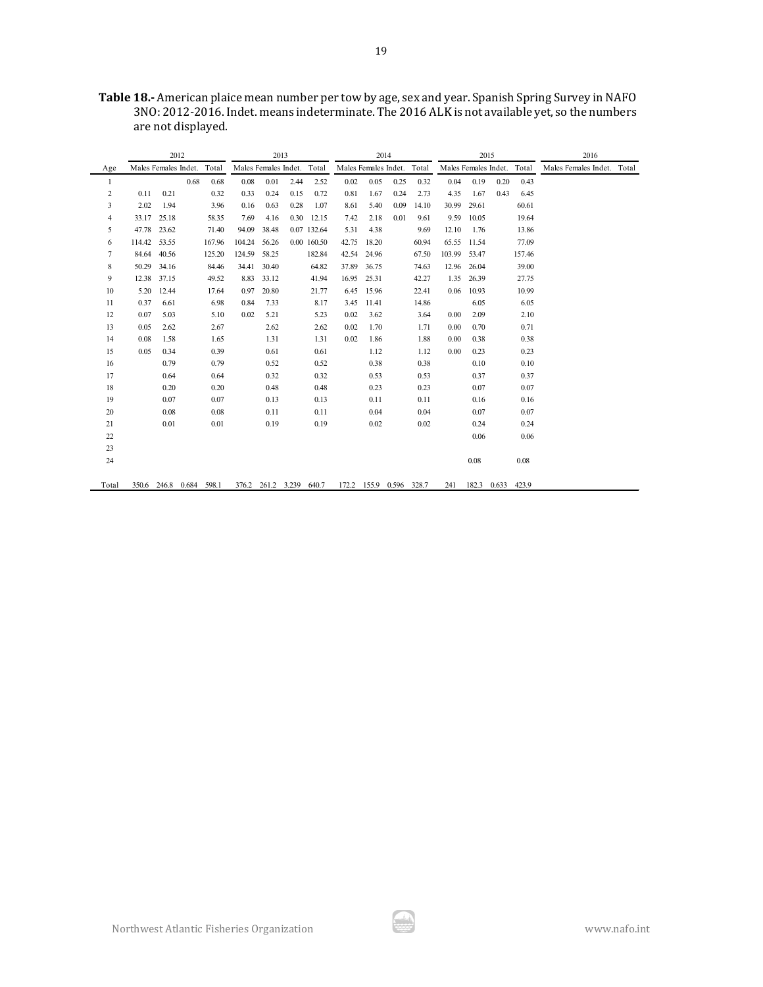**Table 18.-** American plaice mean number per tow by age, sex and year. Spanish Spring Survey in NAFO 3NO: 2012-2016. Indet. means indeterminate. The 2016 ALK is not available yet, so the numbers are not displayed.

|       | 2012<br>Males Females Indet. Total<br>Males Females Indet. Total |                         |      |        |        | 2013                    |      |             |                            | 2014        |                         |       |                            | 2015  |             |        | 2016                       |  |
|-------|------------------------------------------------------------------|-------------------------|------|--------|--------|-------------------------|------|-------------|----------------------------|-------------|-------------------------|-------|----------------------------|-------|-------------|--------|----------------------------|--|
| Age   |                                                                  |                         |      |        |        |                         |      |             | Males Females Indet. Total |             |                         |       | Males Females Indet. Total |       |             |        | Males Females Indet. Total |  |
| 1     |                                                                  |                         | 0.68 | 0.68   | 0.08   | 0.01                    | 2.44 | 2.52        | 0.02                       | 0.05        | 0.25                    | 0.32  | 0.04                       | 0.19  | 0.20        | 0.43   |                            |  |
| 2     | 0.11                                                             | 0.21                    |      | 0.32   | 0.33   | 0.24                    | 0.15 | 0.72        | 0.81                       | 1.67        | 0.24                    | 2.73  | 4.35                       | 1.67  | 0.43        | 6.45   |                            |  |
| 3     | 2.02                                                             | 1.94                    |      | 3.96   | 0.16   | 0.63                    | 0.28 | 1.07        | 8.61                       | 5.40        | 0.09                    | 14.10 | 30.99                      | 29.61 |             | 60.61  |                            |  |
| 4     | 33.17                                                            | 25.18                   |      | 58.35  | 7.69   | 4.16                    | 0.30 | 12.15       | 7.42                       | 2.18        | 0.01                    | 9.61  | 9.59                       | 10.05 |             | 19.64  |                            |  |
| 5     | 47.78                                                            | 23.62                   |      | 71.40  | 94.09  | 38.48                   |      | 0.07 132.64 | 5.31                       | 4.38        |                         | 9.69  | 12.10                      | 1.76  |             | 13.86  |                            |  |
| 6     | 114.42                                                           | 53.55                   |      | 167.96 | 104.24 | 56.26                   |      | 0.00 160.50 | 42.75                      | 18.20       |                         | 60.94 | 65.55                      | 11.54 |             | 77.09  |                            |  |
| 7     | 84.64 40.56                                                      |                         |      | 125.20 | 124.59 | 58.25                   |      | 182.84      |                            | 42.54 24.96 |                         | 67.50 | 103.99 53.47               |       |             | 157.46 |                            |  |
| 8     |                                                                  | 50.29 34.16             |      | 84.46  | 34.41  | 30.40                   |      | 64.82       | 37.89                      | 36.75       |                         | 74.63 | 12.96                      | 26.04 |             | 39.00  |                            |  |
| 9     | 12.38                                                            | 37.15                   |      | 49.52  | 8.83   | 33.12                   |      | 41.94       | 16.95                      | 25.31       |                         | 42.27 | 1.35                       | 26.39 |             | 27.75  |                            |  |
| 10    | 5.20                                                             | 12.44                   |      | 17.64  | 0.97   | 20.80                   |      | 21.77       |                            | 6.45 15.96  |                         | 22.41 | 0.06                       | 10.93 |             | 10.99  |                            |  |
| 11    | 0.37                                                             | 6.61                    |      | 6.98   | 0.84   | 7.33                    |      | 8.17        | 3.45                       | 11.41       |                         | 14.86 |                            | 6.05  |             | 6.05   |                            |  |
| 12    | 0.07                                                             | 5.03                    |      | 5.10   | 0.02   | 5.21                    |      | 5.23        | 0.02                       | 3.62        |                         | 3.64  | 0.00                       | 2.09  |             | 2.10   |                            |  |
| 13    | 0.05                                                             | 2.62                    |      | 2.67   |        | 2.62                    |      | 2.62        | 0.02                       | 1.70        |                         | 1.71  | 0.00                       | 0.70  |             | 0.71   |                            |  |
| 14    | 0.08                                                             | 1.58                    |      | 1.65   |        | 1.31                    |      | 1.31        | 0.02                       | 1.86        |                         | 1.88  | 0.00                       | 0.38  |             | 0.38   |                            |  |
| 15    | 0.05                                                             | 0.34                    |      | 0.39   |        | 0.61                    |      | 0.61        |                            | 1.12        |                         | 1.12  | 0.00                       | 0.23  |             | 0.23   |                            |  |
| 16    |                                                                  | 0.79                    |      | 0.79   |        | 0.52                    |      | 0.52        |                            | 0.38        |                         | 0.38  |                            | 0.10  |             | 0.10   |                            |  |
| 17    |                                                                  | 0.64                    |      | 0.64   |        | 0.32                    |      | 0.32        |                            | 0.53        |                         | 0.53  |                            | 0.37  |             | 0.37   |                            |  |
| 18    |                                                                  | 0.20                    |      | 0.20   |        | 0.48                    |      | 0.48        |                            | 0.23        |                         | 0.23  |                            | 0.07  |             | 0.07   |                            |  |
| 19    |                                                                  | 0.07                    |      | 0.07   |        | 0.13                    |      | 0.13        |                            | 0.11        |                         | 0.11  |                            | 0.16  |             | 0.16   |                            |  |
| 20    |                                                                  | 0.08                    |      | 0.08   |        | 0.11                    |      | 0.11        |                            | 0.04        |                         | 0.04  |                            | 0.07  |             | 0.07   |                            |  |
| 21    |                                                                  | 0.01                    |      | 0.01   |        | 0.19                    |      | 0.19        |                            | 0.02        |                         | 0.02  |                            | 0.24  |             | 0.24   |                            |  |
| 22    |                                                                  |                         |      |        |        |                         |      |             |                            |             |                         |       |                            | 0.06  |             | 0.06   |                            |  |
| 23    |                                                                  |                         |      |        |        |                         |      |             |                            |             |                         |       |                            |       |             |        |                            |  |
| 24    |                                                                  |                         |      |        |        |                         |      |             |                            |             |                         |       |                            | 0.08  |             | 0.08   |                            |  |
| Total |                                                                  | 350.6 246.8 0.684 598.1 |      |        |        | 376.2 261.2 3.239 640.7 |      |             |                            |             | 172.2 155.9 0.596 328.7 |       | 241                        | 182.3 | 0.633 423.9 |        |                            |  |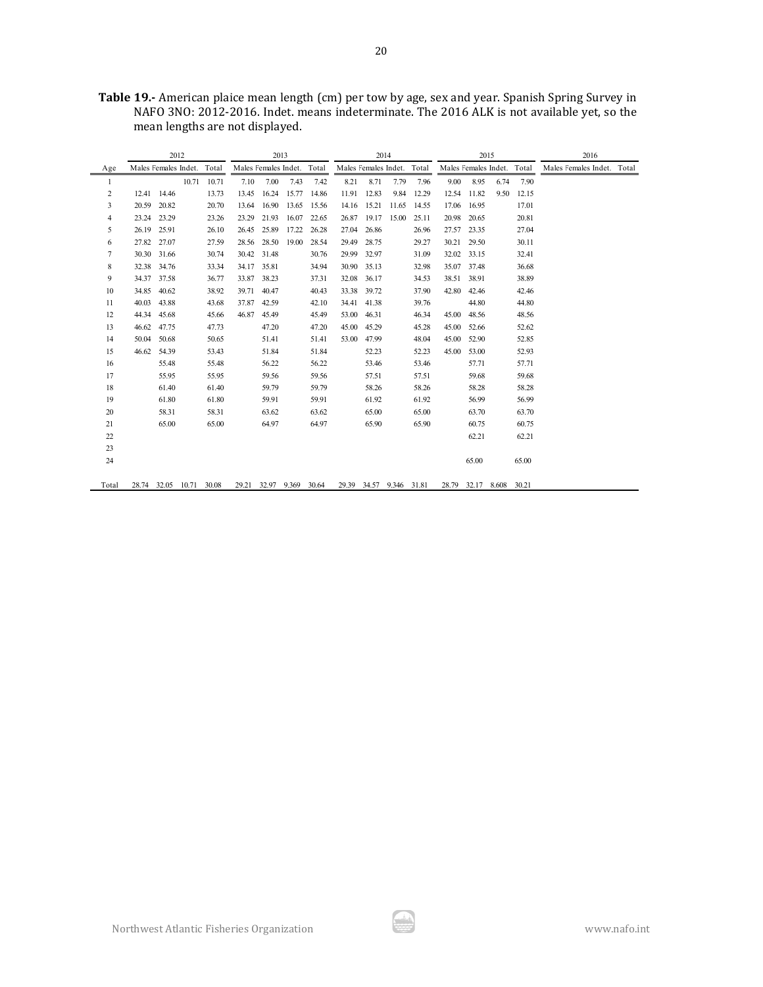|       |                            | 2012        |             |       |                            | 2013        |             |       |                            | 2014        |             |       |                            | 2015        |             |       | 2016                       |  |
|-------|----------------------------|-------------|-------------|-------|----------------------------|-------------|-------------|-------|----------------------------|-------------|-------------|-------|----------------------------|-------------|-------------|-------|----------------------------|--|
| Age   | Males Females Indet. Total |             |             |       | Males Females Indet. Total |             |             |       | Males Females Indet. Total |             |             |       | Males Females Indet. Total |             |             |       | Males Females Indet. Total |  |
| 1     |                            |             | 10.71       | 10.71 | 7.10                       | 7.00        | 7.43        | 7.42  | 8.21                       | 8.71        | 7.79        | 7.96  | 9.00                       | 8.95        | 6.74        | 7.90  |                            |  |
| 2     |                            | 12.41 14.46 |             | 13.73 | 13.45                      | 16.24       | 15.77       | 14.86 | 11.91                      | 12.83       | 9.84        | 12.29 | 12.54                      | 11.82       | 9.50        | 12.15 |                            |  |
| 3     | 20.59                      | 20.82       |             | 20.70 | 13.64                      | 16.90       | 13.65       | 15.56 | 14.16                      | 15.21       | 11.65       | 14.55 | 17.06                      | 16.95       |             | 17.01 |                            |  |
| 4     |                            | 23.24 23.29 |             | 23.26 | 23.29                      | 21.93       | 16.07       | 22.65 | 26.87                      | 19.17       | 15.00       | 25.11 | 20.98                      | 20.65       |             | 20.81 |                            |  |
| 5     | 26.19                      | 25.91       |             | 26.10 | 26.45                      | 25.89       | 17.22       | 26.28 | 27.04                      | 26.86       |             | 26.96 | 27.57                      | 23.35       |             | 27.04 |                            |  |
| 6     |                            | 27.82 27.07 |             | 27.59 |                            | 28.56 28.50 | 19.00       | 28.54 | 29.49                      | 28.75       |             | 29.27 | 30.21                      | 29.50       |             | 30.11 |                            |  |
| 7     |                            | 30.30 31.66 |             | 30.74 |                            | 30.42 31.48 |             | 30.76 | 29.99                      | 32.97       |             | 31.09 |                            | 32.02 33.15 |             | 32.41 |                            |  |
| 8     | 32.38                      | 34.76       |             | 33.34 | 34.17                      | 35.81       |             | 34.94 | 30.90                      | 35.13       |             | 32.98 | 35.07                      | 37.48       |             | 36.68 |                            |  |
| 9     | 34.37                      | 37.58       |             | 36.77 | 33.87                      | 38.23       |             | 37.31 | 32.08                      | 36.17       |             | 34.53 | 38.51                      | 38.91       |             | 38.89 |                            |  |
| 10    | 34.85                      | 40.62       |             | 38.92 | 39.71                      | 40.47       |             | 40.43 |                            | 33.38 39.72 |             | 37.90 | 42.80                      | 42.46       |             | 42.46 |                            |  |
| 11    | 40.03                      | 43.88       |             | 43.68 | 37.87                      | 42.59       |             | 42.10 | 34.41                      | 41.38       |             | 39.76 |                            | 44.80       |             | 44.80 |                            |  |
| 12    | 44.34                      | 45.68       |             | 45.66 | 46.87                      | 45.49       |             | 45.49 | 53.00                      | 46.31       |             | 46.34 | 45.00                      | 48.56       |             | 48.56 |                            |  |
| 13    |                            | 46.62 47.75 |             | 47.73 |                            | 47.20       |             | 47.20 | 45.00                      | 45.29       |             | 45.28 | 45.00                      | 52.66       |             | 52.62 |                            |  |
| 14    | 50.04                      | 50.68       |             | 50.65 |                            | 51.41       |             | 51.41 | 53.00                      | 47.99       |             | 48.04 | 45.00                      | 52.90       |             | 52.85 |                            |  |
| 15    |                            | 46.62 54.39 |             | 53.43 |                            | 51.84       |             | 51.84 |                            | 52.23       |             | 52.23 | 45.00                      | 53.00       |             | 52.93 |                            |  |
| 16    |                            | 55.48       |             | 55.48 |                            | 56.22       |             | 56.22 |                            | 53.46       |             | 53.46 |                            | 57.71       |             | 57.71 |                            |  |
| 17    |                            | 55.95       |             | 55.95 |                            | 59.56       |             | 59.56 |                            | 57.51       |             | 57.51 |                            | 59.68       |             | 59.68 |                            |  |
| 18    |                            | 61.40       |             | 61.40 |                            | 59.79       |             | 59.79 |                            | 58.26       |             | 58.26 |                            | 58.28       |             | 58.28 |                            |  |
| 19    |                            | 61.80       |             | 61.80 |                            | 59.91       |             | 59.91 |                            | 61.92       |             | 61.92 |                            | 56.99       |             | 56.99 |                            |  |
| 20    |                            | 58.31       |             | 58.31 |                            | 63.62       |             | 63.62 |                            | 65.00       |             | 65.00 |                            | 63.70       |             | 63.70 |                            |  |
| 21    |                            | 65.00       |             | 65.00 |                            | 64.97       |             | 64.97 |                            | 65.90       |             | 65.90 |                            | 60.75       |             | 60.75 |                            |  |
| 22    |                            |             |             |       |                            |             |             |       |                            |             |             |       |                            | 62.21       |             | 62.21 |                            |  |
| 23    |                            |             |             |       |                            |             |             |       |                            |             |             |       |                            |             |             |       |                            |  |
| 24    |                            |             |             |       |                            |             |             |       |                            |             |             |       |                            | 65.00       |             | 65.00 |                            |  |
| Total | 28.74 32.05                |             | 10.71 30.08 |       | 29.21                      | 32.97       | 9.369 30.64 |       | 29.39                      | 34.57       | 9.346 31.81 |       | 28.79                      | 32.17       | 8.608 30.21 |       |                            |  |

**Table 19.-** American plaice mean length (cm) per tow by age, sex and year. Spanish Spring Survey in NAFO 3NO: 2012-2016. Indet. means indeterminate. The 2016 ALK is not available yet, so the mean lengths are not displayed.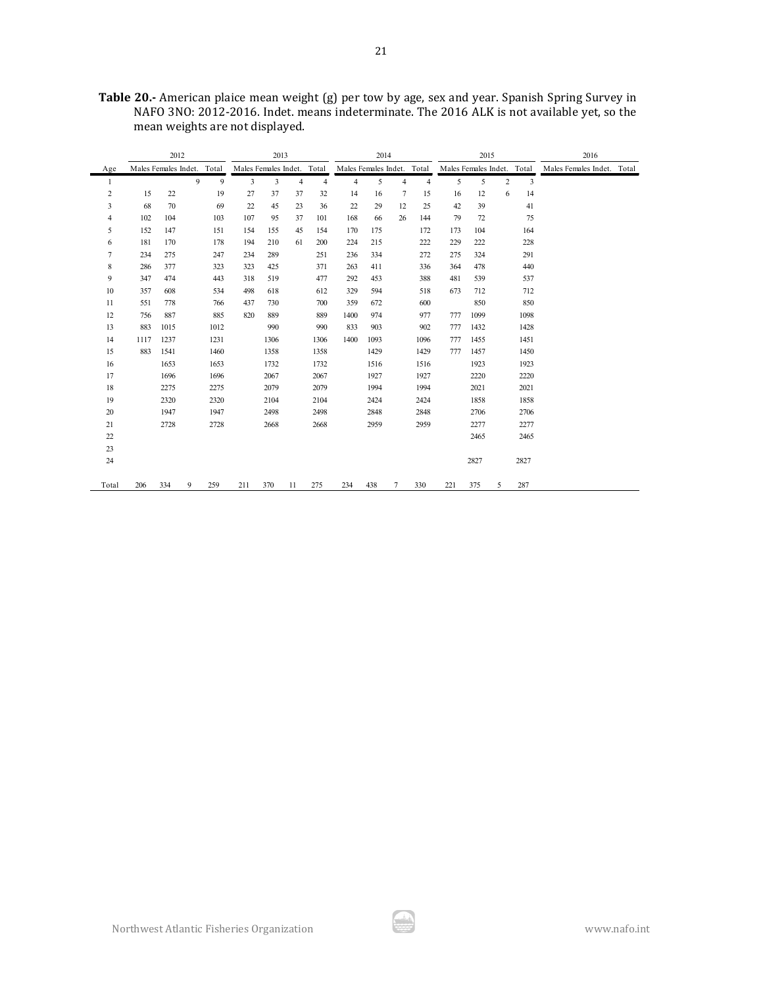|                |                            | 2012 |             |      |                            | 2013 |                |                |                            | 2014 |                |                |     | 2015                       |   |      | 2016                       |  |
|----------------|----------------------------|------|-------------|------|----------------------------|------|----------------|----------------|----------------------------|------|----------------|----------------|-----|----------------------------|---|------|----------------------------|--|
| Age            | Males Females Indet. Total |      |             |      | Males Females Indet. Total |      |                |                | Males Females Indet. Total |      |                |                |     | Males Females Indet. Total |   |      | Males Females Indet. Total |  |
| 1              |                            |      | $\mathbf Q$ | 9    | $\overline{3}$             | 3    | $\overline{4}$ | $\overline{4}$ | $\overline{4}$             | 5    | $\overline{4}$ | $\overline{4}$ | 5   | 5                          | 2 | 3    |                            |  |
| $\overline{c}$ | 15                         | 22   |             | 19   | 27                         | 37   | 37             | 32             | 14                         | 16   | 7              | 15             | 16  | 12                         | 6 | 14   |                            |  |
| 3              | 68                         | 70   |             | 69   | 22                         | 45   | 23             | 36             | 22                         | 29   | 12             | 25             | 42  | 39                         |   | 41   |                            |  |
| 4              | 102                        | 104  |             | 103  | 107                        | 95   | 37             | 101            | 168                        | 66   | 26             | 144            | 79  | 72                         |   | 75   |                            |  |
| 5              | 152                        | 147  |             | 151  | 154                        | 155  | 45             | 154            | 170                        | 175  |                | 172            | 173 | 104                        |   | 164  |                            |  |
| 6              | 181                        | 170  |             | 178  | 194                        | 210  | 61             | 200            | 224                        | 215  |                | 222            | 229 | 222                        |   | 228  |                            |  |
| 7              | 234                        | 275  |             | 247  | 234                        | 289  |                | 251            | 236                        | 334  |                | 272            | 275 | 324                        |   | 291  |                            |  |
| 8              | 286                        | 377  |             | 323  | 323                        | 425  |                | 371            | 263                        | 411  |                | 336            | 364 | 478                        |   | 440  |                            |  |
| 9              | 347                        | 474  |             | 443  | 318                        | 519  |                | 477            | 292                        | 453  |                | 388            | 481 | 539                        |   | 537  |                            |  |
| 10             | 357                        | 608  |             | 534  | 498                        | 618  |                | 612            | 329                        | 594  |                | 518            | 673 | 712                        |   | 712  |                            |  |
| 11             | 551                        | 778  |             | 766  | 437                        | 730  |                | 700            | 359                        | 672  |                | 600            |     | 850                        |   | 850  |                            |  |
| 12             | 756                        | 887  |             | 885  | 820                        | 889  |                | 889            | 1400                       | 974  |                | 977            | 777 | 1099                       |   | 1098 |                            |  |
| 13             | 883                        | 1015 |             | 1012 |                            | 990  |                | 990            | 833                        | 903  |                | 902            | 777 | 1432                       |   | 1428 |                            |  |
| 14             | 1117                       | 1237 |             | 1231 |                            | 1306 |                | 1306           | 1400                       | 1093 |                | 1096           | 777 | 1455                       |   | 1451 |                            |  |
| 15             | 883                        | 1541 |             | 1460 |                            | 1358 |                | 1358           |                            | 1429 |                | 1429           | 777 | 1457                       |   | 1450 |                            |  |
| 16             |                            | 1653 |             | 1653 |                            | 1732 |                | 1732           |                            | 1516 |                | 1516           |     | 1923                       |   | 1923 |                            |  |
| 17             |                            | 1696 |             | 1696 |                            | 2067 |                | 2067           |                            | 1927 |                | 1927           |     | 2220                       |   | 2220 |                            |  |
| 18             |                            | 2275 |             | 2275 |                            | 2079 |                | 2079           |                            | 1994 |                | 1994           |     | 2021                       |   | 2021 |                            |  |
| 19             |                            | 2320 |             | 2320 |                            | 2104 |                | 2104           |                            | 2424 |                | 2424           |     | 1858                       |   | 1858 |                            |  |
| 20             |                            | 1947 |             | 1947 |                            | 2498 |                | 2498           |                            | 2848 |                | 2848           |     | 2706                       |   | 2706 |                            |  |
| 21             |                            | 2728 |             | 2728 |                            | 2668 |                | 2668           |                            | 2959 |                | 2959           |     | 2277                       |   | 2277 |                            |  |
| 22             |                            |      |             |      |                            |      |                |                |                            |      |                |                |     | 2465                       |   | 2465 |                            |  |
| 23             |                            |      |             |      |                            |      |                |                |                            |      |                |                |     |                            |   |      |                            |  |
| 24             |                            |      |             |      |                            |      |                |                |                            |      |                |                |     | 2827                       |   | 2827 |                            |  |
|                |                            |      |             |      |                            |      |                |                |                            |      |                |                |     |                            |   |      |                            |  |
| Total          | 206                        | 334  | 9           | 259  | 211                        | 370  | 11             | 275            | 234                        | 438  | $\overline{7}$ | 330            | 221 | 375                        | 5 | 287  |                            |  |

**Table 20.-** American plaice mean weight (g) per tow by age, sex and year. Spanish Spring Survey in NAFO 3NO: 2012-2016. Indet. means indeterminate. The 2016 ALK is not available yet, so the mean weights are not displayed.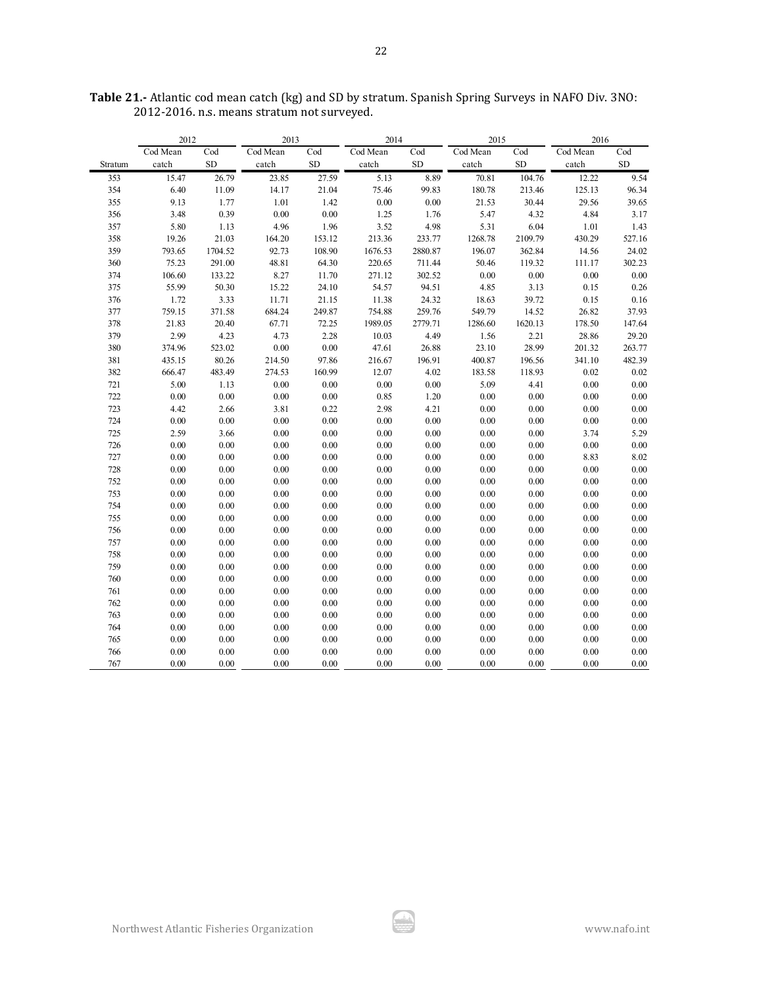|         | 2012     |           | 2013     |           | 2014     |           | 2015     |          | 2016     |            |
|---------|----------|-----------|----------|-----------|----------|-----------|----------|----------|----------|------------|
|         | Cod Mean | Cod       | Cod Mean | Cod       | Cod Mean | Cod       | Cod Mean | Cod      | Cod Mean | Cod        |
| Stratum | catch    | <b>SD</b> | catch    | <b>SD</b> | catch    | <b>SD</b> | catch    | SD       | catch    | ${\rm SD}$ |
| 353     | 15.47    | 26.79     | 23.85    | 27.59     | 5.13     | 8.89      | 70.81    | 104.76   | 12.22    | 9.54       |
| 354     | 6.40     | 11.09     | 14.17    | 21.04     | 75.46    | 99.83     | 180.78   | 213.46   | 125.13   | 96.34      |
| 355     | 9.13     | 1.77      | 1.01     | 1.42      | $0.00\,$ | $0.00\,$  | 21.53    | 30.44    | 29.56    | 39.65      |
| 356     | 3.48     | 0.39      | 0.00     | $0.00\,$  | 1.25     | 1.76      | 5.47     | 4.32     | 4.84     | 3.17       |
| 357     | 5.80     | 1.13      | 4.96     | 1.96      | 3.52     | 4.98      | 5.31     | 6.04     | 1.01     | 1.43       |
| 358     | 19.26    | 21.03     | 164.20   | 153.12    | 213.36   | 233.77    | 1268.78  | 2109.79  | 430.29   | 527.16     |
| 359     | 793.65   | 1704.52   | 92.73    | 108.90    | 1676.53  | 2880.87   | 196.07   | 362.84   | 14.56    | 24.02      |
| 360     | 75.23    | 291.00    | 48.81    | 64.30     | 220.65   | 711.44    | 50.46    | 119.32   | 111.17   | 302.23     |
| 374     | 106.60   | 133.22    | 8.27     | 11.70     | 271.12   | 302.52    | $0.00\,$ | $0.00\,$ | 0.00     | 0.00       |
| 375     | 55.99    | 50.30     | 15.22    | 24.10     | 54.57    | 94.51     | 4.85     | 3.13     | 0.15     | 0.26       |
| 376     | 1.72     | 3.33      | 11.71    | 21.15     | 11.38    | 24.32     | 18.63    | 39.72    | 0.15     | 0.16       |
| 377     | 759.15   | 371.58    | 684.24   | 249.87    | 754.88   | 259.76    | 549.79   | 14.52    | 26.82    | 37.93      |
| 378     | 21.83    | 20.40     | 67.71    | 72.25     | 1989.05  | 2779.71   | 1286.60  | 1620.13  | 178.50   | 147.64     |
| 379     | 2.99     | 4.23      | 4.73     | 2.28      | 10.03    | 4.49      | 1.56     | 2.21     | 28.86    | 29.20      |
| 380     | 374.96   | 523.02    | 0.00     | 0.00      | 47.61    | 26.88     | 23.10    | 28.99    | 201.32   | 263.77     |
| 381     | 435.15   | 80.26     | 214.50   | 97.86     | 216.67   | 196.91    | 400.87   | 196.56   | 341.10   | 482.39     |
| 382     | 666.47   | 483.49    | 274.53   | 160.99    | 12.07    | 4.02      | 183.58   | 118.93   | 0.02     | 0.02       |
| 721     | 5.00     | 1.13      | 0.00     | 0.00      | 0.00     | $0.00\,$  | 5.09     | 4.41     | 0.00     | $0.00\,$   |
| 722     | $0.00\,$ | $0.00\,$  | $0.00\,$ | $0.00\,$  | 0.85     | $1.20\,$  | $0.00\,$ | $0.00\,$ | 0.00     | 0.00       |
| 723     | 4.42     | 2.66      | 3.81     | 0.22      | 2.98     | 4.21      | $0.00\,$ | 0.00     | 0.00     | 0.00       |
| 724     | 0.00     | 0.00      | 0.00     | 0.00      | 0.00     | 0.00      | 0.00     | 0.00     | 0.00     | 0.00       |
| 725     | 2.59     | 3.66      | 0.00     | 0.00      | 0.00     | $0.00\,$  | $0.00\,$ | $0.00\,$ | 3.74     | 5.29       |
| 726     | 0.00     | 0.00      | 0.00     | 0.00      | 0.00     | 0.00      | $0.00\,$ | 0.00     | 0.00     | 0.00       |
| 727     | 0.00     | 0.00      | 0.00     | 0.00      | 0.00     | 0.00      | 0.00     | 0.00     | 8.83     | 8.02       |
| 728     | $0.00\,$ | 0.00      | 0.00     | 0.00      | 0.00     | $0.00\,$  | 0.00     | 0.00     | 0.00     | 0.00       |
| 752     | 0.00     | 0.00      | 0.00     | 0.00      | 0.00     | 0.00      | 0.00     | 0.00     | 0.00     | 0.00       |
| 753     | $0.00\,$ | $0.00\,$  | 0.00     | 0.00      | 0.00     | $0.00\,$  | $0.00\,$ | 0.00     | 0.00     | 0.00       |
| 754     | 0.00     | 0.00      | 0.00     | 0.00      | 0.00     | 0.00      | 0.00     | 0.00     | 0.00     | 0.00       |
| 755     | 0.00     | 0.00      | 0.00     | 0.00      | 0.00     | 0.00      | $0.00\,$ | 0.00     | 0.00     | $0.00\,$   |
| 756     | $0.00\,$ | $0.00\,$  | 0.00     | 0.00      | 0.00     | $0.00\,$  | $0.00\,$ | $0.00\,$ | 0.00     | $0.00\,$   |
| 757     | 0.00     | 0.00      | 0.00     | 0.00      | 0.00     | 0.00      | 0.00     | 0.00     | 0.00     | 0.00       |
| 758     | $0.00\,$ | $0.00\,$  | 0.00     | 0.00      | 0.00     | $0.00\,$  | $0.00\,$ | $0.00\,$ | 0.00     | 0.00       |
| 759     | $0.00\,$ | 0.00      | 0.00     | 0.00      | 0.00     | $0.00\,$  | $0.00\,$ | 0.00     | 0.00     | $0.00\,$   |
| 760     | 0.00     | 0.00      | 0.00     | 0.00      | 0.00     | 0.00      | 0.00     | 0.00     | 0.00     | 0.00       |
| 761     | $0.00\,$ | $0.00\,$  | 0.00     | 0.00      | 0.00     | $0.00\,$  | $0.00\,$ | $0.00\,$ | 0.00     | $0.00\,$   |
| 762     | 0.00     | 0.00      | 0.00     | 0.00      | 0.00     | $0.00\,$  | 0.00     | 0.00     | 0.00     | 0.00       |
| 763     | 0.00     | 0.00      | 0.00     | 0.00      | 0.00     | 0.00      | 0.00     | 0.00     | 0.00     | 0.00       |
| 764     | $0.00\,$ | 0.00      | 0.00     | 0.00      | 0.00     | $0.00\,$  | $0.00\,$ | $0.00\,$ | 0.00     | 0.00       |
| 765     | 0.00     | 0.00      | 0.00     | 0.00      | 0.00     | 0.00      | 0.00     | 0.00     | 0.00     | 0.00       |
| 766     | $0.00\,$ | $0.00\,$  | 0.00     | 0.00      | 0.00     | $0.00\,$  | $0.00\,$ | 0.00     | 0.00     | 0.00       |
| 767     | 0.00     | 0.00      | 0.00     | 0.00      | 0.00     | 0.00      | 0.00     | 0.00     | 0.00     | 0.00       |

**Table 21.-** Atlantic cod mean catch (kg) and SD by stratum. Spanish Spring Surveys in NAFO Div. 3NO: 2012-2016. n.s. means stratum not surveyed.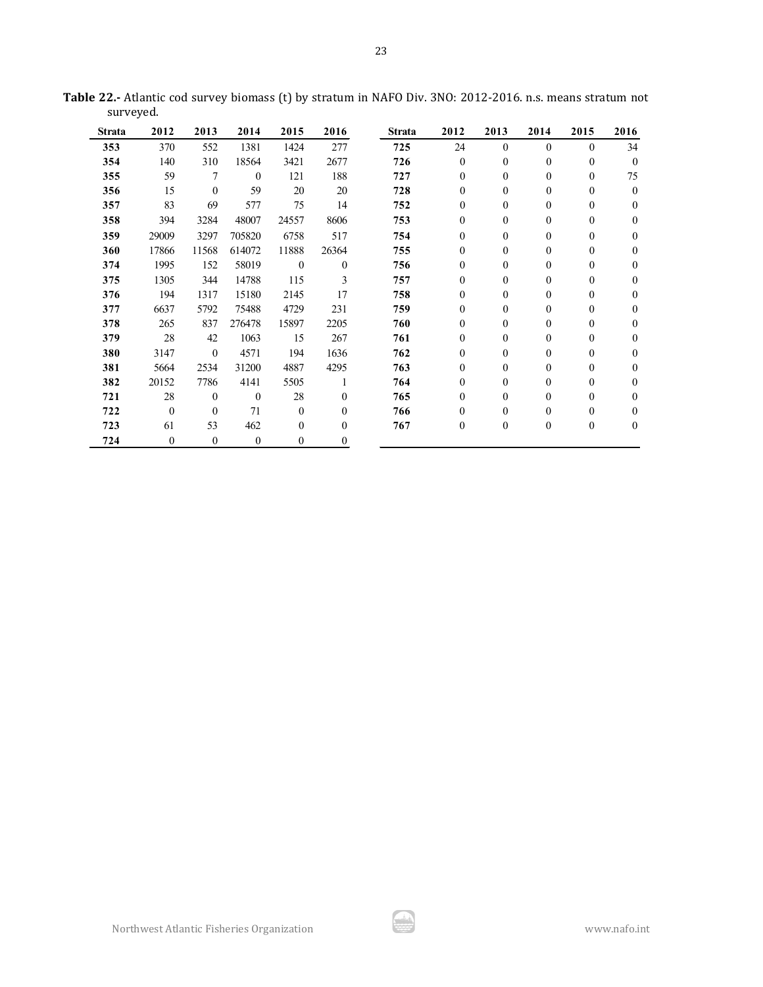| Strata | 2012             | 2013         | 2014         | 2015         | 2016             | <b>Strata</b> | 2012             | 2013             | 2014             | 2015             | 2016         |
|--------|------------------|--------------|--------------|--------------|------------------|---------------|------------------|------------------|------------------|------------------|--------------|
| 353    | 370              | 552          | 1381         | 1424         | 277              | 725           | 24               | $\theta$         | $\theta$         | $\theta$         | 34           |
| 354    | 140              | 310          | 18564        | 3421         | 2677             | 726           | $\theta$         | $\boldsymbol{0}$ | $\mathbf{0}$     | $\boldsymbol{0}$ | $\theta$     |
| 355    | 59               | 7            | $\mathbf{0}$ | 121          | 188              | 727           | $\mathbf{0}$     | $\boldsymbol{0}$ | $\mathbf{0}$     | $\mathbf{0}$     | 75           |
| 356    | 15               | $\theta$     | 59           | 20           | 20               | 728           | $\theta$         | $\boldsymbol{0}$ | $\mathbf{0}$     | $\boldsymbol{0}$ | $\mathbf{0}$ |
| 357    | 83               | 69           | 577          | 75           | 14               | 752           | $\theta$         | $\boldsymbol{0}$ | $\overline{0}$   | $\boldsymbol{0}$ | $\theta$     |
| 358    | 394              | 3284         | 48007        | 24557        | 8606             | 753           | $\mathbf{0}$     | $\boldsymbol{0}$ | $\boldsymbol{0}$ | $\mathbf{0}$     | $\theta$     |
| 359    | 29009            | 3297         | 705820       | 6758         | 517              | 754           | $\theta$         | $\boldsymbol{0}$ | $\overline{0}$   | $\mathbf{0}$     | $\theta$     |
| 360    | 17866            | 11568        | 614072       | 11888        | 26364            | 755           | $\boldsymbol{0}$ | $\boldsymbol{0}$ | $\boldsymbol{0}$ | $\mathbf{0}$     | $\Omega$     |
| 374    | 1995             | 152          | 58019        | $\mathbf{0}$ | $\mathbf{0}$     | 756           | $\boldsymbol{0}$ | $\boldsymbol{0}$ | $\boldsymbol{0}$ | $\boldsymbol{0}$ | $\Omega$     |
| 375    | 1305             | 344          | 14788        | 115          | 3                | 757           | $\mathbf{0}$     | $\boldsymbol{0}$ | $\overline{0}$   | $\boldsymbol{0}$ | $\theta$     |
| 376    | 194              | 1317         | 15180        | 2145         | 17               | 758           | $\theta$         | $\boldsymbol{0}$ | $\boldsymbol{0}$ | $\boldsymbol{0}$ | $\theta$     |
| 377    | 6637             | 5792         | 75488        | 4729         | 231              | 759           | $\mathbf{0}$     | $\mathbf{0}$     | $\boldsymbol{0}$ | 0                | $\theta$     |
| 378    | 265              | 837          | 276478       | 15897        | 2205             | 760           | 0                | $\boldsymbol{0}$ | $\overline{0}$   | $\mathbf{0}$     | $\theta$     |
| 379    | 28               | 42           | 1063         | 15           | 267              | 761           | $\theta$         | $\boldsymbol{0}$ | $\boldsymbol{0}$ | $\boldsymbol{0}$ | $\theta$     |
| 380    | 3147             | $\mathbf{0}$ | 4571         | 194          | 1636             | 762           | 0                | $\mathbf{0}$     | $\overline{0}$   | 0                | $\theta$     |
| 381    | 5664             | 2534         | 31200        | 4887         | 4295             | 763           | 0                | $\boldsymbol{0}$ | $\boldsymbol{0}$ | $\boldsymbol{0}$ | $\Omega$     |
| 382    | 20152            | 7786         | 4141         | 5505         | 1                | 764           | $\theta$         | $\mathbf{0}$     | $\boldsymbol{0}$ | $\boldsymbol{0}$ | $\theta$     |
| 721    | 28               | $\mathbf{0}$ | $\theta$     | 28           | $\mathbf{0}$     | 765           | 0                | $\theta$         | $\boldsymbol{0}$ | 0                | $\theta$     |
| 722    | $\boldsymbol{0}$ | $\mathbf{0}$ | 71           | $\mathbf{0}$ | $\boldsymbol{0}$ | 766           | 0                | $\boldsymbol{0}$ | $\boldsymbol{0}$ | 0                | $\theta$     |
| 723    | 61               | 53           | 462          | $\mathbf{0}$ | $\theta$         | 767           | $\boldsymbol{0}$ | $\boldsymbol{0}$ | $\boldsymbol{0}$ | 0                | $\mathbf{0}$ |
| 724    | $\mathbf{0}$     | $\mathbf{0}$ | $\mathbf{0}$ | $\mathbf{0}$ | $\theta$         |               |                  |                  |                  |                  |              |

**Table 22.-** Atlantic cod survey biomass (t) by stratum in NAFO Div. 3NO: 2012-2016. n.s. means stratum not surveyed.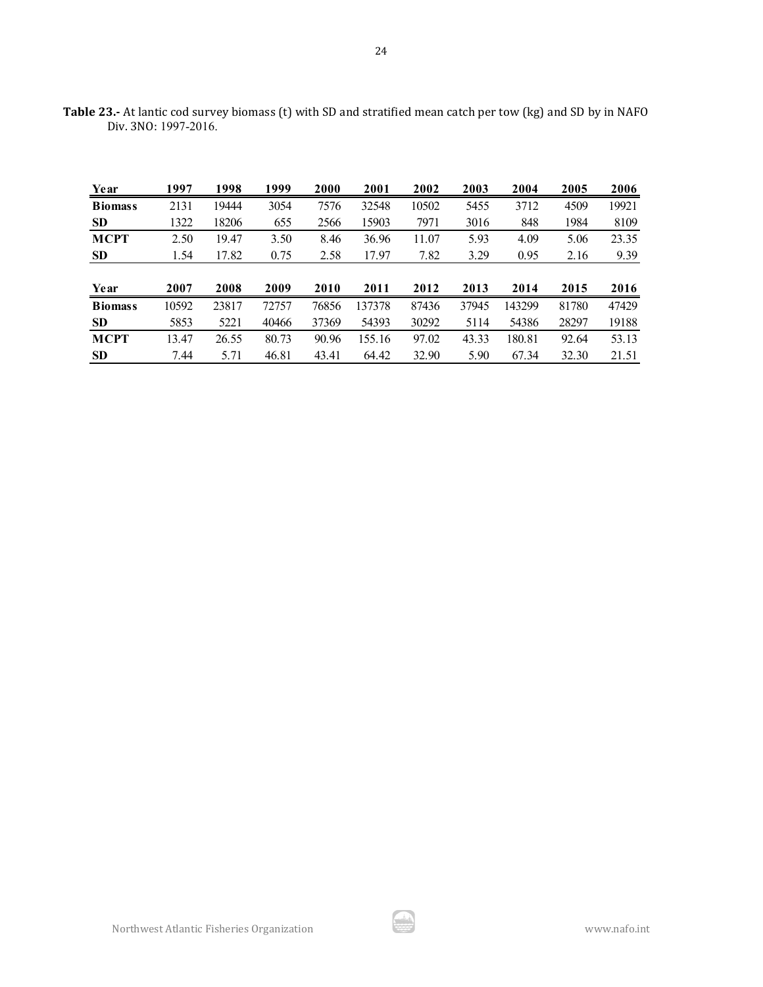| Year           | 1997  | 1998  | 1999  | 2000  | 2001   | 2002  | 2003  | 2004   | 2005  | 2006  |
|----------------|-------|-------|-------|-------|--------|-------|-------|--------|-------|-------|
| <b>Biomass</b> | 2131  | 19444 | 3054  | 7576  | 32548  | 10502 | 5455  | 3712   | 4509  | 19921 |
| <b>SD</b>      | 1322  | 18206 | 655   | 2566  | 15903  | 7971  | 3016  | 848    | 1984  | 8109  |
| <b>MCPT</b>    | 2.50  | 19.47 | 3.50  | 8.46  | 36.96  | 11.07 | 5.93  | 4.09   | 5.06  | 23.35 |
| <b>SD</b>      | 1.54  | 17.82 | 0.75  | 2.58  | 17.97  | 7.82  | 3.29  | 0.95   | 2.16  | 9.39  |
|                |       |       |       |       |        |       |       |        |       |       |
| Year           | 2007  | 2008  | 2009  | 2010  | 2011   | 2012  | 2013  | 2014   | 2015  | 2016  |
| <b>Biomass</b> | 10592 | 23817 | 72757 | 76856 | 137378 | 87436 | 37945 | 143299 | 81780 | 47429 |
| <b>SD</b>      | 5853  | 5221  | 40466 | 37369 | 54393  | 30292 | 5114  | 54386  | 28297 | 19188 |
| <b>MCPT</b>    | 13.47 | 26.55 | 80.73 | 90.96 | 155.16 | 97.02 | 43.33 | 180.81 | 92.64 | 53.13 |
| <b>SD</b>      | 7.44  | 5.71  | 46.81 | 43.41 | 64.42  | 32.90 | 5.90  | 67.34  | 32.30 | 21.51 |

**Table 23.-** At lantic cod survey biomass (t) with SD and stratified mean catch per tow (kg) and SD by in NAFO Div. 3NO: 1997-2016.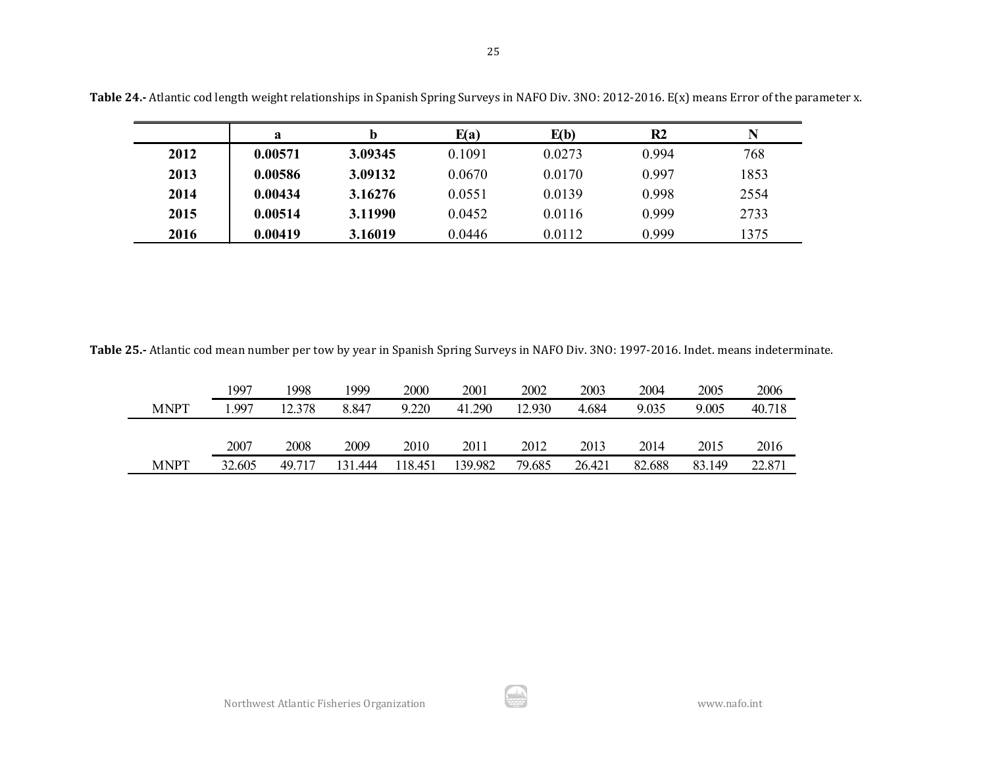|      | a       |         | E(a)   | E(b)   | R <sub>2</sub> | N    |
|------|---------|---------|--------|--------|----------------|------|
| 2012 | 0.00571 | 3.09345 | 0.1091 | 0.0273 | 0.994          | 768  |
| 2013 | 0.00586 | 3.09132 | 0.0670 | 0.0170 | 0.997          | 1853 |
| 2014 | 0.00434 | 3.16276 | 0.0551 | 0.0139 | 0.998          | 2554 |
| 2015 | 0.00514 | 3.11990 | 0.0452 | 0.0116 | 0.999          | 2733 |
| 2016 | 0.00419 | 3.16019 | 0.0446 | 0.0112 | 0.999          | 1375 |

**Table 24.-** Atlantic cod length weight relationships in Spanish Spring Surveys in NAFO Div. 3NO: 2012-2016. E(x) means Error of the parameter x.

**Table 25.-** Atlantic cod mean number per tow by year in Spanish Spring Surveys in NAFO Div. 3NO: 1997-2016. Indet. means indeterminate.

|             | 1997   | 1998   | 1999       | 2000   | 2001    | 2002   | 2003   | 2004   | 2005   | 2006   |
|-------------|--------|--------|------------|--------|---------|--------|--------|--------|--------|--------|
| <b>MNPT</b> | .997   | 12.378 | 8.847      | 9.220  | 41.290  | 12.930 | 4.684  | 9.035  | 9.005  | 40.718 |
|             |        |        |            |        |         |        |        |        |        |        |
|             | 2007   | 2008   | 2009       | 2010   | 2011    | 2012   | 2013   | 2014   | 2015   | 2016   |
| <b>MNPT</b> | 32.605 | 49.717 | 31<br>.444 | 18.451 | 139.982 | 79.685 | 26.421 | 82.688 | 83.149 | 22.87  |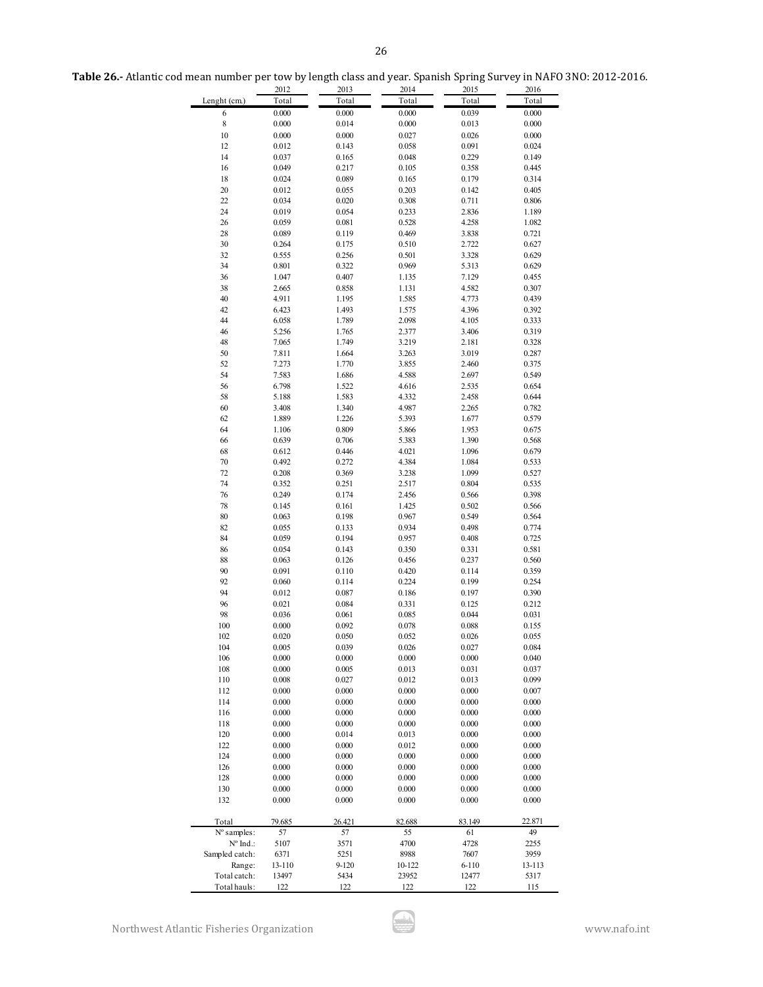| Table 26.- Atlantic cod mean number per tow by length class and year. Spanish Spring Survey in NAFO 3NO: 2012-2016. |  |
|---------------------------------------------------------------------------------------------------------------------|--|
|---------------------------------------------------------------------------------------------------------------------|--|

|                      | 2012           | 2013         | 2014           | 2015         | 2016           |
|----------------------|----------------|--------------|----------------|--------------|----------------|
| Lenght (cm.)         | Total          | Total        | Total          | Total        | Total          |
| 6                    | 0.000          | 0.000        | 0.000          | 0.039        | 0.000          |
| 8                    | 0.000          | 0.014        | 0.000          | 0.013        | 0.000          |
| 10                   | 0.000          | 0.000        | 0.027          | 0.026        | 0.000          |
| 12                   | 0.012          | 0.143        | 0.058          | 0.091        | 0.024          |
| 14                   | 0.037          | 0.165        | 0.048          | 0.229        | 0.149          |
| 16                   | 0.049          | 0.217        | 0.105          | 0.358        | 0.445          |
| 18                   | 0.024          | 0.089        | 0.165          | 0.179        | 0.314          |
| 20                   | 0.012          | 0.055        | 0.203          | 0.142        | 0.405          |
| 22                   | 0.034          | 0.020        | 0.308          | 0.711        | 0.806          |
| 24                   | 0.019          | 0.054        | 0.233          | 2.836        | 1.189          |
| 26                   | 0.059          | 0.081        | 0.528          | 4.258        | 1.082          |
| 28                   | 0.089          | 0.119        | 0.469          | 3.838        | 0.721          |
| 30                   | 0.264          | 0.175        | 0.510          | 2.722        | 0.627          |
| 32                   | 0.555          | 0.256        | 0.501          | 3.328        | 0.629          |
| 34                   | 0.801          | 0.322        | 0.969          | 5.313        | 0.629          |
| 36                   | 1.047          | 0.407        | 1.135          | 7.129        | 0.455          |
| 38                   | 2.665          | 0.858        | 1.131          | 4.582        | 0.307          |
| 40                   | 4.911          | 1.195        |                |              | 0.439          |
| 42                   |                | 1.493        | 1.585          | 4.773        |                |
| 44                   | 6.423          |              | 1.575          | 4.396        | 0.392          |
|                      | 6.058          | 1.789        | 2.098          | 4.105        | 0.333          |
| 46                   | 5.256          | 1.765        | 2.377          | 3.406        | 0.319          |
| 48                   | 7.065          | 1.749        | 3.219          | 2.181        | 0.328          |
| 50                   | 7.811          | 1.664        | 3.263          | 3.019        | 0.287          |
| 52                   | 7.273          | 1.770        | 3.855          | 2.460        | 0.375          |
| 54                   | 7.583          | 1.686        | 4.588          | 2.697        | 0.549          |
| 56                   | 6.798          | 1.522        | 4.616          | 2.535        | 0.654          |
| 58                   | 5.188          | 1.583        | 4.332          | 2.458        | 0.644          |
| 60                   | 3.408          | 1.340        | 4.987          | 2.265        | 0.782          |
| 62                   | 1.889          | 1.226        | 5.393          | 1.677        | 0.579          |
| 64                   | 1.106          | 0.809        | 5.866          | 1.953        | 0.675          |
| 66                   | 0.639          | 0.706        | 5.383          | 1.390        | 0.568          |
| 68                   | 0.612          | 0.446        | 4.021          | 1.096        | 0.679          |
| 70                   | 0.492          | 0.272        | 4.384          | 1.084        | 0.533          |
| 72                   | 0.208          | 0.369        | 3.238          | 1.099        | 0.527          |
| 74                   | 0.352          | 0.251        | 2.517          | 0.804        | 0.535          |
| 76                   | 0.249          | 0.174        | 2.456          | 0.566        | 0.398          |
| 78                   | 0.145          | 0.161        | 1.425          | 0.502        | 0.566          |
| 80                   | 0.063          | 0.198        | 0.967          | 0.549        | 0.564          |
| 82                   | 0.055          | 0.133        | 0.934          | 0.498        | 0.774          |
| 84                   | 0.059          | 0.194        | 0.957          | 0.408        | 0.725          |
| 86                   | 0.054          | 0.143        | 0.350          | 0.331        | 0.581          |
| 88                   | 0.063          | 0.126        | 0.456          | 0.237        | 0.560          |
| 90                   | 0.091          | 0.110        | 0.420          | 0.114        | 0.359          |
| 92                   | 0.060          | 0.114        | 0.224          | 0.199        | 0.254          |
| 94                   | 0.012          | 0.087        | 0.186          | 0.197        | 0.390          |
| 96                   | 0.021          | 0.084        | 0.331          | 0.125        | 0.212          |
| 98                   | 0.036          | 0.061        | 0.085          | 0.044        | 0.031          |
| 100                  | 0.000          | 0.092        | 0.078          | 0.088        | 0.155          |
| 102                  | 0.020          | 0.050        | 0.052          | 0.026        | 0.055          |
| 104                  | 0.005          | 0.039        | 0.026          | 0.027        | 0.084          |
| 106                  | 0.000          | 0.000        | 0.000          | 0.000        | 0.040          |
| 108                  | 0.000          | 0.005        | 0.013          | 0.031        | 0.037          |
| 110                  | 0.008<br>0.000 | 0.027        | 0.012<br>0.000 | 0.013        | 0.099<br>0.007 |
| 112                  |                | 0.000        |                | 0.000        |                |
| 114                  | 0.000          | 0.000        | 0.000          | 0.000        | 0.000          |
| 116                  | 0.000          | 0.000        | 0.000          | 0.000        | 0.000          |
| 118                  | 0.000          | 0.000        | 0.000          | 0.000        | 0.000          |
| 120                  | 0.000          | 0.014        | 0.013          | 0.000        | 0.000          |
| 122                  | 0.000          | 0.000        | 0.012          | 0.000        | 0.000          |
| 124                  | 0.000          | 0.000        | 0.000          | 0.000        | 0.000          |
| 126                  | 0.000          | 0.000        | 0.000          | 0.000        | 0.000          |
| 128                  | 0.000          | 0.000        | 0.000          | 0.000        | 0.000          |
| 130                  | 0.000          | 0.000        | 0.000          | 0.000        | 0.000          |
| 132                  | 0.000          | 0.000        | 0.000          | 0.000        | 0.000          |
|                      |                |              |                |              |                |
| Total<br>N° samples: | 79.685<br>57   | 26.421<br>57 | 82.688<br>55   | 83.149       | 22.871<br>49   |
| $N^{\circ}$ Ind.:    |                | 3571         | 4700           | 61           |                |
| Sampled catch:       | 5107<br>6371   | 5251         | 8988           | 4728<br>7607 | 2255<br>3959   |
| Range:               | 13-110         | $9 - 120$    | 10-122         | $6 - 110$    | 13-113         |
| Total catch:         | 13497          | 5434         | 23952          | 12477        | 5317           |
| Total hauls:         | 122            | 122          | 122            | 122          | 115            |
|                      |                |              |                |              |                |

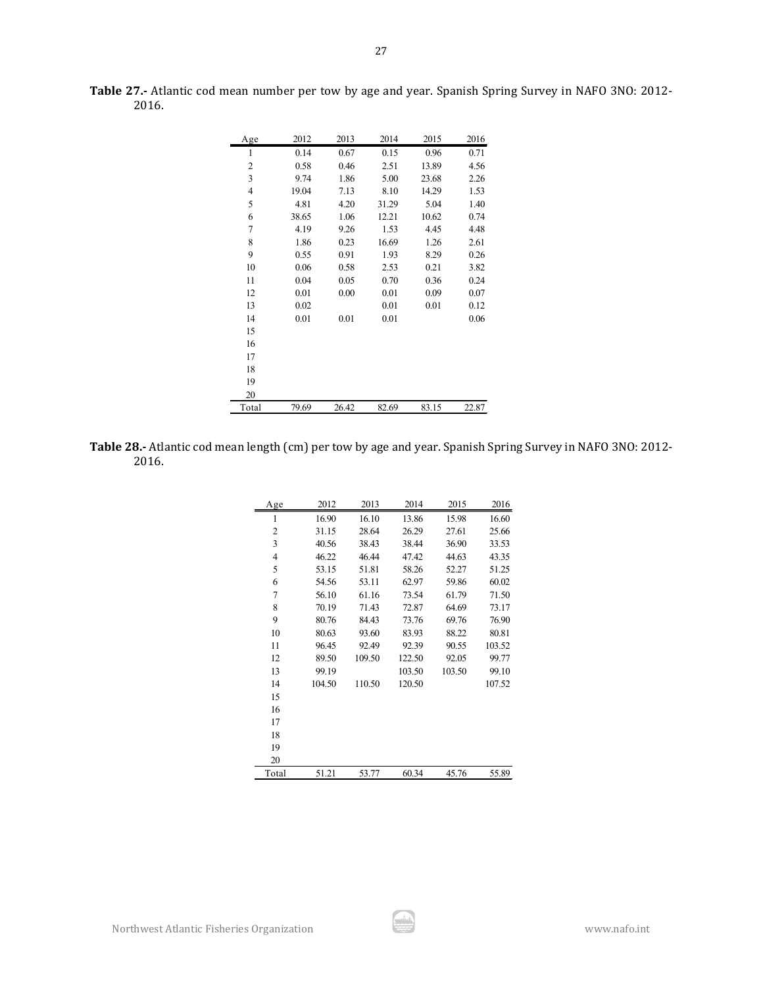| Age   | 2012  | 2013  | 2014  | 2015  | 2016  |
|-------|-------|-------|-------|-------|-------|
| 1     | 0.14  | 0.67  | 0.15  | 0.96  | 0.71  |
| 2     | 0.58  | 0.46  | 2.51  | 13.89 | 4.56  |
| 3     | 9.74  | 1.86  | 5.00  | 23.68 | 2.26  |
| 4     | 19.04 | 7.13  | 8.10  | 14.29 | 1.53  |
| 5     | 4.81  | 4.20  | 31.29 | 5.04  | 1.40  |
| 6     | 38.65 | 1.06  | 12.21 | 10.62 | 0.74  |
| 7     | 4.19  | 9.26  | 1.53  | 4.45  | 4.48  |
| 8     | 1.86  | 0.23  | 16.69 | 1.26  | 2.61  |
| 9     | 0.55  | 0.91  | 1.93  | 8.29  | 0.26  |
| 10    | 0.06  | 0.58  | 2.53  | 0.21  | 3.82  |
| 11    | 0.04  | 0.05  | 0.70  | 0.36  | 0.24  |
| 12    | 0.01  | 0.00  | 0.01  | 0.09  | 0.07  |
| 13    | 0.02  |       | 0.01  | 0.01  | 0.12  |
| 14    | 0.01  | 0.01  | 0.01  |       | 0.06  |
| 15    |       |       |       |       |       |
| 16    |       |       |       |       |       |
| 17    |       |       |       |       |       |
| 18    |       |       |       |       |       |
| 19    |       |       |       |       |       |
| 20    |       |       |       |       |       |
| Total | 79.69 | 26.42 | 82.69 | 83.15 | 22.87 |

**Table 27.-** Atlantic cod mean number per tow by age and year. Spanish Spring Survey in NAFO 3NO: 2012- 2016.

| <b>Table 28.-</b> Atlantic cod mean length (cm) per tow by age and year. Spanish Spring Survey in NAFO 3NO: 2012- |  |  |
|-------------------------------------------------------------------------------------------------------------------|--|--|
| 2016.                                                                                                             |  |  |

| Age            | 2012   | 2013   | 2014   | 2015   | 2016   |
|----------------|--------|--------|--------|--------|--------|
| 1              | 16.90  | 16.10  | 13.86  | 15.98  | 16.60  |
| $\overline{c}$ | 31.15  | 28.64  | 26.29  | 27.61  | 25.66  |
| 3              | 40.56  | 38.43  | 38.44  | 36.90  | 33.53  |
| 4              | 46.22  | 46.44  | 47.42  | 44.63  | 43.35  |
| 5              | 53.15  | 51.81  | 58.26  | 52.27  | 51.25  |
| 6              | 54.56  | 53.11  | 62.97  | 59.86  | 60.02  |
| 7              | 56.10  | 61.16  | 73.54  | 61.79  | 71.50  |
| 8              | 70.19  | 71.43  | 72.87  | 64.69  | 73.17  |
| 9              | 80.76  | 84.43  | 73.76  | 69.76  | 76.90  |
| 10             | 80.63  | 93.60  | 83.93  | 88.22  | 80.81  |
| 11             | 96.45  | 92.49  | 92.39  | 90.55  | 103.52 |
| 12             | 89.50  | 109.50 | 122.50 | 92.05  | 99.77  |
| 13             | 99.19  |        | 103.50 | 103.50 | 99.10  |
| 14             | 104.50 | 110.50 | 120.50 |        | 107.52 |
| 15             |        |        |        |        |        |
| 16             |        |        |        |        |        |
| 17             |        |        |        |        |        |
| 18             |        |        |        |        |        |
| 19             |        |        |        |        |        |
| 20             |        |        |        |        |        |
| Total          | 51.21  | 53.77  | 60.34  | 45.76  | 55.89  |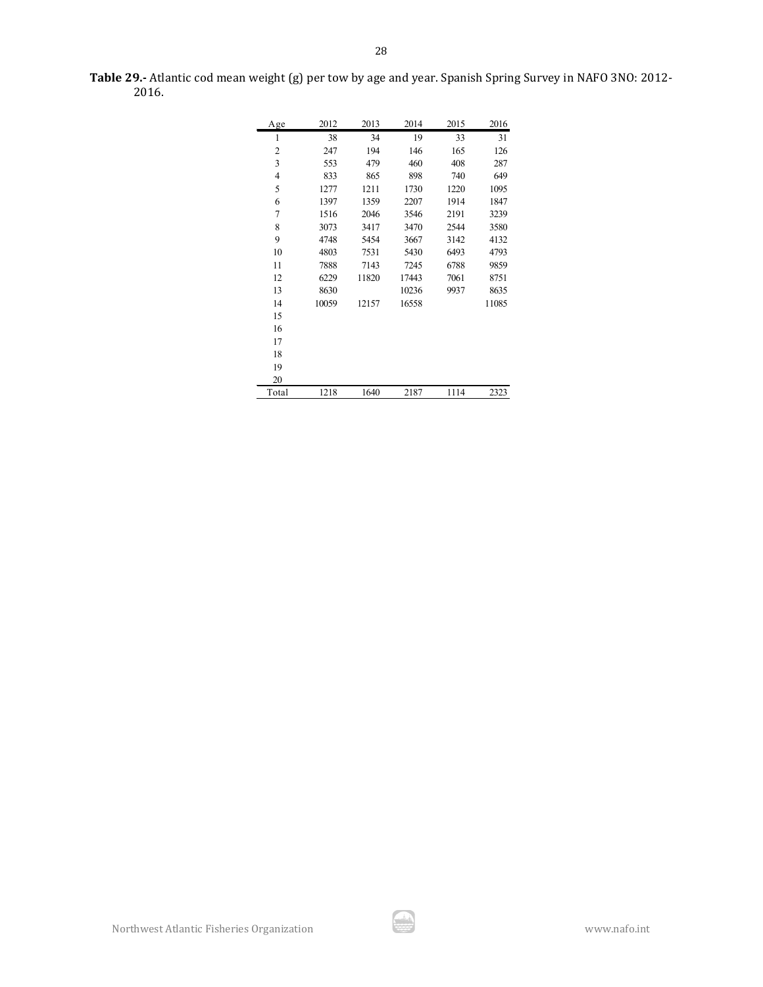| Age            | 2012  | 2013  | 2014  | 2015 | 2016  |
|----------------|-------|-------|-------|------|-------|
| 1              | 38    | 34    | 19    | 33   | 31    |
| 2              | 247   | 194   | 146   | 165  | 126   |
| 3              | 553   | 479   | 460   | 408  | 287   |
| $\overline{4}$ | 833   | 865   | 898   | 740  | 649   |
| 5              | 1277  | 1211  | 1730  | 1220 | 1095  |
| 6              | 1397  | 1359  | 2207  | 1914 | 1847  |
| 7              | 1516  | 2046  | 3546  | 2191 | 3239  |
| 8              | 3073  | 3417  | 3470  | 2544 | 3580  |
| 9              | 4748  | 5454  | 3667  | 3142 | 4132  |
| 10             | 4803  | 7531  | 5430  | 6493 | 4793  |
| 11             | 7888  | 7143  | 7245  | 6788 | 9859  |
| 12             | 6229  | 11820 | 17443 | 7061 | 8751  |
| 13             | 8630  |       | 10236 | 9937 | 8635  |
| 14             | 10059 | 12157 | 16558 |      | 11085 |
| 15             |       |       |       |      |       |
| 16             |       |       |       |      |       |
| 17             |       |       |       |      |       |
| 18             |       |       |       |      |       |
| 19             |       |       |       |      |       |
| 20             |       |       |       |      |       |
| Total          | 1218  | 1640  | 2187  | 1114 | 2323  |

**Table 29.-** Atlantic cod mean weight (g) per tow by age and year. Spanish Spring Survey in NAFO 3NO: 2012- 2016.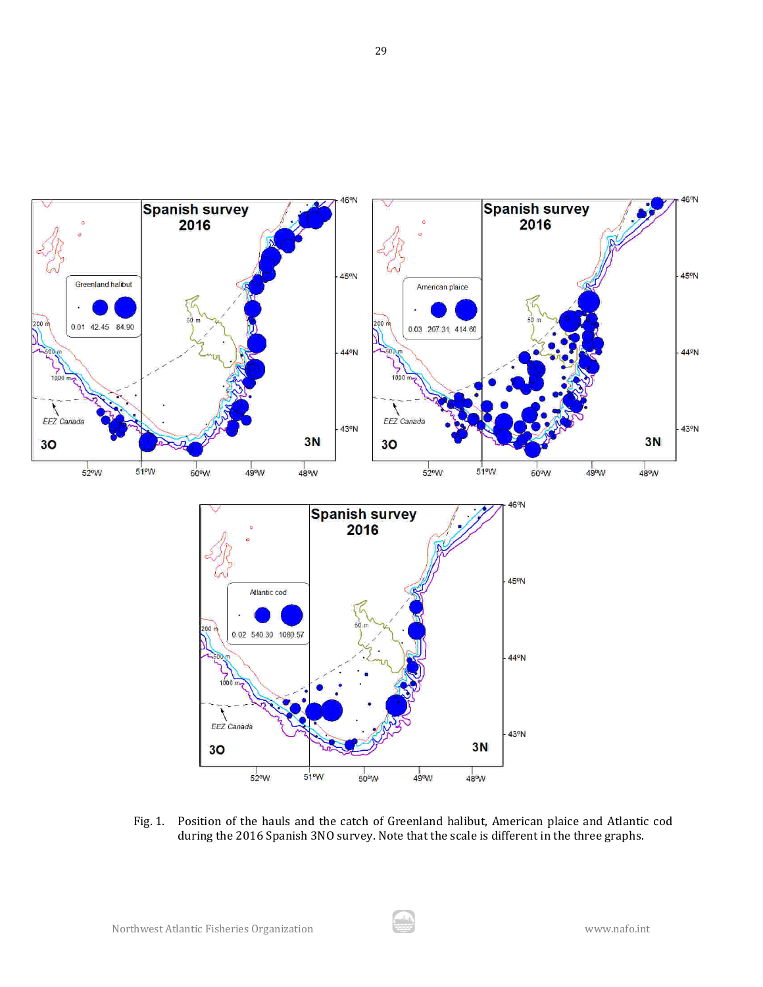

Fig. 1. Position of the hauls and the catch of Greenland halibut, American plaice and Atlantic cod during the 2016 Spanish 3NO survey. Note that the scale is different in the three graphs.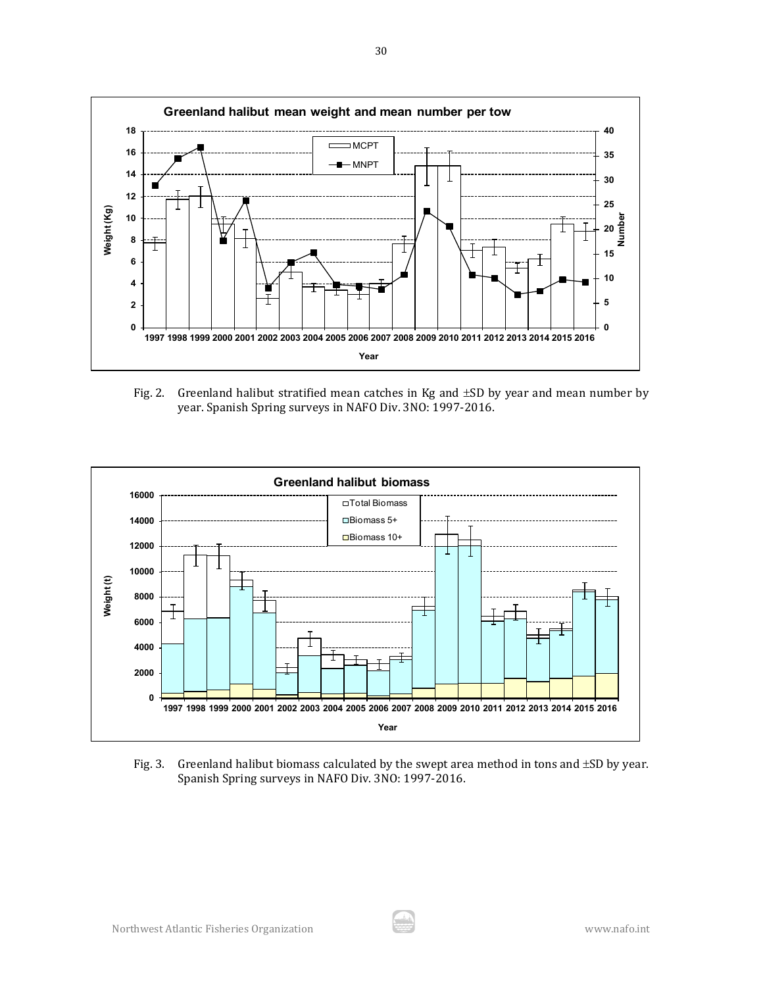

Fig. 2. Greenland halibut stratified mean catches in Kg and  $\pm SD$  by year and mean number by year. Spanish Spring surveys in NAFO Div. 3NO: 1997-2016.



Fig. 3. Greenland halibut biomass calculated by the swept area method in tons and  $\pm$ SD by year. Spanish Spring surveys in NAFO Div. 3NO: 1997-2016.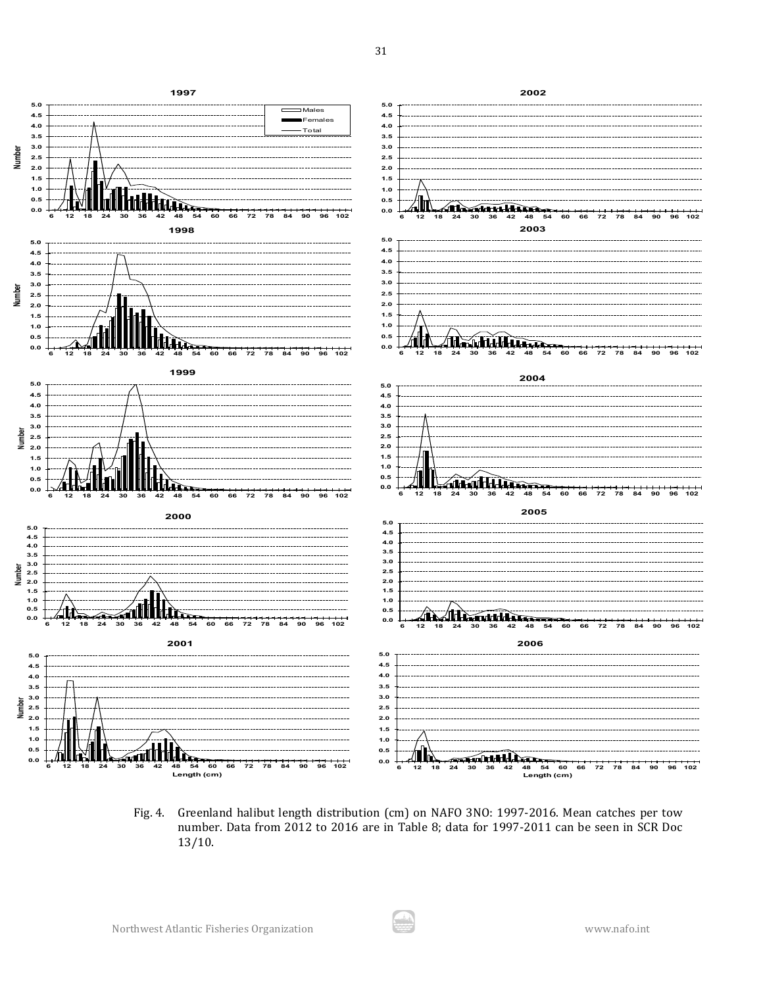

Fig. 4. Greenland halibut length distribution (cm) on NAFO 3NO: 1997-2016. Mean catches per tow number. Data from 2012 to 2016 are in Table 8; data for 1997-2011 can be seen in SCR Doc 13/10.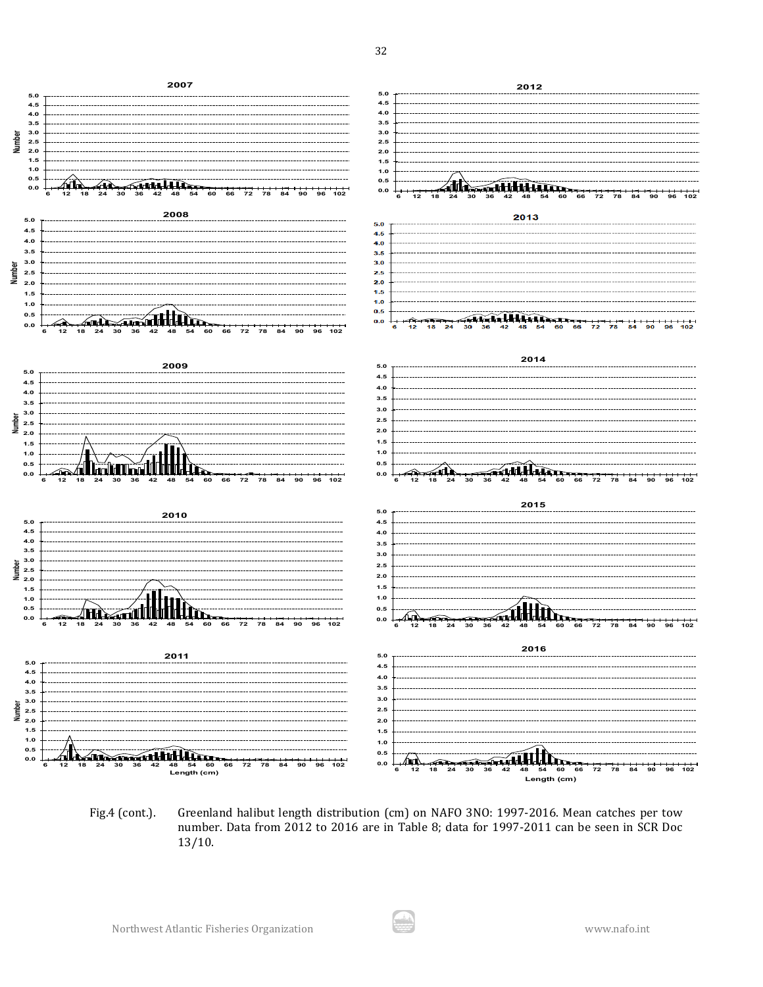

Fig.4 (cont.). Greenland halibut length distribution (cm) on NAFO 3NO: 1997-2016. Mean catches per tow number. Data from 2012 to 2016 are in Table 8; data for 1997-2011 can be seen in SCR Doc 13/10.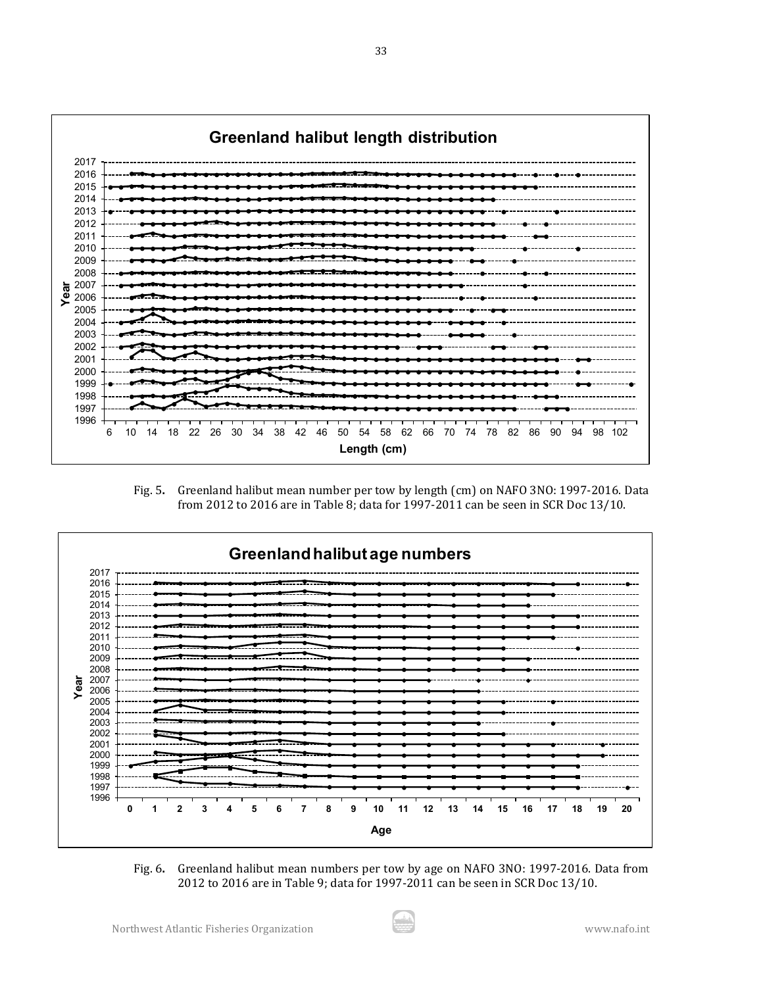

Fig. 5**.** Greenland halibut mean number per tow by length (cm) on NAFO 3NO: 1997-2016. Data from 2012 to 2016 are in Table 8; data for 1997-2011 can be seen in SCR Doc 13/10.



Fig. 6**.** Greenland halibut mean numbers per tow by age on NAFO 3NO: 1997-2016. Data from 2012 to 2016 are in Table 9; data for 1997-2011 can be seen in SCR Doc 13/10.

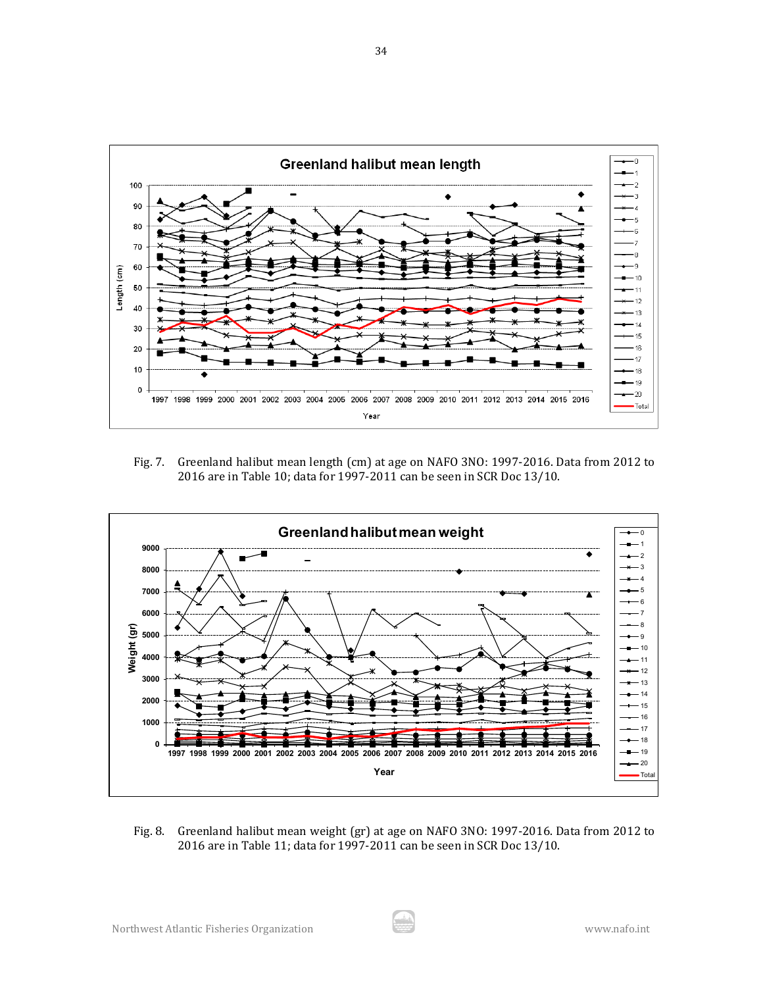

Fig. 7. Greenland halibut mean length (cm) at age on NAFO 3NO: 1997-2016. Data from 2012 to 2016 are in Table 10; data for 1997-2011 can be seen in SCR Doc 13/10.



Fig. 8. Greenland halibut mean weight (gr) at age on NAFO 3NO: 1997-2016. Data from 2012 to 2016 are in Table 11; data for 1997-2011 can be seen in SCR Doc 13/10.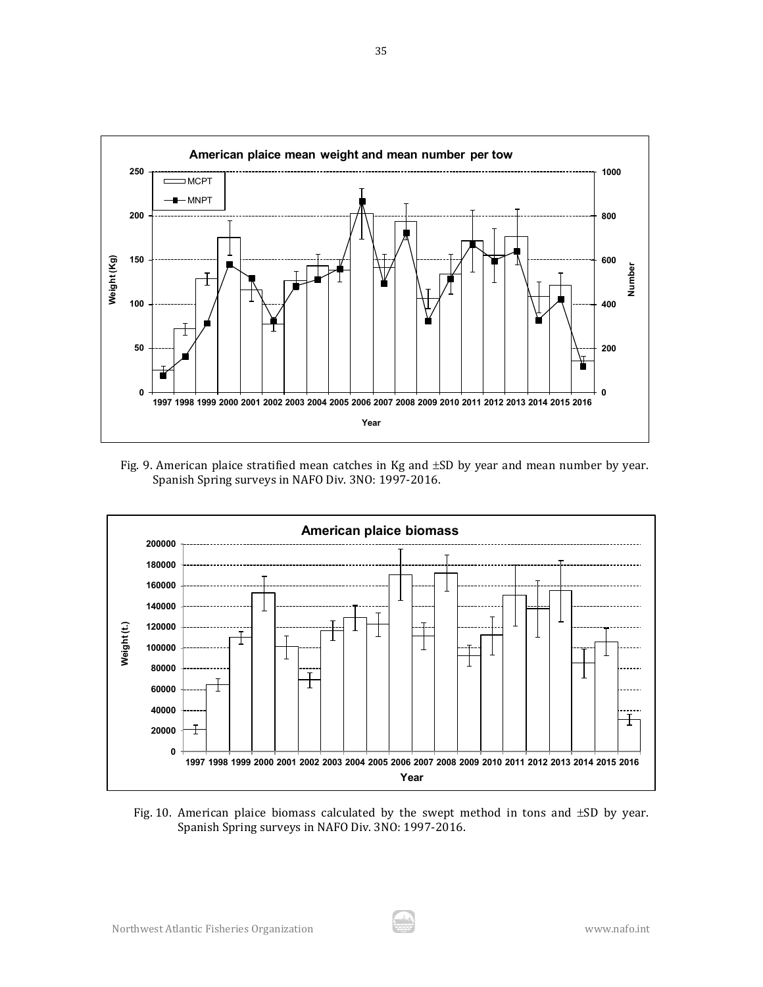

Fig. 9. American plaice stratified mean catches in Kg and ±SD by year and mean number by year. Spanish Spring surveys in NAFO Div. 3NO: 1997-2016.



Fig. 10. American plaice biomass calculated by the swept method in tons and ±SD by year. Spanish Spring surveys in NAFO Div. 3NO: 1997-2016.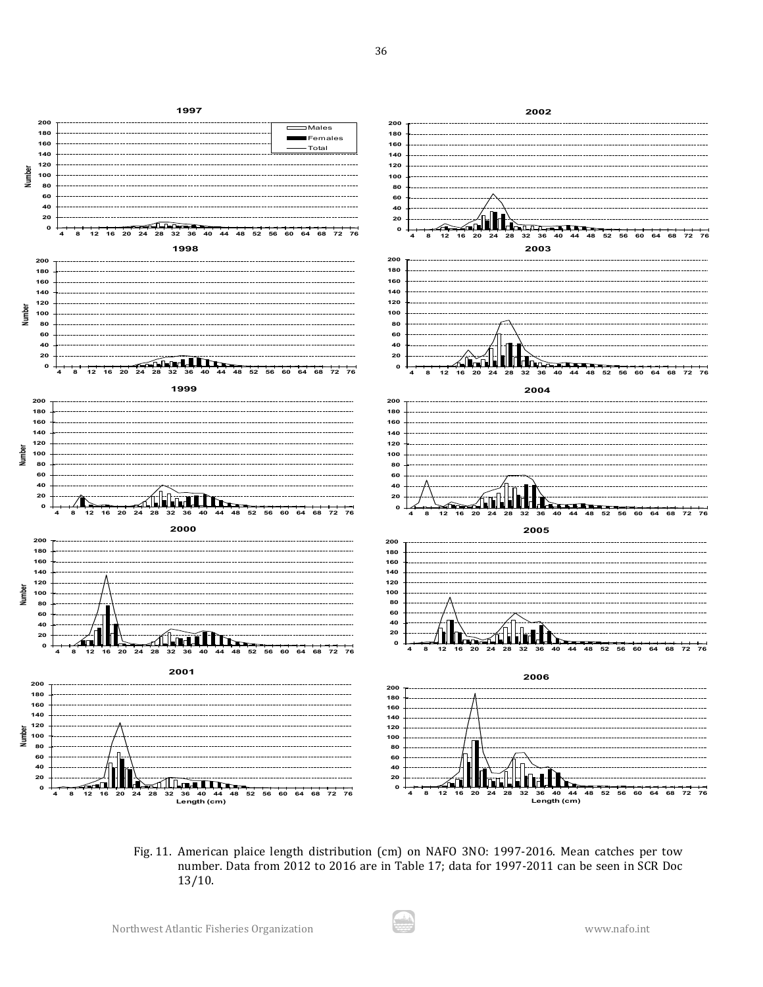

Fig. 11. American plaice length distribution (cm) on NAFO 3NO: 1997-2016. Mean catches per tow number. Data from 2012 to 2016 are in Table 17; data for 1997-2011 can be seen in SCR Doc 13/10.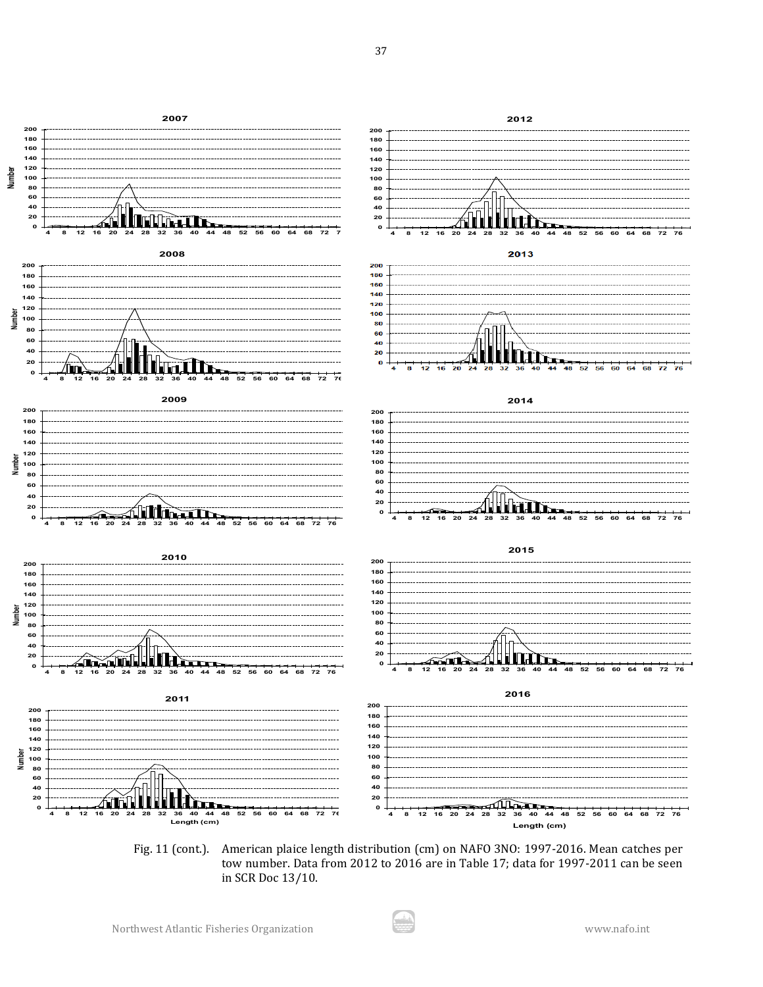

Fig. 11 (cont.). American plaice length distribution (cm) on NAFO 3NO: 1997-2016. Mean catches per tow number. Data from 2012 to 2016 are in Table 17; data for 1997-2011 can be seen in SCR Doc 13/10.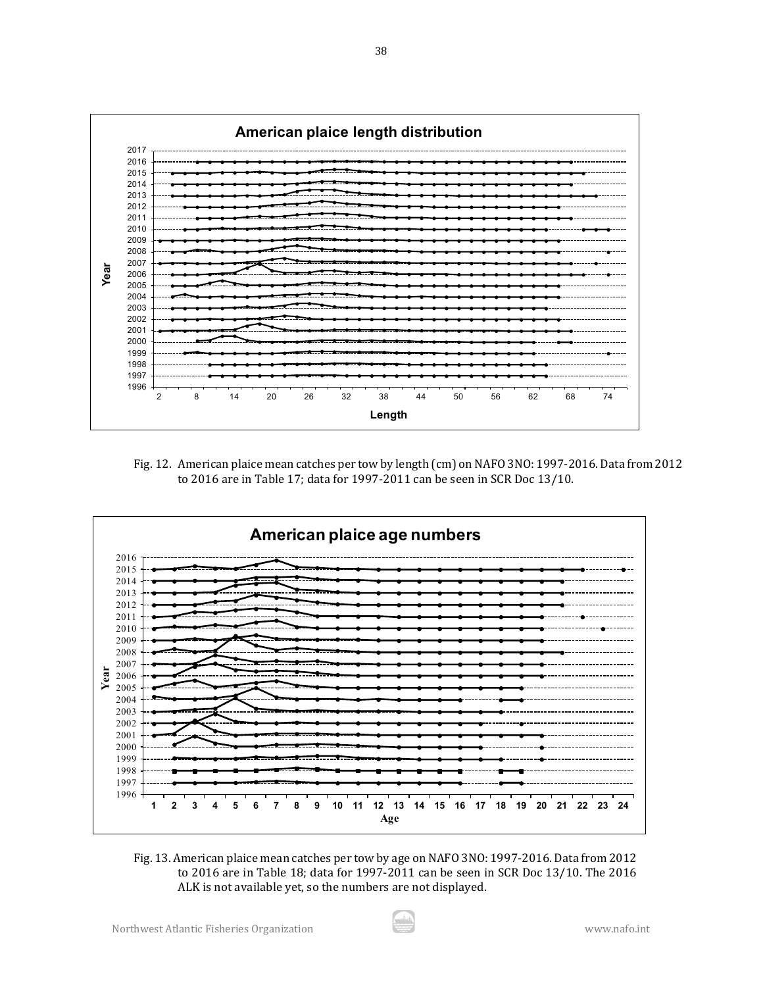

Fig. 12. American plaice mean catches per tow by length (cm) on NAFO 3NO: 1997-2016. Data from 2012 to 2016 are in Table 17; data for 1997-2011 can be seen in SCR Doc 13/10.



Fig. 13. American plaice mean catches per tow by age on NAFO 3NO: 1997-2016. Data from 2012 to 2016 are in Table 18; data for 1997-2011 can be seen in SCR Doc 13/10. The 2016 ALK is not available yet, so the numbers are not displayed.

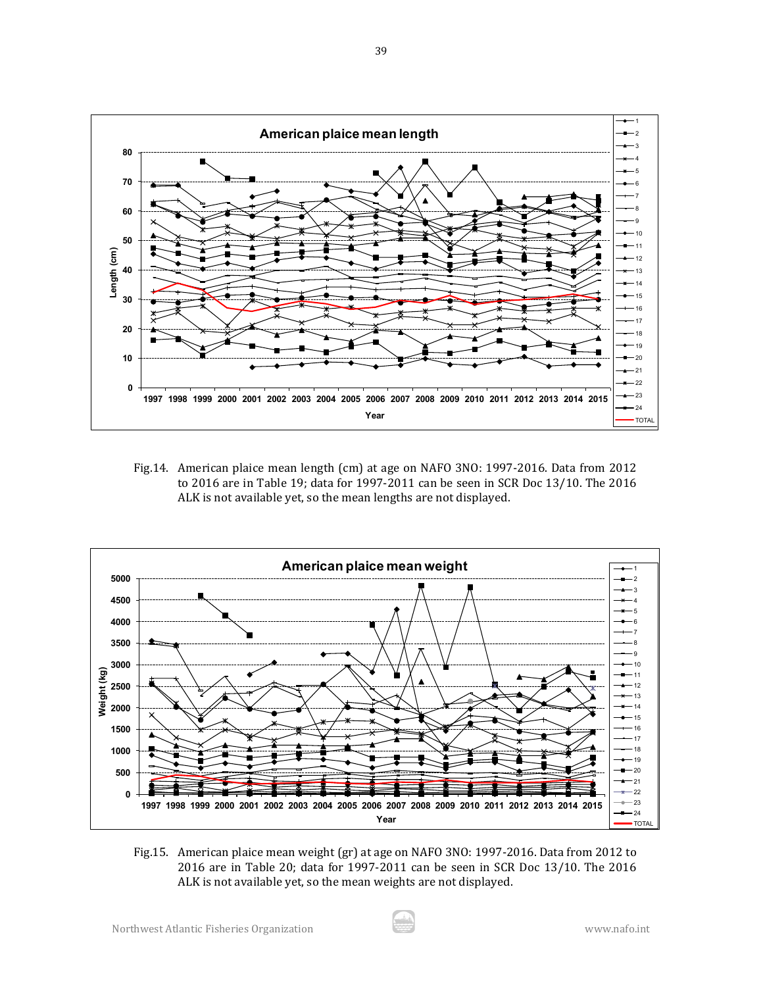

Fig.14. American plaice mean length (cm) at age on NAFO 3NO: 1997-2016. Data from 2012 to 2016 are in Table 19; data for 1997-2011 can be seen in SCR Doc 13/10. The 2016 ALK is not available yet, so the mean lengths are not displayed.



Fig.15. American plaice mean weight (gr) at age on NAFO 3NO: 1997-2016. Data from 2012 to 2016 are in Table 20; data for 1997-2011 can be seen in SCR Doc 13/10. The 2016 ALK is not available yet, so the mean weights are not displayed.

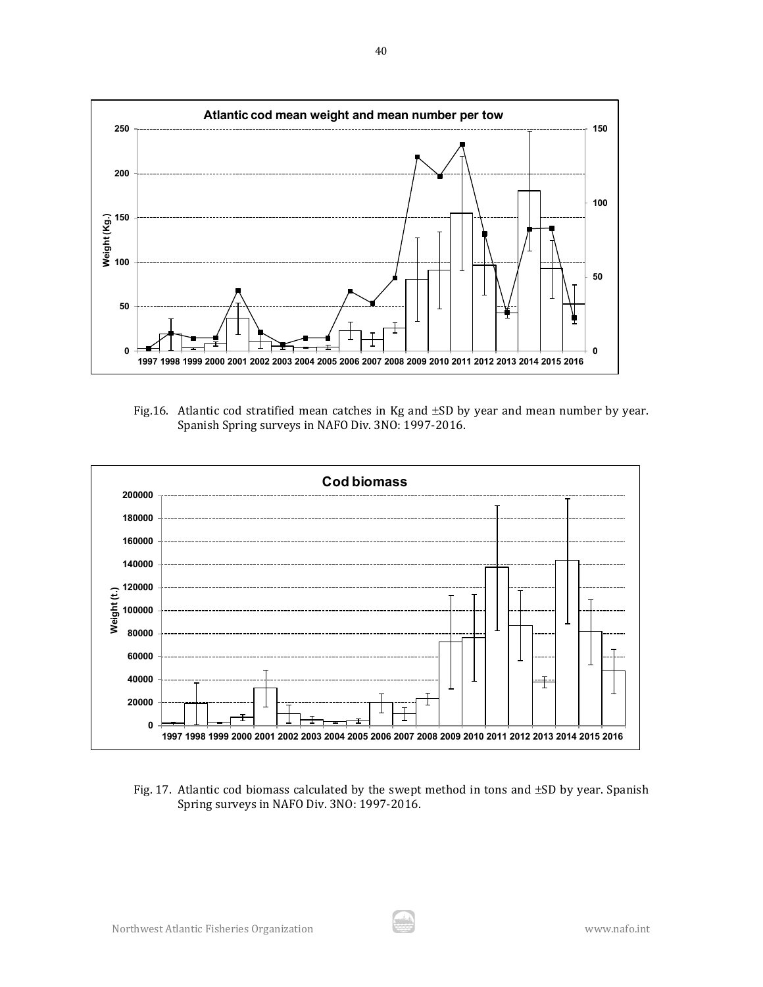

Fig.16. Atlantic cod stratified mean catches in Kg and ±SD by year and mean number by year. Spanish Spring surveys in NAFO Div. 3NO: 1997-2016.



Fig. 17. Atlantic cod biomass calculated by the swept method in tons and ±SD by year. Spanish Spring surveys in NAFO Div. 3NO: 1997-2016.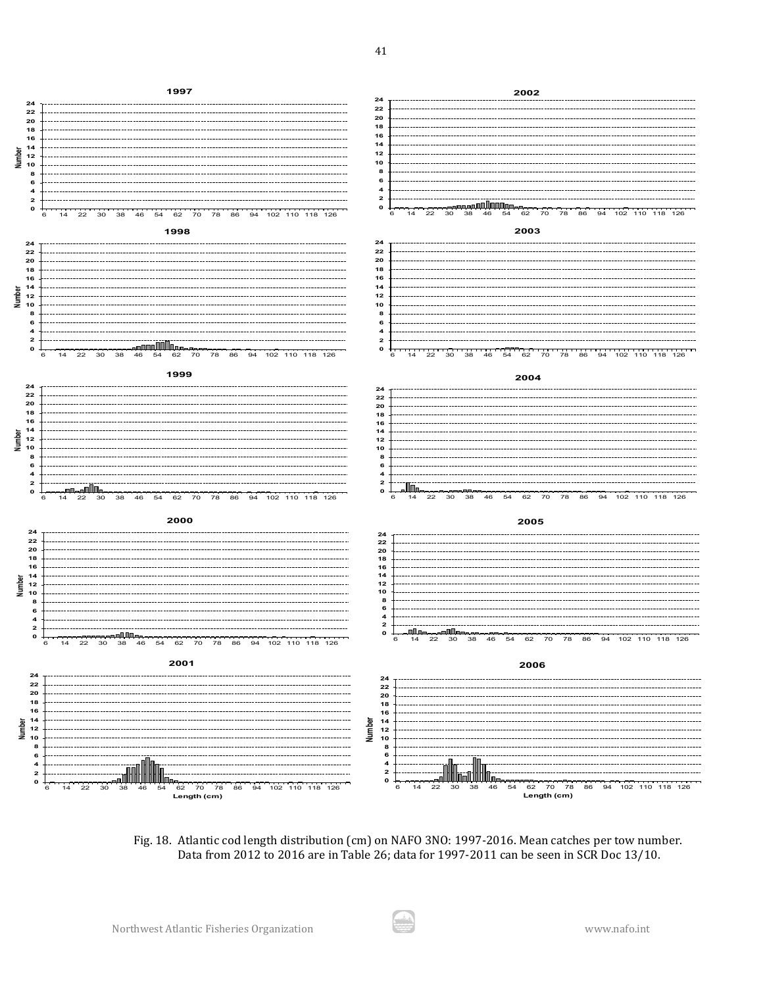

Fig. 18. Atlantic cod length distribution (cm) on NAFO 3NO: 1997-2016. Mean catches per tow number. Data from 2012 to 2016 are in Table 26; data for 1997-2011 can be seen in SCR Doc 13/10.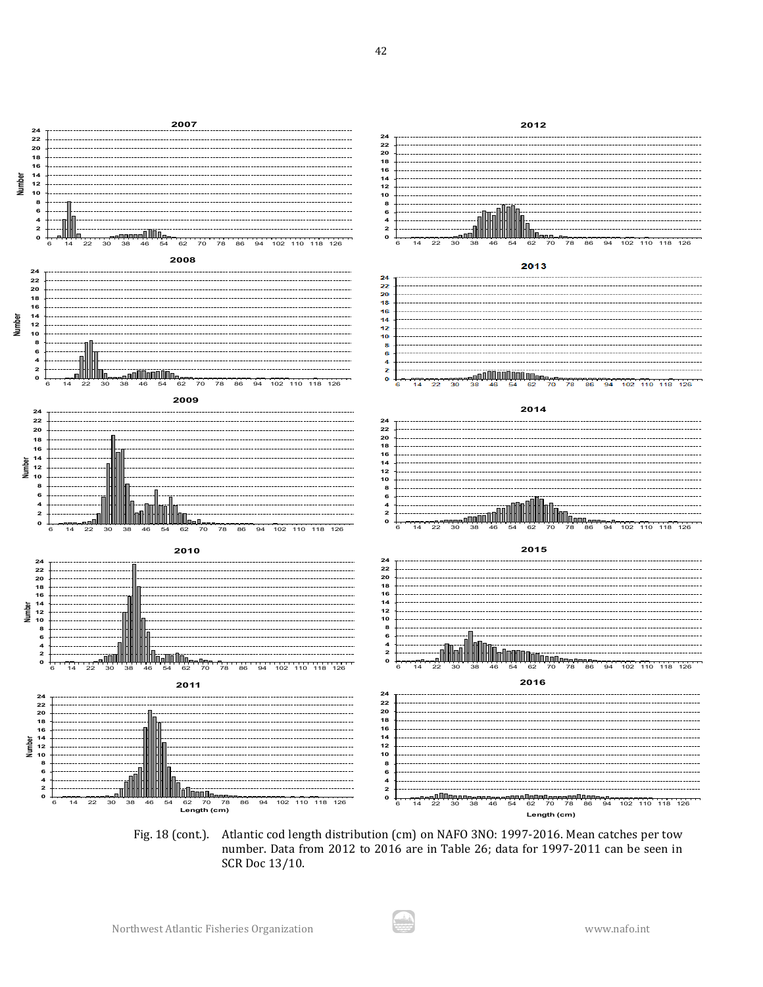

Fig. 18 (cont.). Atlantic cod length distribution (cm) on NAFO 3NO: 1997-2016. Mean catches per tow number. Data from 2012 to 2016 are in Table 26; data for 1997-2011 can be seen in SCR Doc 13/10.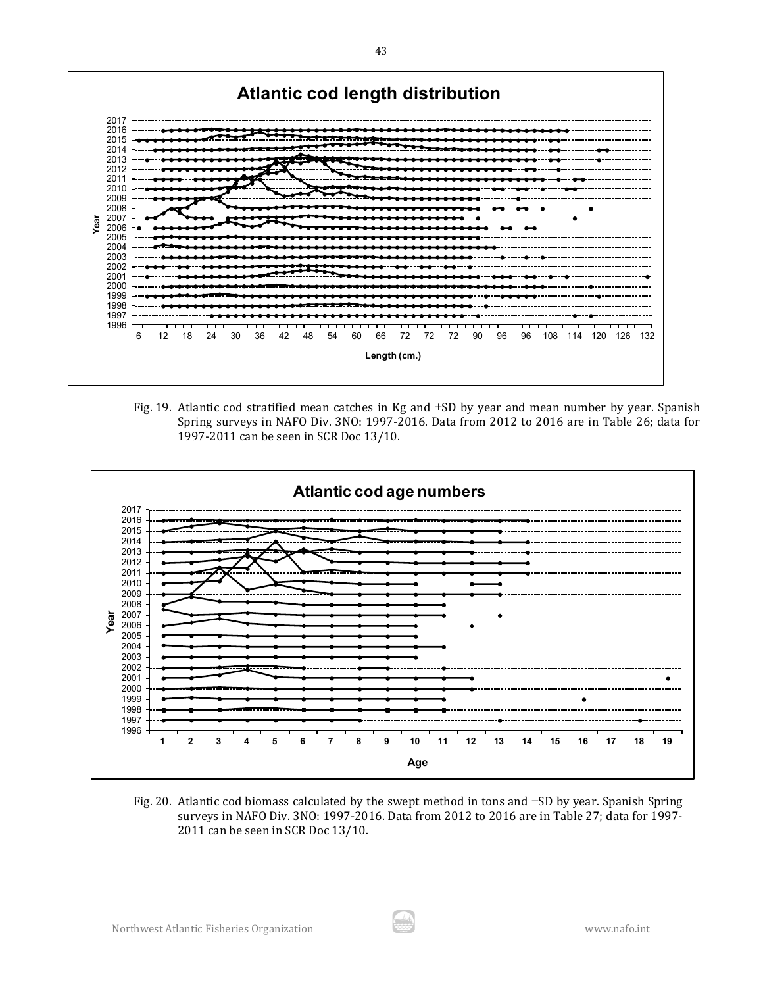

Fig. 19. Atlantic cod stratified mean catches in Kg and ±SD by year and mean number by year. Spanish Spring surveys in NAFO Div. 3NO: 1997-2016. Data from 2012 to 2016 are in Table 26; data for 1997-2011 can be seen in SCR Doc 13/10.



Fig. 20. Atlantic cod biomass calculated by the swept method in tons and ±SD by year. Spanish Spring surveys in NAFO Div. 3NO: 1997-2016. Data from 2012 to 2016 are in Table 27; data for 1997- 2011 can be seen in SCR Doc 13/10.